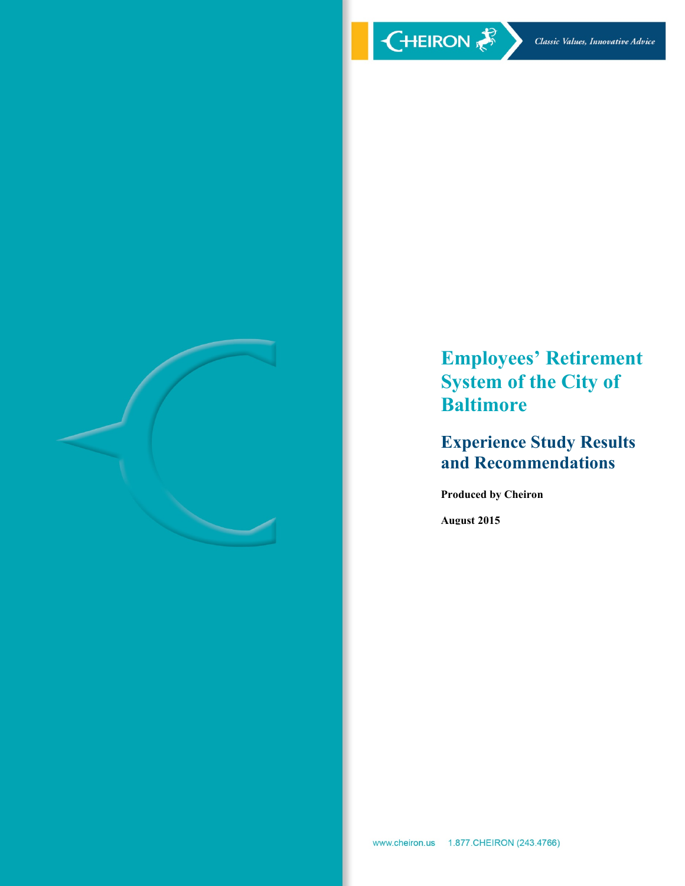

# **Employees' Retirement System of the City of Baltimore**

# **Experience Study Results and Recommendations**

**Produced by Cheiron**

**August 2015**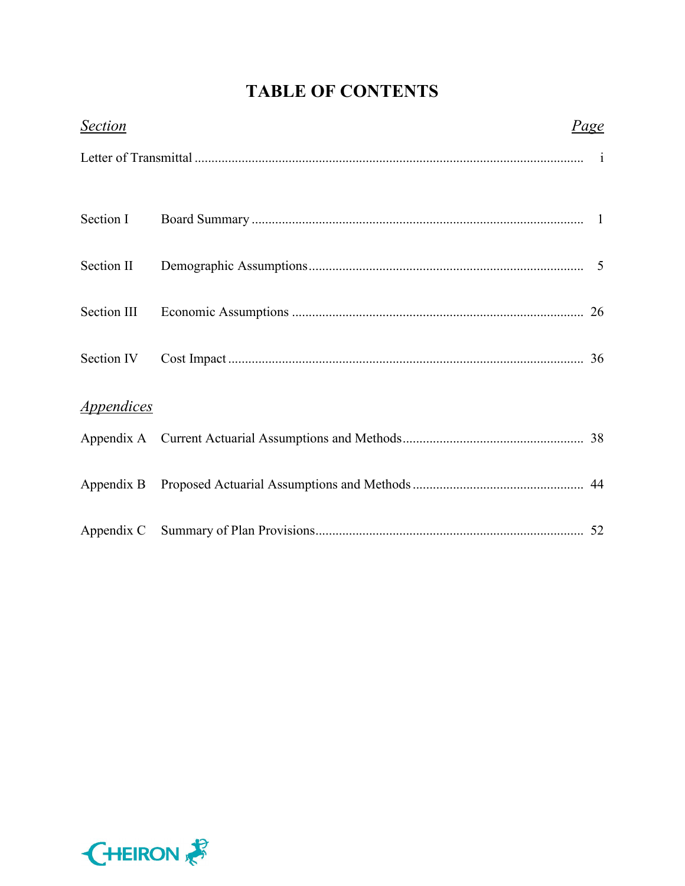# **TABLE OF CONTENTS**

| <b>Section</b>    | <u>Page</u> |
|-------------------|-------------|
|                   |             |
| Section I         |             |
| Section II        |             |
| Section III       |             |
| Section IV        |             |
| <b>Appendices</b> |             |
|                   |             |
|                   |             |
|                   |             |

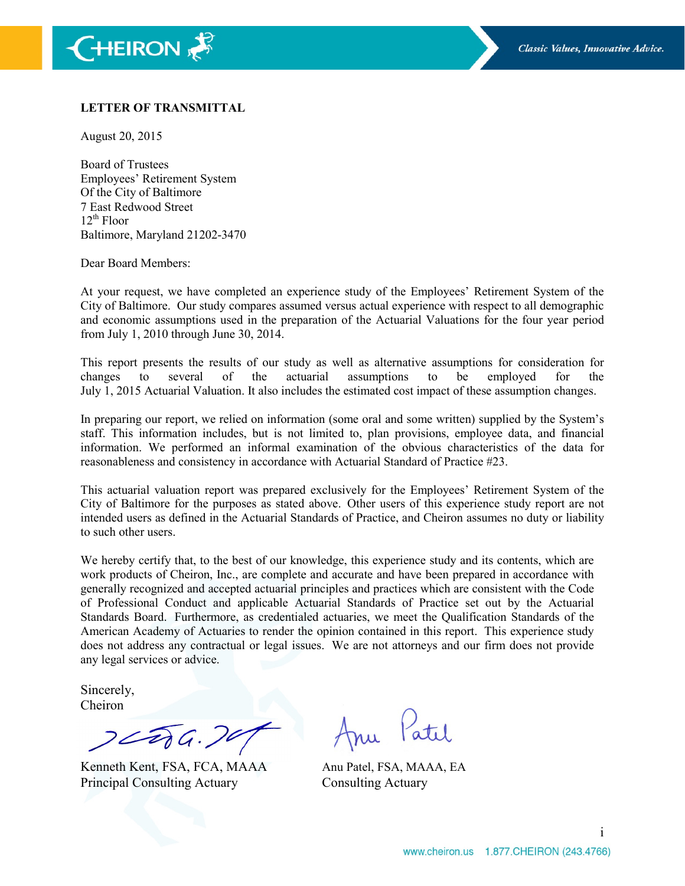

#### **LETTER OF TRANSMITTAL**

August 20, 2015

Board of Trustees Employees' Retirement System Of the City of Baltimore 7 East Redwood Street  $12^{th}$  Floor Baltimore, Maryland 21202-3470

Dear Board Members:

At your request, we have completed an experience study of the Employees' Retirement System of the City of Baltimore. Our study compares assumed versus actual experience with respect to all demographic and economic assumptions used in the preparation of the Actuarial Valuations for the four year period from July 1, 2010 through June 30, 2014.

This report presents the results of our study as well as alternative assumptions for consideration for changes to several of the actuarial assumptions to be employed for the July 1, 2015 Actuarial Valuation. It also includes the estimated cost impact of these assumption changes.

In preparing our report, we relied on information (some oral and some written) supplied by the System's staff. This information includes, but is not limited to, plan provisions, employee data, and financial information. We performed an informal examination of the obvious characteristics of the data for reasonableness and consistency in accordance with Actuarial Standard of Practice #23.

This actuarial valuation report was prepared exclusively for the Employees' Retirement System of the City of Baltimore for the purposes as stated above. Other users of this experience study report are not intended users as defined in the Actuarial Standards of Practice, and Cheiron assumes no duty or liability to such other users.

We hereby certify that, to the best of our knowledge, this experience study and its contents, which are work products of Cheiron, Inc., are complete and accurate and have been prepared in accordance with generally recognized and accepted actuarial principles and practices which are consistent with the Code of Professional Conduct and applicable Actuarial Standards of Practice set out by the Actuarial Standards Board. Furthermore, as credentialed actuaries, we meet the Qualification Standards of the American Academy of Actuaries to render the opinion contained in this report. This experience study does not address any contractual or legal issues. We are not attorneys and our firm does not provide any legal services or advice.

Sincerely, Cheiron

 $2276.70$ 

Kenneth Kent, FSA, FCA, MAAA Anu Patel, FSA, MAAA, EA Principal Consulting Actuary Consulting Actuary

Patil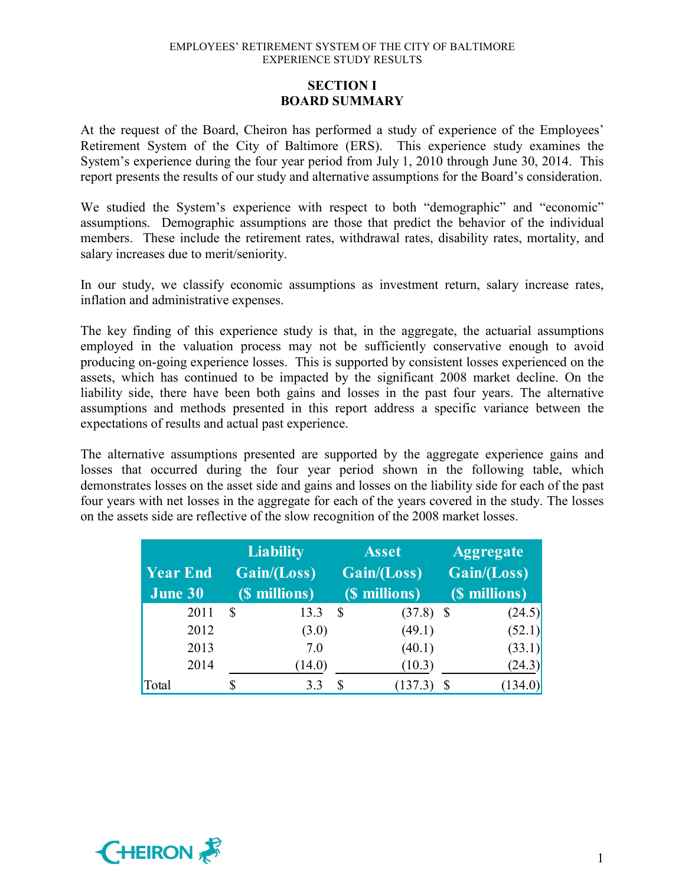# **SECTION I BOARD SUMMARY**

At the request of the Board, Cheiron has performed a study of experience of the Employees' Retirement System of the City of Baltimore (ERS). This experience study examines the System's experience during the four year period from July 1, 2010 through June 30, 2014. This report presents the results of our study and alternative assumptions for the Board's consideration.

We studied the System's experience with respect to both "demographic" and "economic" assumptions. Demographic assumptions are those that predict the behavior of the individual members. These include the retirement rates, withdrawal rates, disability rates, mortality, and salary increases due to merit/seniority.

In our study, we classify economic assumptions as investment return, salary increase rates, inflation and administrative expenses.

The key finding of this experience study is that, in the aggregate, the actuarial assumptions employed in the valuation process may not be sufficiently conservative enough to avoid producing on-going experience losses. This is supported by consistent losses experienced on the assets, which has continued to be impacted by the significant 2008 market decline. On the liability side, there have been both gains and losses in the past four years. The alternative assumptions and methods presented in this report address a specific variance between the expectations of results and actual past experience.

The alternative assumptions presented are supported by the aggregate experience gains and losses that occurred during the four year period shown in the following table, which demonstrates losses on the asset side and gains and losses on the liability side for each of the past four years with net losses in the aggregate for each of the years covered in the study. The losses on the assets side are reflective of the slow recognition of the 2008 market losses.

| <b>Year End</b><br>June 30 | <b>Liability</b><br>Gain/(Loss)<br>(\$ millions) |   | <b>Asset</b><br>Gain/(Loss)<br>(\$ millions) | <b>Aggregate</b><br>Gain/(Loss)<br>(\$ millions) |         |  |
|----------------------------|--------------------------------------------------|---|----------------------------------------------|--------------------------------------------------|---------|--|
| 2011                       | \$<br>13.3                                       | S | $(37.8)$ \$                                  |                                                  | (24.5)  |  |
| 2012                       | (3.0)                                            |   | (49.1)                                       |                                                  | (52.1)  |  |
| 2013                       | 7.0                                              |   | (40.1)                                       |                                                  | (33.1)  |  |
| 2014                       | (14.0)                                           |   | (10.3)                                       |                                                  | (24.3)  |  |
| Total                      | 3.3                                              |   | (137.3)                                      |                                                  | (134.0) |  |

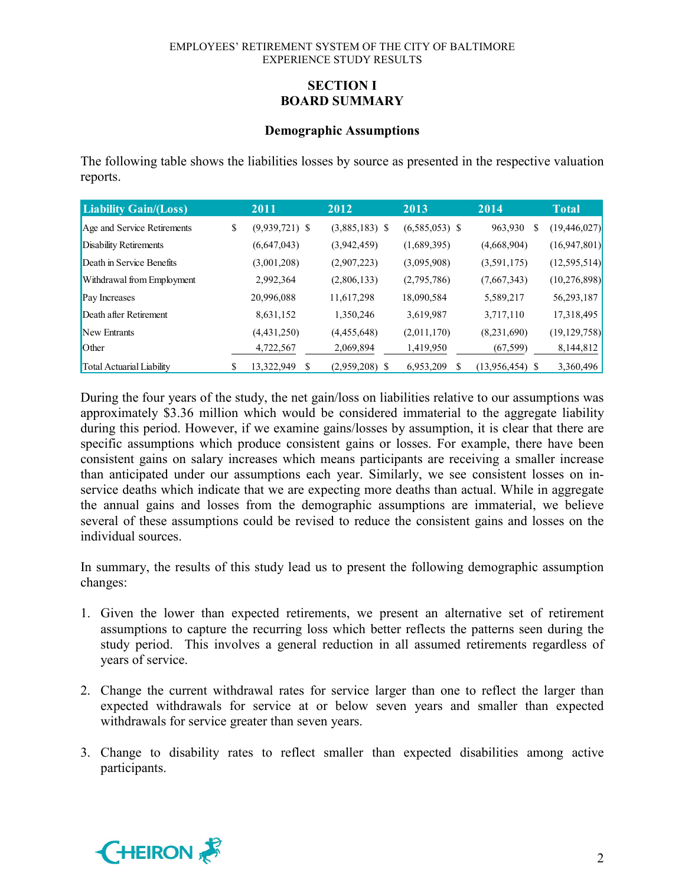# **SECTION I BOARD SUMMARY**

#### **Demographic Assumptions**

The following table shows the liabilities losses by source as presented in the respective valuation reports.

| <b>Liability Gain/(Loss)</b>     | 2011                   | 2012             | 2013             | 2014              | <b>Total</b>   |
|----------------------------------|------------------------|------------------|------------------|-------------------|----------------|
| Age and Service Retirements      | \$<br>$(9,939,721)$ \$ | $(3,885,183)$ \$ | $(6,585,053)$ \$ | 963,930<br>S      | (19, 446, 027) |
| Disability Retirements           | (6,647,043)            | (3,942,459)      | (1,689,395)      | (4,668,904)       | (16, 947, 801) |
| Death in Service Benefits        | (3,001,208)            | (2,907,223)      | (3,095,908)      | (3,591,175)       | (12, 595, 514) |
| Withdrawal from Employment       | 2,992,364              | (2,806,133)      | (2,795,786)      | (7,667,343)       | (10, 276, 898) |
| Pay Increases                    | 20,996,088             | 11,617,298       | 18,090,584       | 5,589,217         | 56,293,187     |
| Death after Retirement           | 8,631,152              | 1,350,246        | 3,619,987        | 3,717,110         | 17,318,495     |
| New Entrants                     | (4,431,250)            | (4,455,648)      | (2,011,170)      | (8,231,690)       | (19, 129, 758) |
| Other                            | 4,722,567              | 2,069,894        | 1,419,950        | (67, 599)         | 8,144,812      |
| <b>Total Actuarial Liability</b> | \$<br>13,322,949       | $(2,959,208)$ \$ | 6,953,209        | $(13,956,454)$ \$ | 3,360,496      |

During the four years of the study, the net gain/loss on liabilities relative to our assumptions was approximately \$3.36 million which would be considered immaterial to the aggregate liability during this period. However, if we examine gains/losses by assumption, it is clear that there are specific assumptions which produce consistent gains or losses. For example, there have been consistent gains on salary increases which means participants are receiving a smaller increase than anticipated under our assumptions each year. Similarly, we see consistent losses on inservice deaths which indicate that we are expecting more deaths than actual. While in aggregate the annual gains and losses from the demographic assumptions are immaterial, we believe several of these assumptions could be revised to reduce the consistent gains and losses on the individual sources.

In summary, the results of this study lead us to present the following demographic assumption changes:

- 1. Given the lower than expected retirements, we present an alternative set of retirement assumptions to capture the recurring loss which better reflects the patterns seen during the study period. This involves a general reduction in all assumed retirements regardless of years of service.
- 2. Change the current withdrawal rates for service larger than one to reflect the larger than expected withdrawals for service at or below seven years and smaller than expected withdrawals for service greater than seven years.
- 3. Change to disability rates to reflect smaller than expected disabilities among active participants.

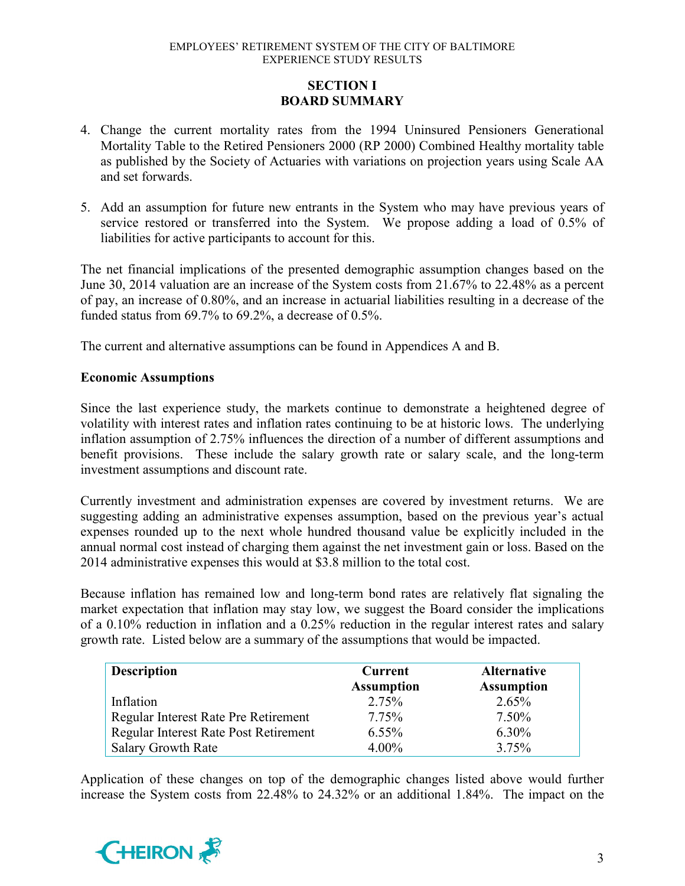# **SECTION I BOARD SUMMARY**

- 4. Change the current mortality rates from the 1994 Uninsured Pensioners Generational Mortality Table to the Retired Pensioners 2000 (RP 2000) Combined Healthy mortality table as published by the Society of Actuaries with variations on projection years using Scale AA and set forwards.
- 5. Add an assumption for future new entrants in the System who may have previous years of service restored or transferred into the System. We propose adding a load of 0.5% of liabilities for active participants to account for this.

The net financial implications of the presented demographic assumption changes based on the June 30, 2014 valuation are an increase of the System costs from 21.67% to 22.48% as a percent of pay, an increase of 0.80%, and an increase in actuarial liabilities resulting in a decrease of the funded status from 69.7% to 69.2%, a decrease of 0.5%.

The current and alternative assumptions can be found in Appendices A and B.

# **Economic Assumptions**

Since the last experience study, the markets continue to demonstrate a heightened degree of volatility with interest rates and inflation rates continuing to be at historic lows. The underlying inflation assumption of 2.75% influences the direction of a number of different assumptions and benefit provisions. These include the salary growth rate or salary scale, and the long-term investment assumptions and discount rate.

Currently investment and administration expenses are covered by investment returns. We are suggesting adding an administrative expenses assumption, based on the previous year's actual expenses rounded up to the next whole hundred thousand value be explicitly included in the annual normal cost instead of charging them against the net investment gain or loss. Based on the 2014 administrative expenses this would at \$3.8 million to the total cost.

Because inflation has remained low and long-term bond rates are relatively flat signaling the market expectation that inflation may stay low, we suggest the Board consider the implications of a 0.10% reduction in inflation and a 0.25% reduction in the regular interest rates and salary growth rate. Listed below are a summary of the assumptions that would be impacted.

| <b>Description</b>                           | <b>Current</b><br><b>Assumption</b> | <b>Alternative</b><br><b>Assumption</b> |
|----------------------------------------------|-------------------------------------|-----------------------------------------|
|                                              |                                     |                                         |
| Inflation                                    | 2.75%                               | 2.65%                                   |
| Regular Interest Rate Pre Retirement         | 7.75%                               | $7.50\%$                                |
| <b>Regular Interest Rate Post Retirement</b> | $6.55\%$                            | $6.30\%$                                |
| <b>Salary Growth Rate</b>                    | $4.00\%$                            | 3.75%                                   |

Application of these changes on top of the demographic changes listed above would further increase the System costs from 22.48% to 24.32% or an additional 1.84%. The impact on the

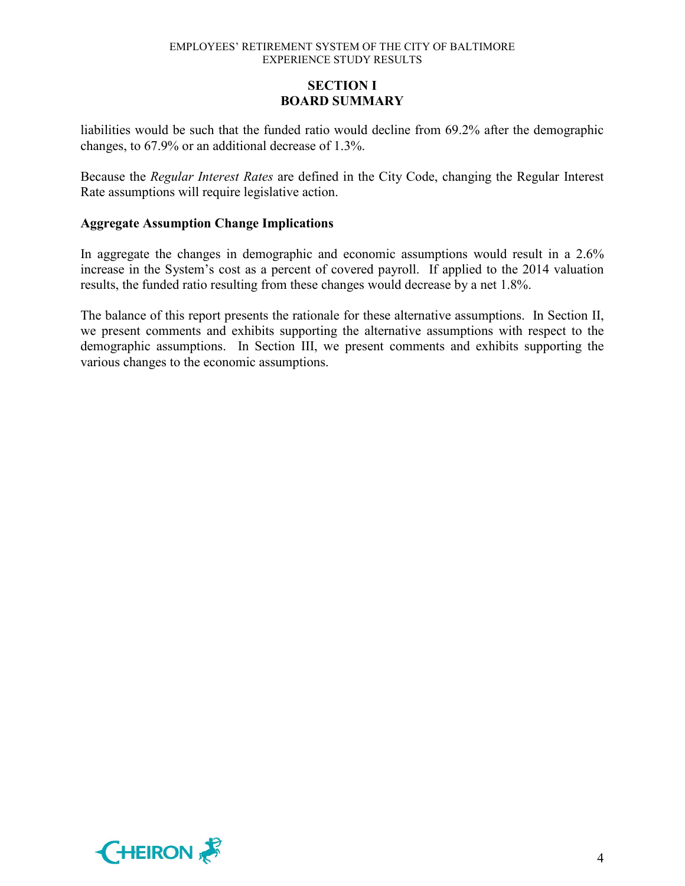# **SECTION I BOARD SUMMARY**

liabilities would be such that the funded ratio would decline from 69.2% after the demographic changes, to 67.9% or an additional decrease of 1.3%.

Because the *Regular Interest Rates* are defined in the City Code, changing the Regular Interest Rate assumptions will require legislative action.

### **Aggregate Assumption Change Implications**

In aggregate the changes in demographic and economic assumptions would result in a 2.6% increase in the System's cost as a percent of covered payroll. If applied to the 2014 valuation results, the funded ratio resulting from these changes would decrease by a net 1.8%.

The balance of this report presents the rationale for these alternative assumptions. In Section II, we present comments and exhibits supporting the alternative assumptions with respect to the demographic assumptions. In Section III, we present comments and exhibits supporting the various changes to the economic assumptions.

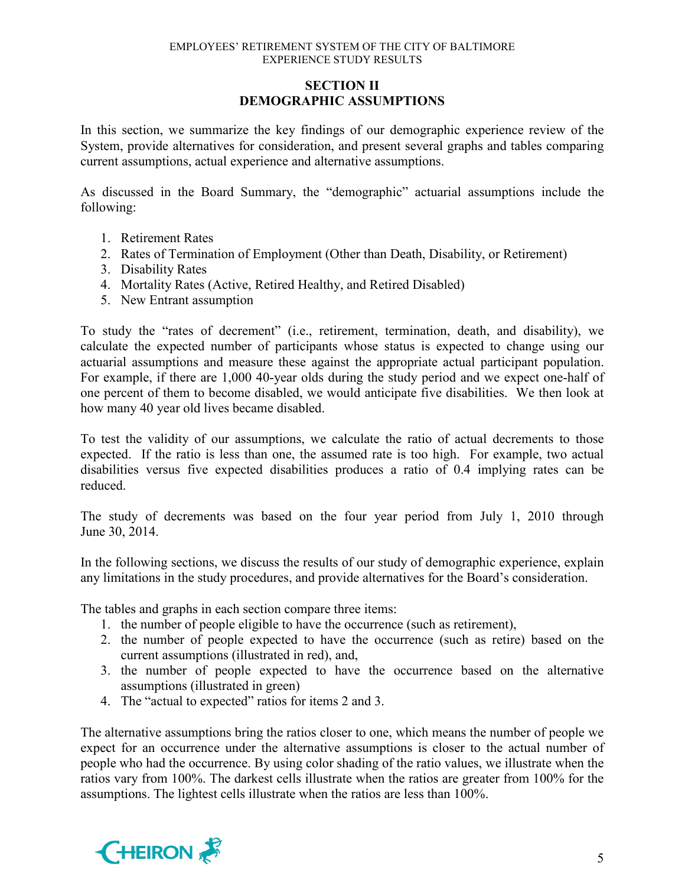# **SECTION II DEMOGRAPHIC ASSUMPTIONS**

In this section, we summarize the key findings of our demographic experience review of the System, provide alternatives for consideration, and present several graphs and tables comparing current assumptions, actual experience and alternative assumptions.

As discussed in the Board Summary, the "demographic" actuarial assumptions include the following:

- 1. Retirement Rates
- 2. Rates of Termination of Employment (Other than Death, Disability, or Retirement)
- 3. Disability Rates
- 4. Mortality Rates (Active, Retired Healthy, and Retired Disabled)
- 5. New Entrant assumption

To study the "rates of decrement" (i.e., retirement, termination, death, and disability), we calculate the expected number of participants whose status is expected to change using our actuarial assumptions and measure these against the appropriate actual participant population. For example, if there are 1,000 40-year olds during the study period and we expect one-half of one percent of them to become disabled, we would anticipate five disabilities. We then look at how many 40 year old lives became disabled.

To test the validity of our assumptions, we calculate the ratio of actual decrements to those expected. If the ratio is less than one, the assumed rate is too high. For example, two actual disabilities versus five expected disabilities produces a ratio of 0.4 implying rates can be reduced.

The study of decrements was based on the four year period from July 1, 2010 through June 30, 2014.

In the following sections, we discuss the results of our study of demographic experience, explain any limitations in the study procedures, and provide alternatives for the Board's consideration.

The tables and graphs in each section compare three items:

- 1. the number of people eligible to have the occurrence (such as retirement),
- 2. the number of people expected to have the occurrence (such as retire) based on the current assumptions (illustrated in red), and,
- 3. the number of people expected to have the occurrence based on the alternative assumptions (illustrated in green)
- 4. The "actual to expected" ratios for items 2 and 3.

The alternative assumptions bring the ratios closer to one, which means the number of people we expect for an occurrence under the alternative assumptions is closer to the actual number of people who had the occurrence. By using color shading of the ratio values, we illustrate when the ratios vary from 100%. The darkest cells illustrate when the ratios are greater from 100% for the assumptions. The lightest cells illustrate when the ratios are less than 100%.

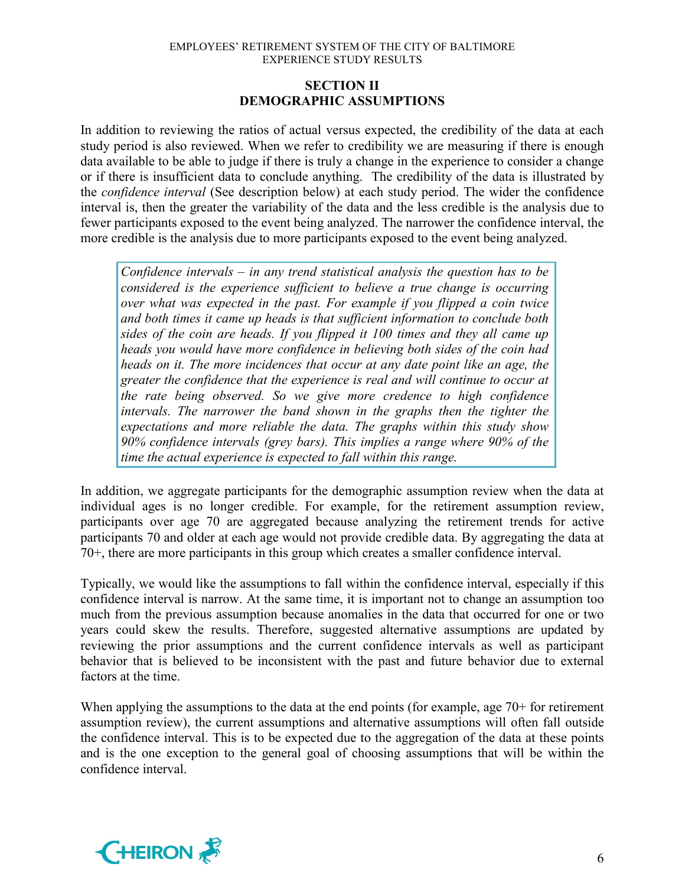# **SECTION II DEMOGRAPHIC ASSUMPTIONS**

In addition to reviewing the ratios of actual versus expected, the credibility of the data at each study period is also reviewed. When we refer to credibility we are measuring if there is enough data available to be able to judge if there is truly a change in the experience to consider a change or if there is insufficient data to conclude anything. The credibility of the data is illustrated by the *confidence interval* (See description below) at each study period. The wider the confidence interval is, then the greater the variability of the data and the less credible is the analysis due to fewer participants exposed to the event being analyzed. The narrower the confidence interval, the more credible is the analysis due to more participants exposed to the event being analyzed.

*Confidence intervals – in any trend statistical analysis the question has to be considered is the experience sufficient to believe a true change is occurring over what was expected in the past. For example if you flipped a coin twice and both times it came up heads is that sufficient information to conclude both sides of the coin are heads. If you flipped it 100 times and they all came up heads you would have more confidence in believing both sides of the coin had heads on it. The more incidences that occur at any date point like an age, the greater the confidence that the experience is real and will continue to occur at the rate being observed. So we give more credence to high confidence intervals. The narrower the band shown in the graphs then the tighter the expectations and more reliable the data. The graphs within this study show 90% confidence intervals (grey bars). This implies a range where 90% of the time the actual experience is expected to fall within this range.* 

In addition, we aggregate participants for the demographic assumption review when the data at individual ages is no longer credible. For example, for the retirement assumption review, participants over age 70 are aggregated because analyzing the retirement trends for active participants 70 and older at each age would not provide credible data. By aggregating the data at 70+, there are more participants in this group which creates a smaller confidence interval.

Typically, we would like the assumptions to fall within the confidence interval, especially if this confidence interval is narrow. At the same time, it is important not to change an assumption too much from the previous assumption because anomalies in the data that occurred for one or two years could skew the results. Therefore, suggested alternative assumptions are updated by reviewing the prior assumptions and the current confidence intervals as well as participant behavior that is believed to be inconsistent with the past and future behavior due to external factors at the time.

When applying the assumptions to the data at the end points (for example, age 70+ for retirement assumption review), the current assumptions and alternative assumptions will often fall outside the confidence interval. This is to be expected due to the aggregation of the data at these points and is the one exception to the general goal of choosing assumptions that will be within the confidence interval.

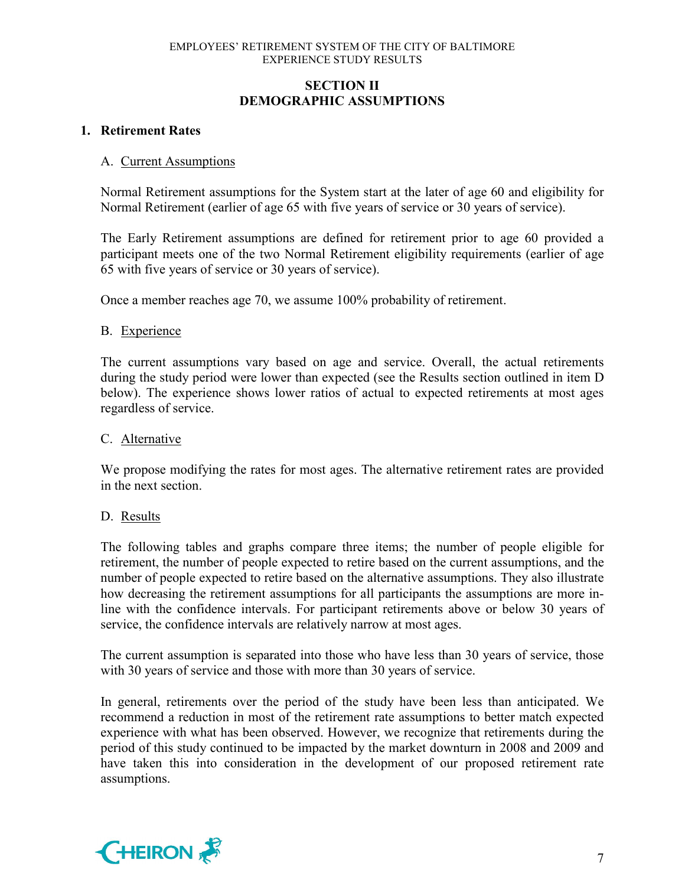# **SECTION II DEMOGRAPHIC ASSUMPTIONS**

# **1. Retirement Rates**

### A. Current Assumptions

Normal Retirement assumptions for the System start at the later of age 60 and eligibility for Normal Retirement (earlier of age 65 with five years of service or 30 years of service).

The Early Retirement assumptions are defined for retirement prior to age 60 provided a participant meets one of the two Normal Retirement eligibility requirements (earlier of age 65 with five years of service or 30 years of service).

Once a member reaches age 70, we assume 100% probability of retirement.

### B. Experience

The current assumptions vary based on age and service. Overall, the actual retirements during the study period were lower than expected (see the Results section outlined in item D below). The experience shows lower ratios of actual to expected retirements at most ages regardless of service.

#### C. Alternative

We propose modifying the rates for most ages. The alternative retirement rates are provided in the next section.

### D. Results

The following tables and graphs compare three items; the number of people eligible for retirement, the number of people expected to retire based on the current assumptions, and the number of people expected to retire based on the alternative assumptions. They also illustrate how decreasing the retirement assumptions for all participants the assumptions are more inline with the confidence intervals. For participant retirements above or below 30 years of service, the confidence intervals are relatively narrow at most ages.

The current assumption is separated into those who have less than 30 years of service, those with 30 years of service and those with more than 30 years of service.

In general, retirements over the period of the study have been less than anticipated. We recommend a reduction in most of the retirement rate assumptions to better match expected experience with what has been observed. However, we recognize that retirements during the period of this study continued to be impacted by the market downturn in 2008 and 2009 and have taken this into consideration in the development of our proposed retirement rate assumptions.

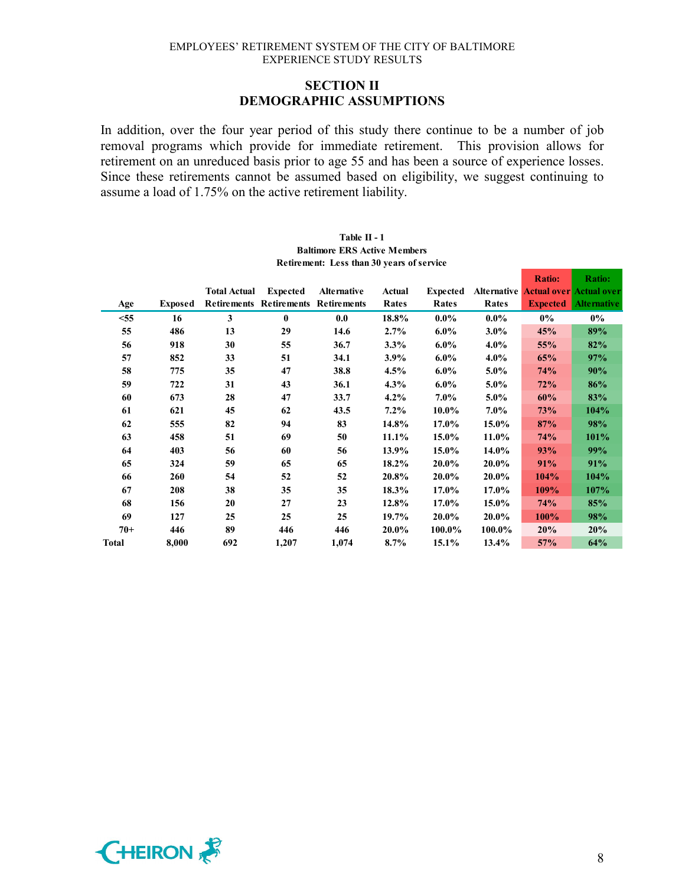### **SECTION II DEMOGRAPHIC ASSUMPTIONS**

In addition, over the four year period of this study there continue to be a number of job removal programs which provide for immediate retirement. This provision allows for retirement on an unreduced basis prior to age 55 and has been a source of experience losses. Since these retirements cannot be assumed based on eligibility, we suggest continuing to assume a load of 1.75% on the active retirement liability.

|        |                |                     |                                            |             |         |                 |                    | <b>Ratio:</b>                  | <b>Ratio:</b>      |
|--------|----------------|---------------------|--------------------------------------------|-------------|---------|-----------------|--------------------|--------------------------------|--------------------|
|        |                | <b>Total Actual</b> | <b>Expected</b>                            | Alternative | Actual  | <b>Expected</b> | <b>Alternative</b> | <b>Actual over Actual over</b> |                    |
| Age    | <b>Exposed</b> |                     | <b>Retirements Retirements Retirements</b> |             | Rates   | Rates           | Rates              | <b>Expected</b>                | <b>Alternative</b> |
| $<$ 55 | 16             | 3                   | $\bf{0}$                                   | 0.0         | 18.8%   | $0.0\%$         | $0.0\%$            | $0\%$                          | $0\%$              |
| 55     | 486            | 13                  | 29                                         | 14.6        | 2.7%    | $6.0\%$         | $3.0\%$            | 45%                            | 89%                |
| 56     | 918            | 30                  | 55                                         | 36.7        | 3.3%    | $6.0\%$         | $4.0\%$            | 55%                            | 82%                |
| 57     | 852            | 33                  | 51                                         | 34.1        | $3.9\%$ | $6.0\%$         | $4.0\%$            | 65%                            | 97%                |
| 58     | 775            | 35                  | 47                                         | 38.8        | $4.5\%$ | $6.0\%$         | $5.0\%$            | <b>74%</b>                     | 90%                |
| 59     | 722            | 31                  | 43                                         | 36.1        | $4.3\%$ | $6.0\%$         | 5.0%               | 72%                            | 86%                |
| 60     | 673            | 28                  | 47                                         | 33.7        | $4.2\%$ | $7.0\%$         | $5.0\%$            | 60%                            | 83%                |
| 61     | 621            | 45                  | 62                                         | 43.5        | $7.2\%$ | $10.0\%$        | $7.0\%$            | 73%                            | 104%               |
| 62     | 555            | 82                  | 94                                         | 83          | 14.8%   | 17.0%           | 15.0%              | 87%                            | 98%                |
| 63     | 458            | 51                  | 69                                         | 50          | 11.1%   | 15.0%           | 11.0%              | <b>74%</b>                     | 101%               |
| 64     | 403            | 56                  | 60                                         | 56          | 13.9%   | 15.0%           | 14.0%              | 93%                            | 99%                |
| 65     | 324            | 59                  | 65                                         | 65          | 18.2%   | 20.0%           | 20.0%              | 91%                            | 91%                |
| 66     | 260            | 54                  | 52                                         | 52          | 20.8%   | 20.0%           | 20.0%              | 104%                           | 104%               |
| 67     | 208            | 38                  | 35                                         | 35          | 18.3%   | 17.0%           | 17.0%              | 109%                           | 107%               |
| 68     | 156            | 20                  | 27                                         | 23          | 12.8%   | 17.0%           | 15.0%              | 74%                            | 85%                |
| 69     | 127            | 25                  | 25                                         | 25          | 19.7%   | 20.0%           | 20.0%              | <b>100%</b>                    | 98%                |
| $70+$  | 446            | 89                  | 446                                        | 446         | 20.0%   | 100.0%          | 100.0%             | 20%                            | 20%                |
| Total  | 8,000          | 692                 | 1,207                                      | 1,074       | $8.7\%$ | 15.1%           | 13.4%              | 57%                            | 64%                |

#### **Table II - 1 Baltimore ERS Active Members Retirement: Less than 30 years of service**

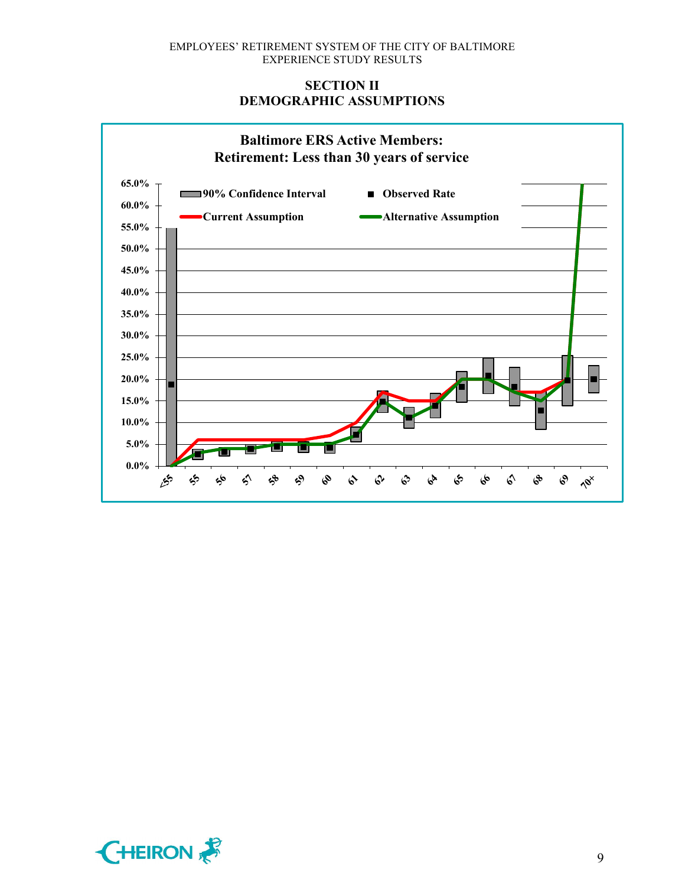# **SECTION II DEMOGRAPHIC ASSUMPTIONS**



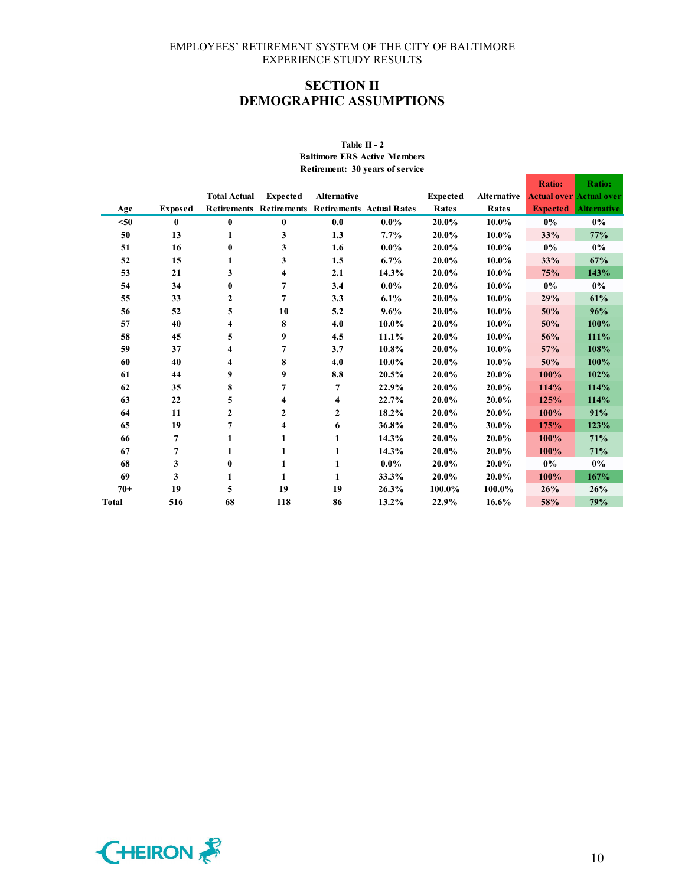# **SECTION II DEMOGRAPHIC ASSUMPTIONS**

#### **Table II - 2 Baltimore ERS Active Members Retirement: 30 years of service**

|              |                |                     |                 |                                                         |         |                 |                    | <b>Ratio:</b>   | <b>Ratio:</b>                  |
|--------------|----------------|---------------------|-----------------|---------------------------------------------------------|---------|-----------------|--------------------|-----------------|--------------------------------|
|              |                | <b>Total Actual</b> | <b>Expected</b> | <b>Alternative</b>                                      |         | <b>Expected</b> | <b>Alternative</b> |                 | <b>Actual over Actual over</b> |
| Age          | <b>Exposed</b> |                     |                 | <b>Retirements Retirements Retirements Actual Rates</b> |         | Rates           | Rates              | <b>Expected</b> | <b>Alternative</b>             |
| $50$         | $\mathbf{0}$   | $\bf{0}$            | $\bf{0}$        | 0.0                                                     | $0.0\%$ | 20.0%           | 10.0%              | $0\%$           | $0\%$                          |
| 50           | 13             | 1                   | 3               | 1.3                                                     | 7.7%    | 20.0%           | 10.0%              | 33%             | 77%                            |
| 51           | 16             | $\mathbf{0}$        | 3               | 1.6                                                     | $0.0\%$ | 20.0%           | 10.0%              | $0\%$           | $0\%$                          |
| 52           | 15             | 1                   | 3               | 1.5                                                     | 6.7%    | 20.0%           | 10.0%              | 33%             | 67%                            |
| 53           | 21             | 3                   | 4               | 2.1                                                     | 14.3%   | 20.0%           | 10.0%              | 75%             | 143%                           |
| 54           | 34             | $\bf{0}$            | 7               | 3.4                                                     | $0.0\%$ | 20.0%           | 10.0%              | $0\%$           | $0\%$                          |
| 55           | 33             | $\boldsymbol{2}$    | $\overline{7}$  | 3.3                                                     | 6.1%    | 20.0%           | 10.0%              | 29%             | 61%                            |
| 56           | 52             | 5                   | 10              | 5.2                                                     | $9.6\%$ | 20.0%           | 10.0%              | 50%             | 96%                            |
| 57           | 40             | 4                   | 8               | 4.0                                                     | 10.0%   | 20.0%           | 10.0%              | 50%             | 100%                           |
| 58           | 45             | 5                   | 9               | 4.5                                                     | 11.1%   | 20.0%           | 10.0%              | 56%             | 111%                           |
| 59           | 37             | 4                   | $\overline{7}$  | 3.7                                                     | 10.8%   | 20.0%           | 10.0%              | 57%             | 108%                           |
| 60           | 40             | 4                   | 8               | 4.0                                                     | 10.0%   | 20.0%           | 10.0%              | 50%             | 100%                           |
| 61           | 44             | 9                   | 9               | 8.8                                                     | 20.5%   | 20.0%           | 20.0%              | 100%            | 102%                           |
| 62           | 35             | 8                   | 7               | $\overline{7}$                                          | 22.9%   | 20.0%           | 20.0%              | 114%            | 114%                           |
| 63           | 22             | 5                   | 4               | 4                                                       | 22.7%   | 20.0%           | 20.0%              | 125%            | 114%                           |
| 64           | 11             | $\mathbf{2}$        | 2               | $\mathbf{2}$                                            | 18.2%   | 20.0%           | 20.0%              | 100%            | 91%                            |
| 65           | 19             | 7                   | 4               | 6                                                       | 36.8%   | 20.0%           | 30.0%              | 175%            | 123%                           |
| 66           | 7              |                     |                 | 1                                                       | 14.3%   | 20.0%           | 20.0%              | 100%            | 71%                            |
| 67           | 7              | 1                   | 1               | 1                                                       | 14.3%   | 20.0%           | 20.0%              | 100%            | 71%                            |
| 68           | 3              | $\bf{0}$            | 1               | 1                                                       | $0.0\%$ | 20.0%           | 20.0%              | $0\%$           | $0\%$                          |
| 69           | 3              | 1                   | 1               | 1                                                       | 33.3%   | 20.0%           | 20.0%              | 100%            | 167%                           |
| $70+$        | 19             | 5                   | 19              | 19                                                      | 26.3%   | 100.0%          | 100.0%             | 26%             | 26%                            |
| <b>Total</b> | 516            | 68                  | 118             | 86                                                      | 13.2%   | 22.9%           | 16.6%              | 58%             | 79%                            |

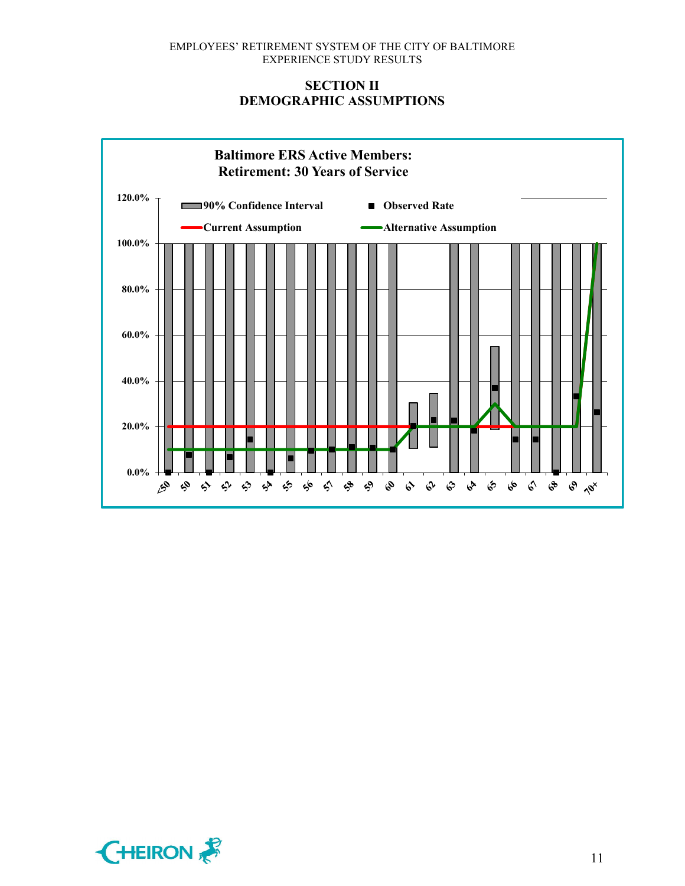# **SECTION II DEMOGRAPHIC ASSUMPTIONS**



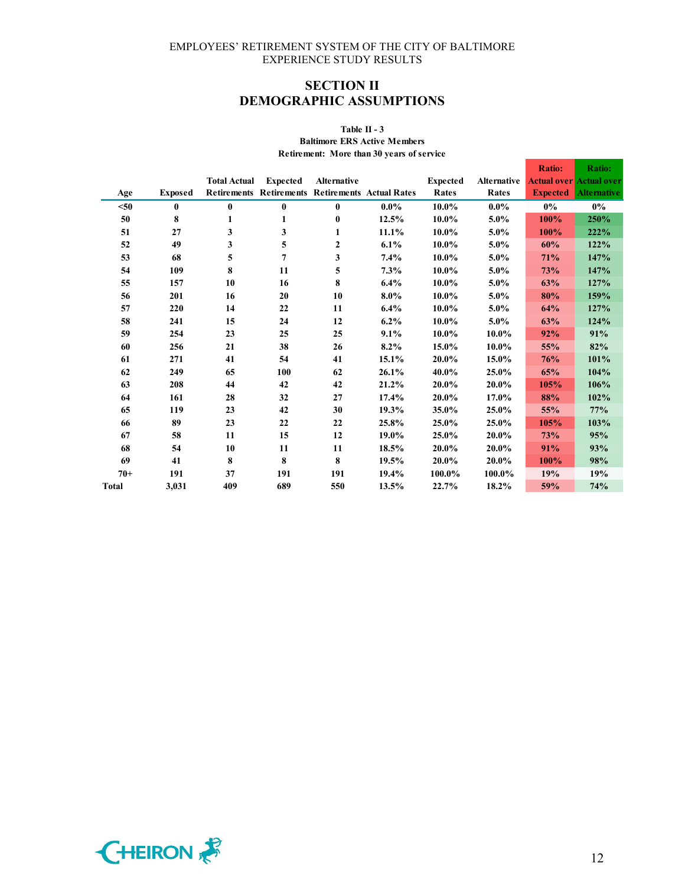# **SECTION II DEMOGRAPHIC ASSUMPTIONS**

# **Table II - 3**

**Baltimore ERS Active Members Retirement: More than 30 years of service**

|              |                |                     |                 |                    |                                                  |                 |                    | <b>Ratio:</b>   | <b>Ratio:</b>                  |
|--------------|----------------|---------------------|-----------------|--------------------|--------------------------------------------------|-----------------|--------------------|-----------------|--------------------------------|
|              |                | <b>Total Actual</b> | <b>Expected</b> | <b>Alternative</b> |                                                  | <b>Expected</b> | <b>Alternative</b> |                 | <b>Actual over Actual over</b> |
| Age          | <b>Exposed</b> |                     |                 |                    | Retirements Retirements Retirements Actual Rates | <b>Rates</b>    | Rates              | <b>Expected</b> | <b>Alternative</b>             |
| $50$         | 0              | $\bf{0}$            | 0               | $\bf{0}$           | $0.0\%$                                          | 10.0%           | $0.0\%$            | $0\%$           | $0\%$                          |
| 50           | 8              | 1                   | 1               | $\bf{0}$           | 12.5%                                            | 10.0%           | 5.0%               | 100%            | 250%                           |
| 51           | 27             | 3                   | 3               | 1                  | 11.1%                                            | 10.0%           | 5.0%               | 100%            | 222%                           |
| 52           | 49             | 3                   | 5               | $\boldsymbol{2}$   | 6.1%                                             | 10.0%           | 5.0%               | 60%             | 122%                           |
| 53           | 68             | 5                   | 7               | 3                  | 7.4%                                             | 10.0%           | 5.0%               | 71%             | 147%                           |
| 54           | 109            | 8                   | 11              | 5                  | 7.3%                                             | 10.0%           | 5.0%               | <b>73%</b>      | 147%                           |
| 55           | 157            | 10                  | 16              | 8                  | $6.4\%$                                          | 10.0%           | 5.0%               | 63%             | 127%                           |
| 56           | 201            | 16                  | 20              | 10                 | 8.0%                                             | 10.0%           | 5.0%               | 80%             | 159%                           |
| 57           | 220            | 14                  | 22              | 11                 | 6.4%                                             | 10.0%           | 5.0%               | 64%             | 127%                           |
| 58           | 241            | 15                  | 24              | 12                 | $6.2\%$                                          | 10.0%           | 5.0%               | 63%             | 124%                           |
| 59           | 254            | 23                  | 25              | 25                 | 9.1%                                             | 10.0%           | 10.0%              | 92%             | 91%                            |
| 60           | 256            | 21                  | 38              | 26                 | 8.2%                                             | 15.0%           | 10.0%              | 55%             | 82%                            |
| 61           | 271            | 41                  | 54              | 41                 | 15.1%                                            | 20.0%           | 15.0%              | 76%             | 101%                           |
| 62           | 249            | 65                  | 100             | 62                 | 26.1%                                            | 40.0%           | 25.0%              | 65%             | 104%                           |
| 63           | 208            | 44                  | 42              | 42                 | 21.2%                                            | 20.0%           | 20.0%              | 105%            | 106%                           |
| 64           | 161            | 28                  | 32              | 27                 | 17.4%                                            | 20.0%           | 17.0%              | 88%             | 102%                           |
| 65           | 119            | 23                  | 42              | 30                 | 19.3%                                            | 35.0%           | 25.0%              | 55%             | 77%                            |
| 66           | 89             | 23                  | 22              | 22                 | 25.8%                                            | 25.0%           | 25.0%              | 105%            | 103%                           |
| 67           | 58             | 11                  | 15              | 12                 | 19.0%                                            | 25.0%           | 20.0%              | 73%             | 95%                            |
| 68           | 54             | 10                  | 11              | 11                 | 18.5%                                            | 20.0%           | 20.0%              | 91%             | 93%                            |
| 69           | 41             | 8                   | 8               | 8                  | 19.5%                                            | 20.0%           | 20.0%              | 100%            | 98%                            |
| $70+$        | 191            | 37                  | 191             | 191                | 19.4%                                            | 100.0%          | 100.0%             | 19%             | 19%                            |
| <b>Total</b> | 3,031          | 409                 | 689             | 550                | 13.5%                                            | 22.7%           | 18.2%              | 59%             | 74%                            |



Т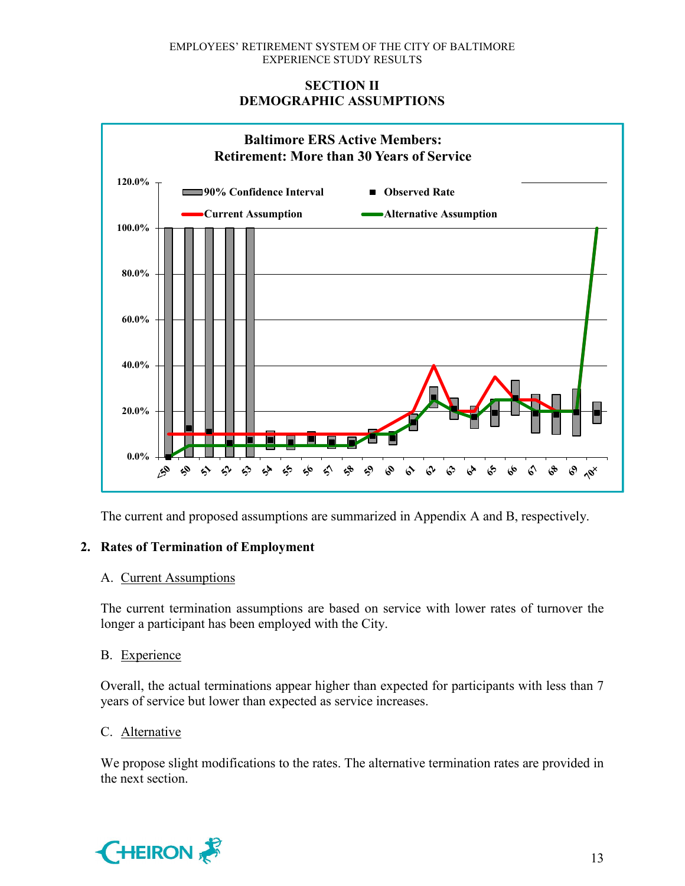# **SECTION II DEMOGRAPHIC ASSUMPTIONS**



The current and proposed assumptions are summarized in Appendix A and B, respectively.

# **2. Rates of Termination of Employment**

### A. Current Assumptions

The current termination assumptions are based on service with lower rates of turnover the longer a participant has been employed with the City.

### B. Experience

Overall, the actual terminations appear higher than expected for participants with less than 7 years of service but lower than expected as service increases.

### C. Alternative

We propose slight modifications to the rates. The alternative termination rates are provided in the next section.

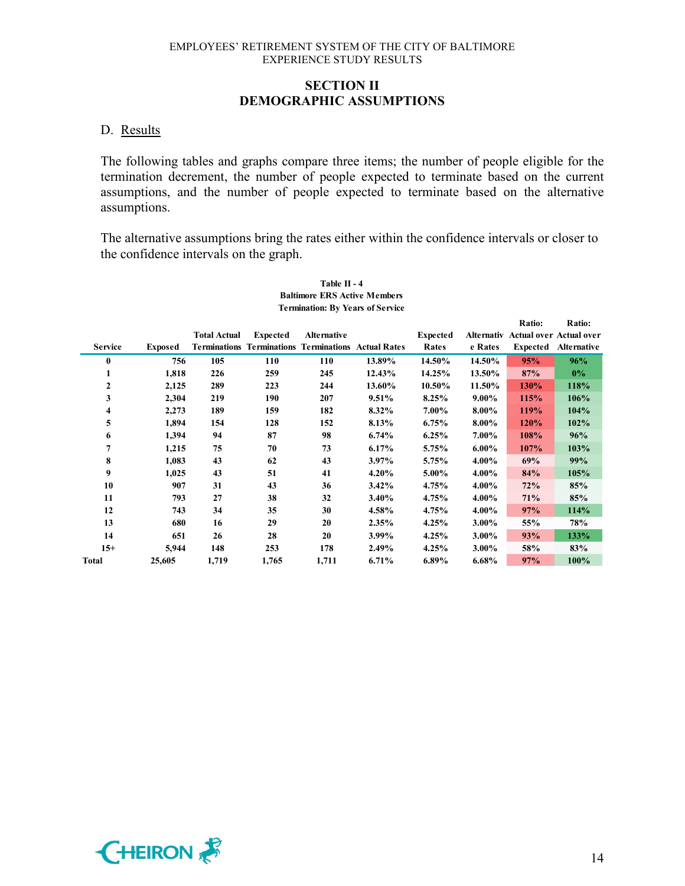### **SECTION II DEMOGRAPHIC ASSUMPTIONS**

#### D. Results

The following tables and graphs compare three items; the number of people eligible for the termination decrement, the number of people expected to terminate based on the current assumptions, and the number of people expected to terminate based on the alternative assumptions.

The alternative assumptions bring the rates either within the confidence intervals or closer to the confidence intervals on the graph.

|                | <b>Termination: By Years of Service</b> |                     |                                                                               |                    |          |                          |          |                           |                                                                    |  |  |  |  |
|----------------|-----------------------------------------|---------------------|-------------------------------------------------------------------------------|--------------------|----------|--------------------------|----------|---------------------------|--------------------------------------------------------------------|--|--|--|--|
| <b>Service</b> | <b>Exposed</b>                          | <b>Total Actual</b> | <b>Expected</b><br><b>Terminations Terminations Terminations Actual Rates</b> | <b>Alternative</b> |          | <b>Expected</b><br>Rates | e Rates  | Ratio:<br><b>Expected</b> | Ratio:<br>Alternativ Actual over Actual over<br><b>Alternative</b> |  |  |  |  |
| $\bf{0}$       | 756                                     | 105                 | 110                                                                           | 110                | 13.89%   | 14.50%                   | 14.50%   | 95%                       | 96%                                                                |  |  |  |  |
| 1              | 1,818                                   | 226                 | 259                                                                           | 245                | 12.43%   | 14.25%                   | 13.50%   | 87%                       | $0\%$                                                              |  |  |  |  |
| $\mathbf{2}$   | 2,125                                   | 289                 | 223                                                                           | 244                | 13.60%   | 10.50%                   | 11.50%   | 130%                      | 118%                                                               |  |  |  |  |
| 3              | 2,304                                   | 219                 | 190                                                                           | 207                | 9.51%    | 8.25%                    | $9.00\%$ | 115%                      | 106%                                                               |  |  |  |  |
| 4              | 2,273                                   | 189                 | 159                                                                           | 182                | 8.32%    | 7.00%                    | 8.00%    | 119%                      | 104%                                                               |  |  |  |  |
| 5              | 1,894                                   | 154                 | 128                                                                           | 152                | 8.13%    | 6.75%                    | 8.00%    | 120%                      | 102%                                                               |  |  |  |  |
| 6              | 1,394                                   | 94                  | 87                                                                            | 98                 | 6.74%    | 6.25%                    | 7.00%    | 108%                      | 96%                                                                |  |  |  |  |
| 7              | 1,215                                   | 75                  | 70                                                                            | 73                 | 6.17%    | 5.75%                    | $6.00\%$ | 107%                      | 103%                                                               |  |  |  |  |
| 8              | 1,083                                   | 43                  | 62                                                                            | 43                 | 3.97%    | 5.75%                    | 4.00%    | 69%                       | 99%                                                                |  |  |  |  |
| 9              | 1,025                                   | 43                  | 51                                                                            | 41                 | 4.20%    | 5.00%                    | 4.00%    | 84%                       | 105%                                                               |  |  |  |  |
| 10             | 907                                     | 31                  | 43                                                                            | 36                 | $3.42\%$ | 4.75%                    | 4.00%    | 72%                       | 85%                                                                |  |  |  |  |
| 11             | 793                                     | 27                  | 38                                                                            | 32                 | 3.40%    | 4.75%                    | 4.00%    | 71%                       | 85%                                                                |  |  |  |  |
| 12             | 743                                     | 34                  | 35                                                                            | 30                 | 4.58%    | 4.75%                    | 4.00%    | 97%                       | 114%                                                               |  |  |  |  |
| 13             | 680                                     | 16                  | 29                                                                            | 20                 | 2.35%    | 4.25%                    | 3.00%    | 55%                       | 78%                                                                |  |  |  |  |
| 14             | 651                                     | 26                  | 28                                                                            | 20                 | 3.99%    | 4.25%                    | 3.00%    | 93%                       | 133%                                                               |  |  |  |  |
| $15+$          | 5,944                                   | 148                 | 253                                                                           | 178                | 2.49%    | 4.25%                    | 3.00%    | 58%                       | 83%                                                                |  |  |  |  |
| <b>Total</b>   | 25,605                                  | 1,719               | 1,765                                                                         | 1,711              | 6.71%    | 6.89%                    | 6.68%    | 97%                       | 100%                                                               |  |  |  |  |

# **Table II - 4 Baltimore ERS Active Members**

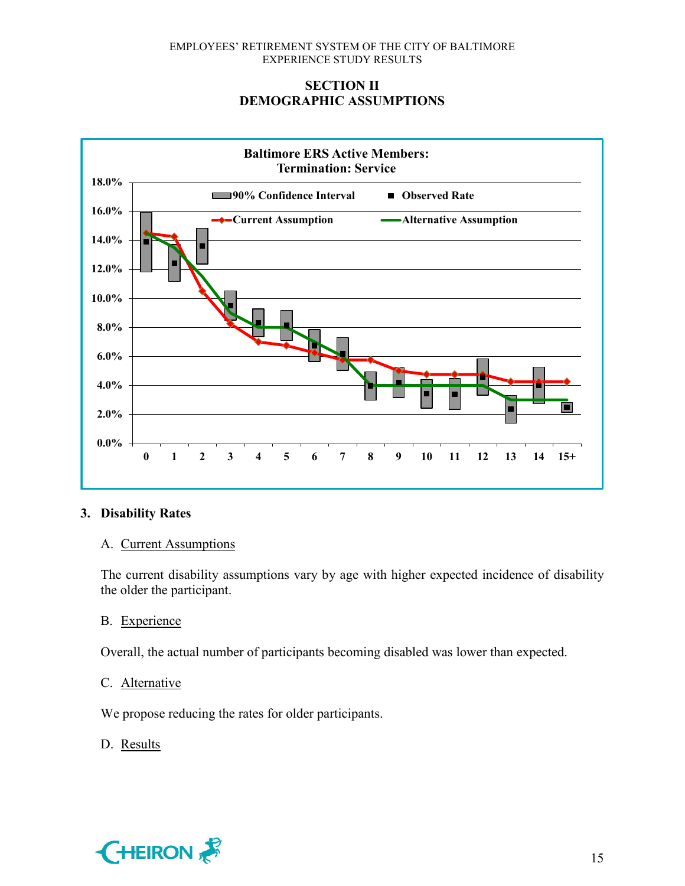# **SECTION II DEMOGRAPHIC ASSUMPTIONS**



# **3. Disability Rates**

### A. Current Assumptions

The current disability assumptions vary by age with higher expected incidence of disability the older the participant.

### B. Experience

Overall, the actual number of participants becoming disabled was lower than expected.

### C. Alternative

We propose reducing the rates for older participants.

# D. Results

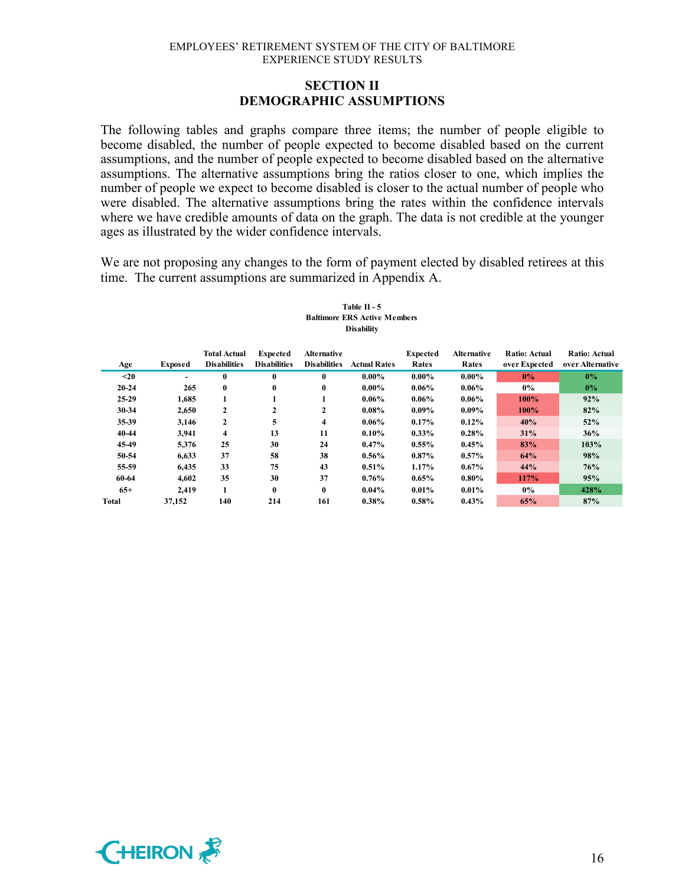### **SECTION II DEMOGRAPHIC ASSUMPTIONS**

The following tables and graphs compare three items; the number of people eligible to become disabled, the number of people expected to become disabled based on the current assumptions, and the number of people expected to become disabled based on the alternative assumptions. The alternative assumptions bring the ratios closer to one, which implies the number of people we expect to become disabled is closer to the actual number of people who were disabled. The alternative assumptions bring the rates within the confidence intervals where we have credible amounts of data on the graph. The data is not credible at the younger ages as illustrated by the wider confidence intervals.

We are not proposing any changes to the form of payment elected by disabled retirees at this time. The current assumptions are summarized in Appendix A.

#### **Table II - 5 Baltimore ERS Active Members Disability**

| Age       | <b>Exposed</b> | <b>Total Actual</b><br><b>Disabilities</b> | <b>Expected</b><br><b>Disabilities</b> | <b>Alternative</b><br><b>Disabilities</b> | <b>Actual Rates</b> | <b>Expected</b><br>Rates | <b>Alternative</b><br>Rates | <b>Ratio: Actual</b><br>over Expected | <b>Ratio: Actual</b><br>over Alternative |
|-----------|----------------|--------------------------------------------|----------------------------------------|-------------------------------------------|---------------------|--------------------------|-----------------------------|---------------------------------------|------------------------------------------|
| $20$      | Ξ.             | $\mathbf{0}$                               | $\mathbf{0}$                           | 0                                         | $0.00\%$            | $0.00\%$                 | $0.00\%$                    | $0\%$                                 | $0\%$                                    |
| $20 - 24$ | 265            | $\mathbf{0}$                               | $\bf{0}$                               | $\bf{0}$                                  | $0.00\%$            | $0.06\%$                 | $0.06\%$                    | $0\%$                                 | $0\%$                                    |
| $25 - 29$ | 1.685          |                                            |                                        |                                           | $0.06\%$            | $0.06\%$                 | $0.06\%$                    | 100%                                  | 92%                                      |
| 30-34     | 2,650          | $\mathbf{2}$                               | 2                                      | 2                                         | $0.08\%$            | $0.09\%$                 | $0.09\%$                    | 100%                                  | 82%                                      |
| 35-39     | 3,146          | $\mathbf{2}$                               | 5                                      | 4                                         | $0.06\%$            | 0.17%                    | 0.12%                       | 40%                                   | 52%                                      |
| 40-44     | 3.941          | $\overline{\bf{4}}$                        | 13                                     | 11                                        | $0.10\%$            | $0.33\%$                 | 0.28%                       | 31%                                   | 36%                                      |
| 45-49     | 5.376          | 25                                         | 30                                     | 24                                        | 0.47%               | 0.55%                    | 0.45%                       | 83%                                   | 103%                                     |
| 50-54     | 6,633          | 37                                         | 58                                     | 38                                        | $0.56\%$            | $0.87\%$                 | 0.57%                       | 64%                                   | 98%                                      |
| 55-59     | 6.435          | 33                                         | 75                                     | 43                                        | $0.51\%$            | 1.17%                    | $0.67\%$                    | 44%                                   | 76%                                      |
| 60-64     | 4.602          | 35                                         | 30                                     | 37                                        | 0.76%               | 0.65%                    | $0.80\%$                    | 117%                                  | 95%                                      |
| $65+$     | 2.419          |                                            | $\bf{0}$                               | $\bf{0}$                                  | $0.04\%$            | 0.01%                    | 0.01%                       | $0\%$                                 | 428%                                     |
| Total     | 37,152         | 140                                        | 214                                    | 161                                       | 0.38%               | 0.58%                    | 0.43%                       | 65%                                   | 87%                                      |

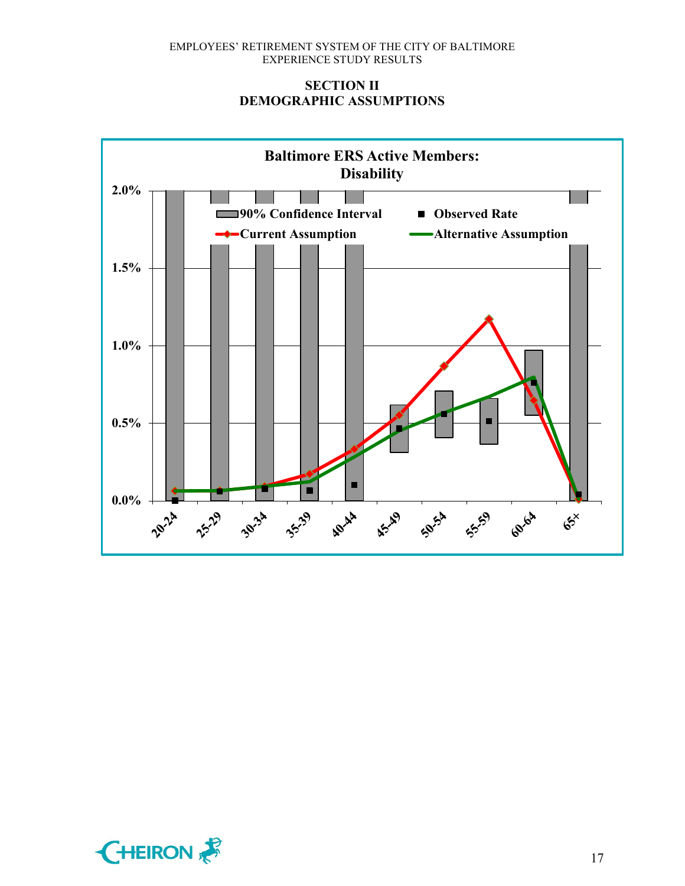# **SECTION II DEMOGRAPHIC ASSUMPTIONS**



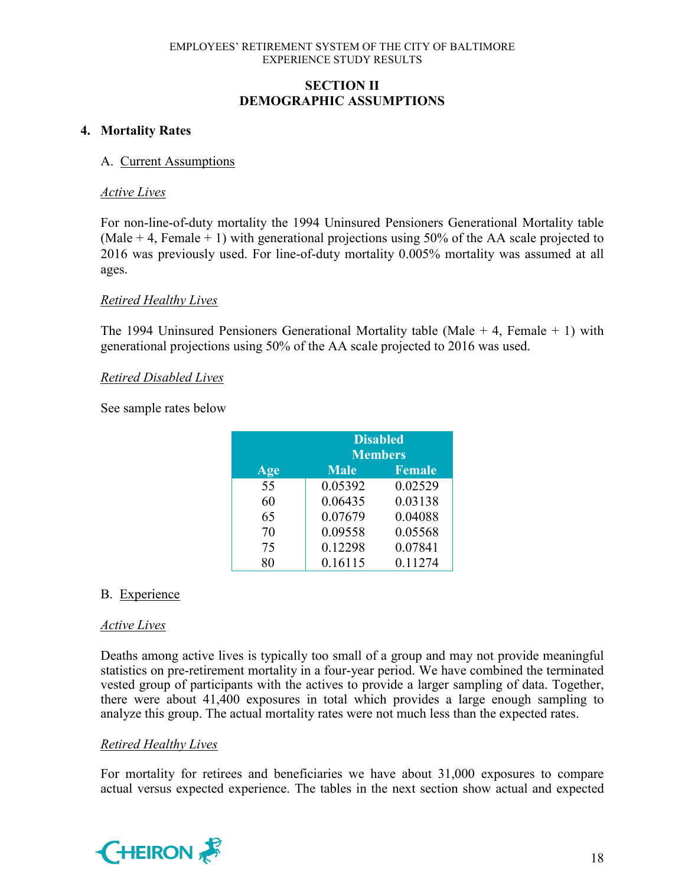# **SECTION II DEMOGRAPHIC ASSUMPTIONS**

# **4. Mortality Rates**

### A. Current Assumptions

#### *Active Lives*

For non-line-of-duty mortality the 1994 Uninsured Pensioners Generational Mortality table (Male  $+$  4, Female  $+$  1) with generational projections using 50% of the AA scale projected to 2016 was previously used. For line-of-duty mortality 0.005% mortality was assumed at all ages.

### *Retired Healthy Lives*

The 1994 Uninsured Pensioners Generational Mortality table (Male  $+$  4, Female  $+$  1) with generational projections using 50% of the AA scale projected to 2016 was used.

### *Retired Disabled Lives*

See sample rates below

|     | <b>Disabled</b><br><b>Members</b> |               |  |  |  |  |  |
|-----|-----------------------------------|---------------|--|--|--|--|--|
| Age | <b>Male</b>                       | <b>Female</b> |  |  |  |  |  |
| 55  | 0.05392                           | 0.02529       |  |  |  |  |  |
| 60  | 0.06435                           | 0.03138       |  |  |  |  |  |
| 65  | 0.07679                           | 0.04088       |  |  |  |  |  |
| 70  | 0.09558                           | 0.05568       |  |  |  |  |  |
| 75  | 0.12298                           | 0.07841       |  |  |  |  |  |
|     | 0.16115                           | 0.11274       |  |  |  |  |  |

# B. Experience

### *Active Lives*

Deaths among active lives is typically too small of a group and may not provide meaningful statistics on pre-retirement mortality in a four-year period. We have combined the terminated vested group of participants with the actives to provide a larger sampling of data. Together, there were about 41,400 exposures in total which provides a large enough sampling to analyze this group. The actual mortality rates were not much less than the expected rates.

### *Retired Healthy Lives*

For mortality for retirees and beneficiaries we have about 31,000 exposures to compare actual versus expected experience. The tables in the next section show actual and expected

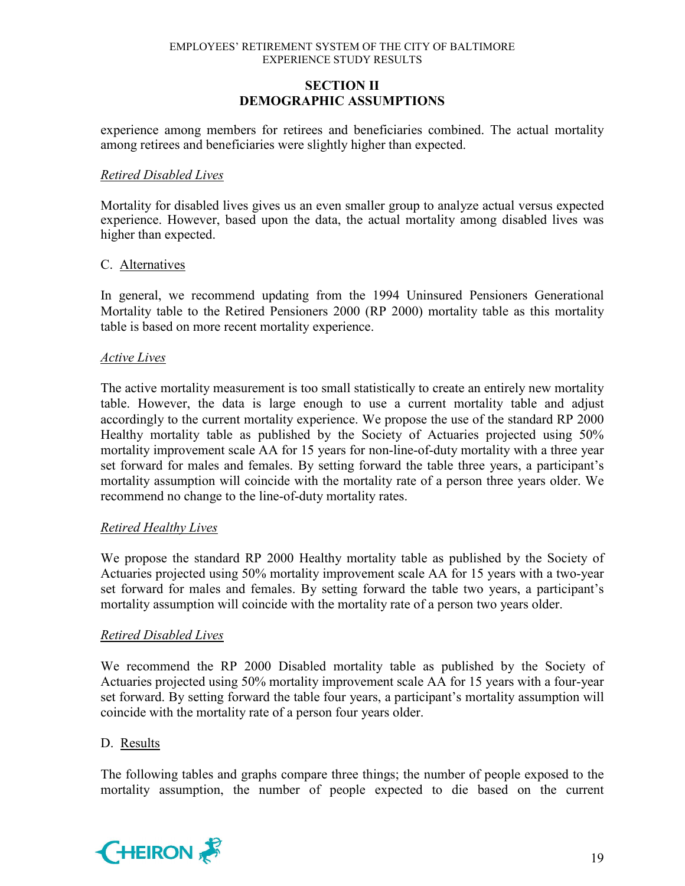# **SECTION II DEMOGRAPHIC ASSUMPTIONS**

experience among members for retirees and beneficiaries combined. The actual mortality among retirees and beneficiaries were slightly higher than expected.

#### *Retired Disabled Lives*

Mortality for disabled lives gives us an even smaller group to analyze actual versus expected experience. However, based upon the data, the actual mortality among disabled lives was higher than expected.

#### C. Alternatives

In general, we recommend updating from the 1994 Uninsured Pensioners Generational Mortality table to the Retired Pensioners 2000 (RP 2000) mortality table as this mortality table is based on more recent mortality experience.

#### *Active Lives*

The active mortality measurement is too small statistically to create an entirely new mortality table. However, the data is large enough to use a current mortality table and adjust accordingly to the current mortality experience. We propose the use of the standard RP 2000 Healthy mortality table as published by the Society of Actuaries projected using 50% mortality improvement scale AA for 15 years for non-line-of-duty mortality with a three year set forward for males and females. By setting forward the table three years, a participant's mortality assumption will coincide with the mortality rate of a person three years older. We recommend no change to the line-of-duty mortality rates.

### *Retired Healthy Lives*

We propose the standard RP 2000 Healthy mortality table as published by the Society of Actuaries projected using 50% mortality improvement scale AA for 15 years with a two-year set forward for males and females. By setting forward the table two years, a participant's mortality assumption will coincide with the mortality rate of a person two years older.

### *Retired Disabled Lives*

We recommend the RP 2000 Disabled mortality table as published by the Society of Actuaries projected using 50% mortality improvement scale AA for 15 years with a four-year set forward. By setting forward the table four years, a participant's mortality assumption will coincide with the mortality rate of a person four years older.

### D. Results

The following tables and graphs compare three things; the number of people exposed to the mortality assumption, the number of people expected to die based on the current

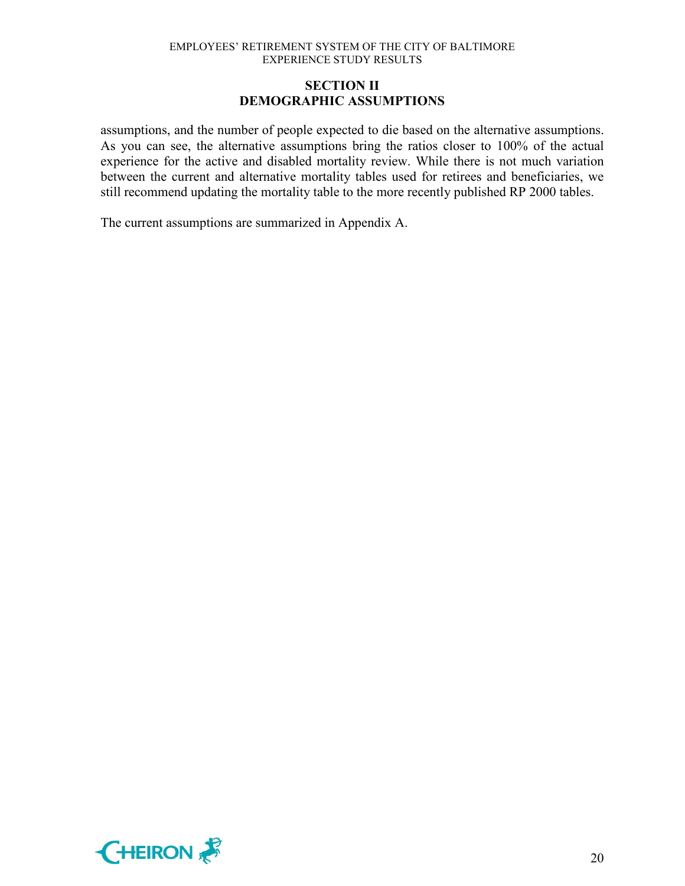# **SECTION II DEMOGRAPHIC ASSUMPTIONS**

assumptions, and the number of people expected to die based on the alternative assumptions. As you can see, the alternative assumptions bring the ratios closer to 100% of the actual experience for the active and disabled mortality review. While there is not much variation between the current and alternative mortality tables used for retirees and beneficiaries, we still recommend updating the mortality table to the more recently published RP 2000 tables.

The current assumptions are summarized in Appendix A.

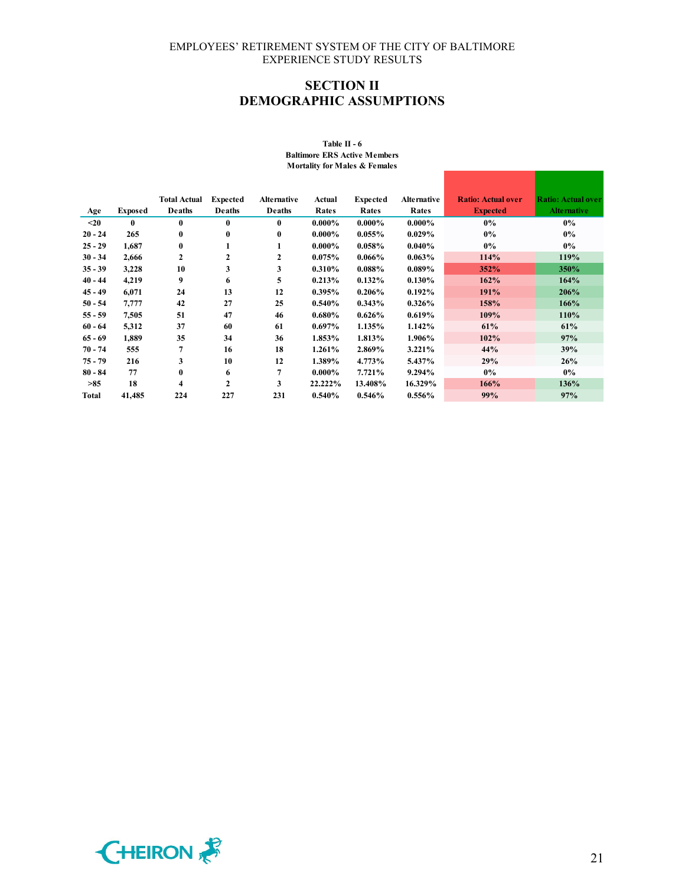# **SECTION II DEMOGRAPHIC ASSUMPTIONS**

|           |                | <b>Total Actual</b> | <b>Expected</b> | <b>Alternative</b> | Actual    | <b>Expected</b> | <b>Alternative</b> | <b>Ratio: Actual over</b> | <b>Ratio: Actual over</b> |
|-----------|----------------|---------------------|-----------------|--------------------|-----------|-----------------|--------------------|---------------------------|---------------------------|
| Age       | <b>Exposed</b> | Deaths              | <b>Deaths</b>   | <b>Deaths</b>      | Rates     | Rates           | Rates              | <b>Expected</b>           | <b>Alternative</b>        |
| $20$      | $\mathbf{0}$   | $\bf{0}$            | 0               | $\bf{0}$           | $0.000\%$ | $0.000\%$       | $0.000\%$          | 0%                        | $0\%$                     |
| $20 - 24$ | 265            | $\bf{0}$            | $\bf{0}$        | $\bf{0}$           | $0.000\%$ | 0.055%          | 0.029%             | 0%                        | $0\%$                     |
| $25 - 29$ | 1,687          | $\bf{0}$            | 1               | 1                  | $0.000\%$ | $0.058\%$       | $0.040\%$          | $0\%$                     | $0\%$                     |
| $30 - 34$ | 2,666          | $\overline{2}$      | 2               | $\mathbf{2}$       | 0.075%    | $0.066\%$       | 0.063%             | 114%                      | 119%                      |
| $35 - 39$ | 3,228          | 10                  | 3               | 3                  | 0.310%    | 0.088%          | $0.089\%$          | 352%                      | 350%                      |
| $40 - 44$ | 4,219          | 9                   | 6               | 5                  | 0.213%    | 0.132%          | 0.130%             | 162%                      | 164%                      |
| $45 - 49$ | 6,071          | 24                  | 13              | 12                 | 0.395%    | 0.206%          | 0.192%             | 191%                      | 206%                      |
| $50 - 54$ | 7,777          | 42                  | 27              | 25                 | $0.540\%$ | 0.343%          | $0.326\%$          | 158%                      | 166%                      |
| $55 - 59$ | 7,505          | 51                  | 47              | 46                 | $0.680\%$ | $0.626\%$       | 0.619%             | 109%                      | 110%                      |
| $60 - 64$ | 5,312          | 37                  | 60              | 61                 | $0.697\%$ | 1.135%          | 1.142%             | 61%                       | 61%                       |
| $65 - 69$ | 1,889          | 35                  | 34              | 36                 | 1.853%    | 1.813%          | 1.906%             | 102%                      | 97%                       |
| $70 - 74$ | 555            | 7                   | 16              | 18                 | 1.261%    | 2.869%          | 3.221%             | 44%                       | 39%                       |
| $75 - 79$ | 216            | 3                   | 10              | 12                 | 1.389%    | 4.773%          | 5.437%             | 29%                       | 26%                       |
| $80 - 84$ | 77             | $\bf{0}$            | 6               | 7                  | $0.000\%$ | 7.721%          | 9.294%             | $0\%$                     | $0\%$                     |
| >85       | 18             | 4                   | $\mathbf{2}$    | 3                  | 22.222%   | 13.408%         | 16.329%            | 166%                      | 136%                      |
| Total     | 41,485         | 224                 | 227             | 231                | 0.540%    | $0.546\%$       | 0.556%             | 99%                       | 97%                       |

#### **Table II - 6 Baltimore ERS Active Members Mortality for Males & Females**

г

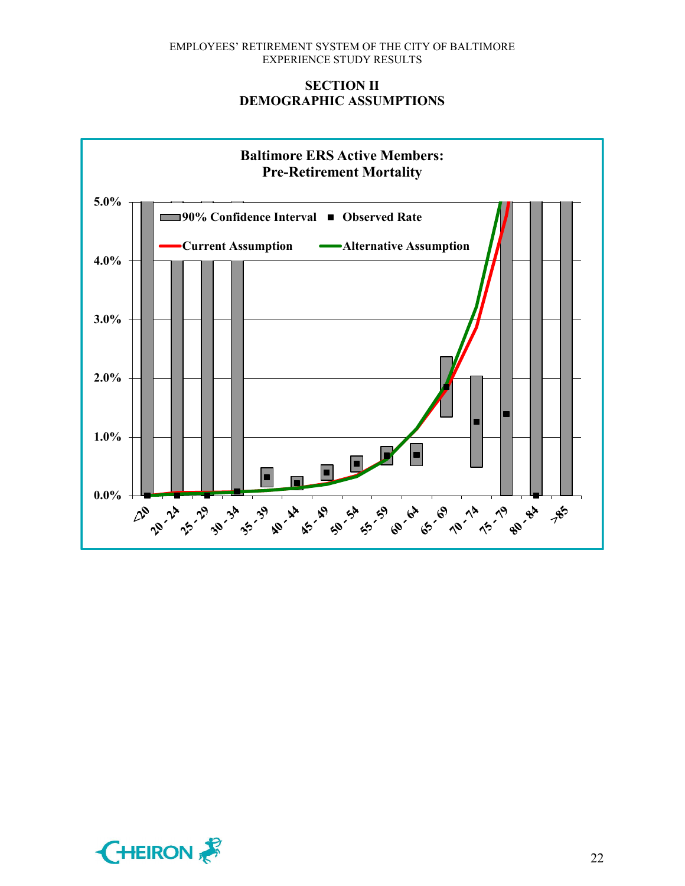# **SECTION II DEMOGRAPHIC ASSUMPTIONS**



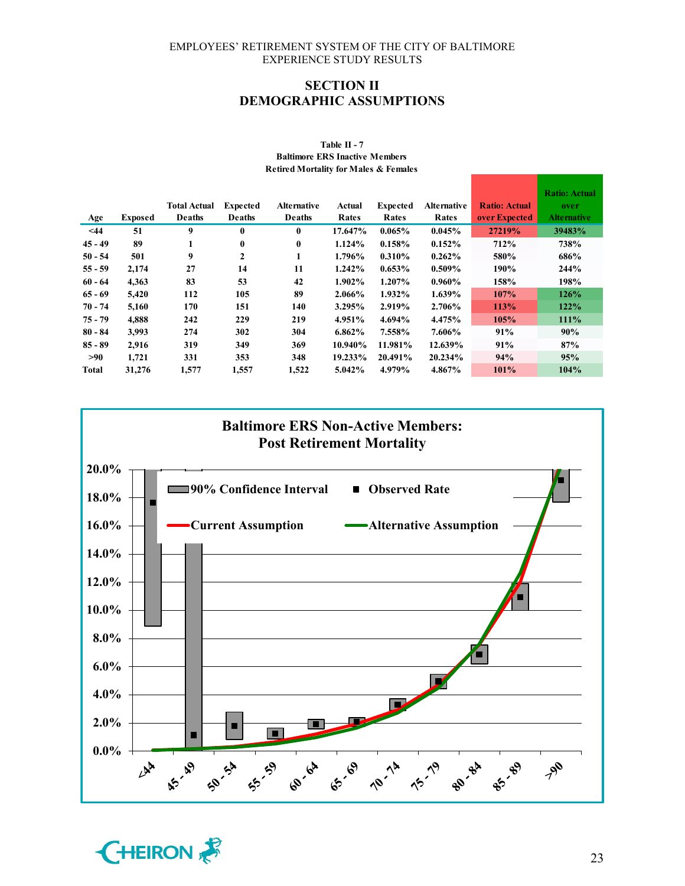### **SECTION II DEMOGRAPHIC ASSUMPTIONS**

|              |                | <b>Total Actual</b> | <b>Expected</b> | <b>Alternative</b> | Actual  | <b>Expected</b> | <b>Alternative</b> | <b>Ratio: Actual</b> | <b>Ratio: Actual</b><br>over |
|--------------|----------------|---------------------|-----------------|--------------------|---------|-----------------|--------------------|----------------------|------------------------------|
| Age          | <b>Exposed</b> | Deaths              | <b>Deaths</b>   | Deaths             | Rates   | Rates           | Rates              | over Expected        | <b>Alternative</b>           |
| $<$ 44       | 51             | 9                   | $\bf{0}$        | $\bf{0}$           | 17.647% | 0.065%          | 0.045%             | 27219%               | 39483%                       |
| $45 - 49$    | 89             |                     | 0               | $\bf{0}$           | 1.124%  | 0.158%          | $0.152\%$          | 712%                 | 738%                         |
| $50 - 54$    | 501            | 9                   | 2               | 1                  | 1.796%  | 0.310%          | 0.262%             | 580%                 | 686%                         |
| $55 - 59$    | 2,174          | 27                  | 14              | 11                 | 1.242%  | $0.653\%$       | $0.509\%$          | 190%                 | 244%                         |
| $60 - 64$    | 4,363          | 83                  | 53              | 42                 | 1.902%  | 1.207%          | $0.960\%$          | 158%                 | 198%                         |
| $65 - 69$    | 5,420          | 112                 | 105             | 89                 | 2.066%  | 1.932%          | 1.639%             | 107%                 | 126%                         |
| $70 - 74$    | 5,160          | 170                 | 151             | 140                | 3.295%  | 2.919%          | 2.706%             | 113%                 | 122%                         |
| $75 - 79$    | 4.888          | 242                 | 229             | 219                | 4.951%  | 4.694%          | 4.475%             | 105%                 | 111%                         |
| $80 - 84$    | 3.993          | 274                 | 302             | 304                | 6.862%  | 7.558%          | 7.606%             | 91%                  | 90%                          |
| $85 - 89$    | 2,916          | 319                 | 349             | 369                | 10.940% | 11.981%         | 12.639%            | 91%                  | 87%                          |
| >90          | 1,721          | 331                 | 353             | 348                | 19.233% | 20.491%         | 20.234%            | 94%                  | 95%                          |
| <b>Total</b> | 31,276         | 1,577               | 1,557           | 1,522              | 5.042%  | 4.979%          | 4.867%             | 101%                 | 104%                         |

#### **Table II - 7 Baltimore ERS Inactive Members Retired Mortality for Males & Females**



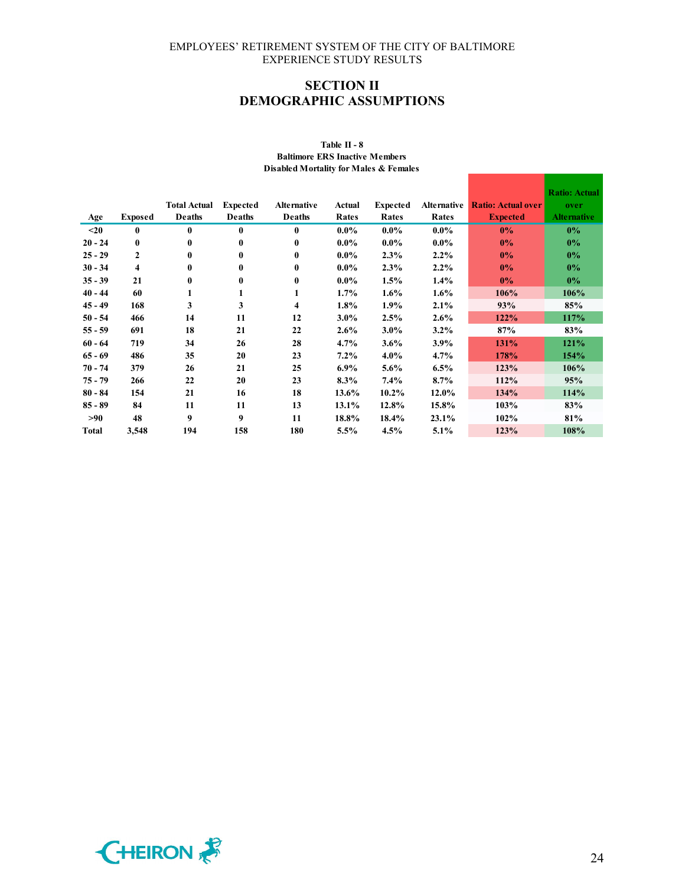# **SECTION II DEMOGRAPHIC ASSUMPTIONS**

|           |                |                               |                           |                              |         |                 |                    |                           | <b>Ratio: Actual</b>       |
|-----------|----------------|-------------------------------|---------------------------|------------------------------|---------|-----------------|--------------------|---------------------------|----------------------------|
|           |                | <b>Total Actual</b><br>Deaths | <b>Expected</b><br>Deaths | <b>Alternative</b><br>Deaths | Actual  | <b>Expected</b> | <b>Alternative</b> | <b>Ratio: Actual over</b> | over<br><b>Alternative</b> |
| Age       | <b>Exposed</b> |                               |                           |                              | Rates   | Rates           | Rates              | <b>Expected</b>           |                            |
| $20$      | $\bf{0}$       | $\bf{0}$                      | $\bf{0}$                  | $\mathbf{0}$                 | $0.0\%$ | $0.0\%$         | $0.0\%$            | 0%                        | $0\%$                      |
| $20 - 24$ | $\bf{0}$       | $\bf{0}$                      | $\bf{0}$                  | 0                            | $0.0\%$ | $0.0\%$         | $0.0\%$            | 0%                        | $0\%$                      |
| $25 - 29$ | $\mathbf{2}$   | $\mathbf{0}$                  | $\bf{0}$                  | 0                            | $0.0\%$ | 2.3%            | $2.2\%$            | $0\%$                     | $0\%$                      |
| $30 - 34$ | 4              | $\bf{0}$                      | $\bf{0}$                  | 0                            | $0.0\%$ | 2.3%            | $2.2\%$            | 0%                        | $0\%$                      |
| $35 - 39$ | 21             | $\bf{0}$                      | $\bf{0}$                  | 0                            | $0.0\%$ | 1.5%            | $1.4\%$            | $0\%$                     | $0\%$                      |
| $40 - 44$ | 60             | 1                             | 1                         | 1                            | 1.7%    | $1.6\%$         | $1.6\%$            | 106%                      | 106%                       |
| $45 - 49$ | 168            | 3                             | 3                         | 4                            | 1.8%    | 1.9%            | 2.1%               | 93%                       | 85%                        |
| $50 - 54$ | 466            | 14                            | 11                        | 12                           | $3.0\%$ | 2.5%            | $2.6\%$            | 122%                      | 117%                       |
| $55 - 59$ | 691            | 18                            | 21                        | 22                           | 2.6%    | $3.0\%$         | $3.2\%$            | 87%                       | 83%                        |
| $60 - 64$ | 719            | 34                            | 26                        | 28                           | 4.7%    | 3.6%            | $3.9\%$            | 131%                      | 121%                       |
| $65 - 69$ | 486            | 35                            | 20                        | 23                           | $7.2\%$ | $4.0\%$         | $4.7\%$            | 178%                      | 154%                       |
| $70 - 74$ | 379            | 26                            | 21                        | 25                           | $6.9\%$ | 5.6%            | 6.5%               | 123%                      | 106%                       |
| $75 - 79$ | 266            | 22                            | 20                        | 23                           | 8.3%    | $7.4\%$         | 8.7%               | 112%                      | 95%                        |
| $80 - 84$ | 154            | 21                            | 16                        | 18                           | 13.6%   | $10.2\%$        | 12.0%              | 134%                      | 114%                       |
| $85 - 89$ | 84             | 11                            | 11                        | 13                           | 13.1%   | 12.8%           | 15.8%              | 103%                      | 83%                        |
| >90       | 48             | 9                             | 9                         | 11                           | 18.8%   | 18.4%           | 23.1%              | 102%                      | 81%                        |
| Total     | 3,548          | 194                           | 158                       | 180                          | 5.5%    | 4.5%            | 5.1%               | 123%                      | 108%                       |

#### **Table II - 8 Baltimore ERS Inactive Members Disabled Mortality for Males & Females**



the contract of the contract of the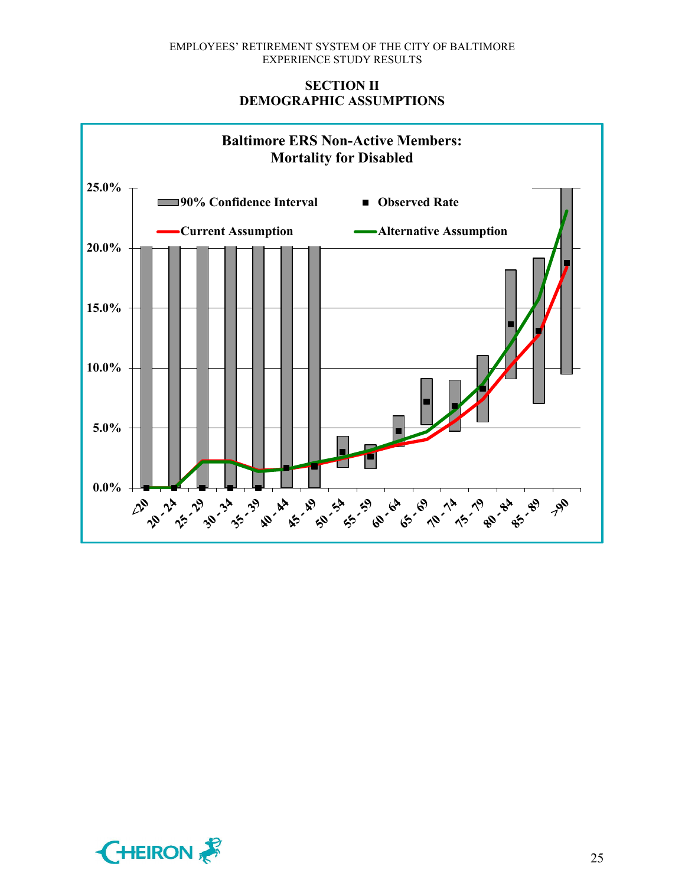# **SECTION II DEMOGRAPHIC ASSUMPTIONS**



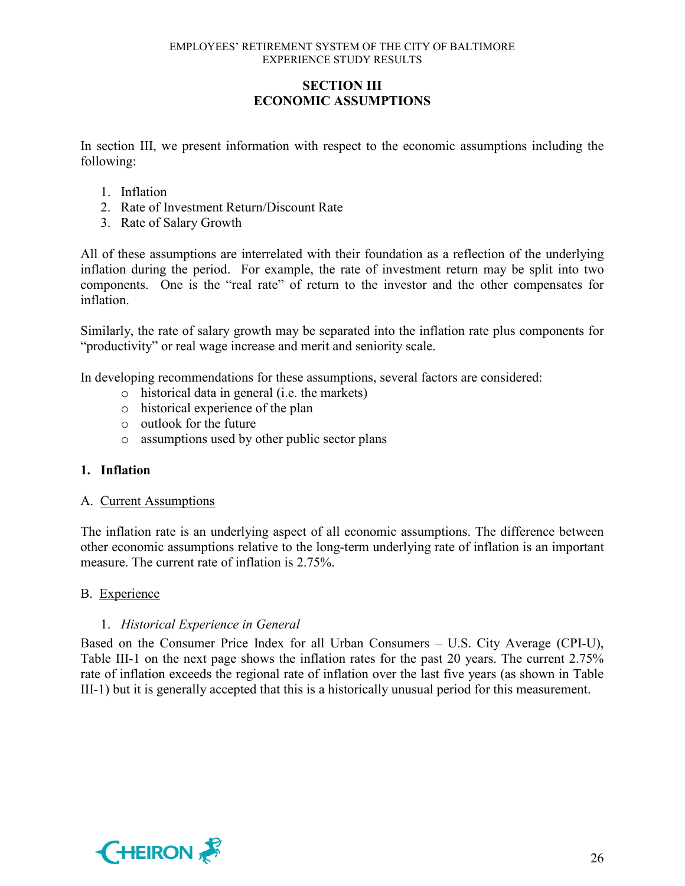# **SECTION III ECONOMIC ASSUMPTIONS**

In section III, we present information with respect to the economic assumptions including the following:

- 1. Inflation
- 2. Rate of Investment Return/Discount Rate
- 3. Rate of Salary Growth

All of these assumptions are interrelated with their foundation as a reflection of the underlying inflation during the period. For example, the rate of investment return may be split into two components. One is the "real rate" of return to the investor and the other compensates for inflation.

Similarly, the rate of salary growth may be separated into the inflation rate plus components for "productivity" or real wage increase and merit and seniority scale.

In developing recommendations for these assumptions, several factors are considered:

- o historical data in general (i.e. the markets)
- o historical experience of the plan
- o outlook for the future
- o assumptions used by other public sector plans

### **1. Inflation**

### A. Current Assumptions

The inflation rate is an underlying aspect of all economic assumptions. The difference between other economic assumptions relative to the long-term underlying rate of inflation is an important measure. The current rate of inflation is 2.75%.

### B. Experience

### 1. *Historical Experience in General*

Based on the Consumer Price Index for all Urban Consumers – U.S. City Average (CPI-U), Table III-1 on the next page shows the inflation rates for the past 20 years. The current 2.75% rate of inflation exceeds the regional rate of inflation over the last five years (as shown in Table III-1) but it is generally accepted that this is a historically unusual period for this measurement.

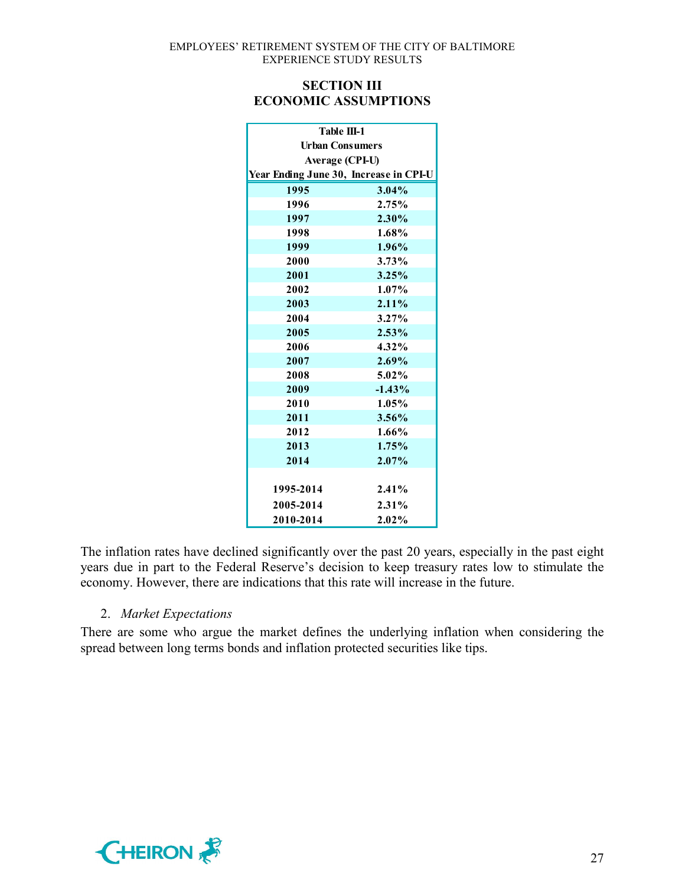## **SECTION III ECONOMIC ASSUMPTIONS**

| <b>Table III-1</b>     |                                        |  |  |  |  |  |  |
|------------------------|----------------------------------------|--|--|--|--|--|--|
| <b>Urban Consumers</b> |                                        |  |  |  |  |  |  |
| <b>Average (CPI-U)</b> |                                        |  |  |  |  |  |  |
|                        | Year Ending June 30, Increase in CPI-U |  |  |  |  |  |  |
| 1995                   | 3.04%                                  |  |  |  |  |  |  |
| 1996                   | 2.75%                                  |  |  |  |  |  |  |
| 1997                   | $2.30\%$                               |  |  |  |  |  |  |
| 1998                   | 1.68%                                  |  |  |  |  |  |  |
| 1999                   | $1.96\%$                               |  |  |  |  |  |  |
| 2000                   | 3.73%                                  |  |  |  |  |  |  |
| 2001                   | 3.25%                                  |  |  |  |  |  |  |
| 2002                   | $1.07\%$                               |  |  |  |  |  |  |
| 2003                   | $2.11\%$                               |  |  |  |  |  |  |
| 2004                   | $3.27\%$                               |  |  |  |  |  |  |
| 2005                   | $2.53\%$                               |  |  |  |  |  |  |
| 2006                   | $4.32\%$                               |  |  |  |  |  |  |
| 2007                   | 2.69%                                  |  |  |  |  |  |  |
| 2008                   | 5.02%                                  |  |  |  |  |  |  |
| 2009                   | $-1.43%$                               |  |  |  |  |  |  |
| 2010                   | $1.05\%$                               |  |  |  |  |  |  |
| 2011                   | $3.56\%$                               |  |  |  |  |  |  |
| 2012                   | $1.66\%$                               |  |  |  |  |  |  |
| 2013                   | 1.75%                                  |  |  |  |  |  |  |
| 2014                   | $2.07\%$                               |  |  |  |  |  |  |
|                        |                                        |  |  |  |  |  |  |
| 1995-2014              | 2.41%                                  |  |  |  |  |  |  |
| 2005-2014              | 2.31%                                  |  |  |  |  |  |  |
| 2010-2014              | 2.02%                                  |  |  |  |  |  |  |

The inflation rates have declined significantly over the past 20 years, especially in the past eight years due in part to the Federal Reserve's decision to keep treasury rates low to stimulate the economy. However, there are indications that this rate will increase in the future.

# 2. *Market Expectations*

There are some who argue the market defines the underlying inflation when considering the spread between long terms bonds and inflation protected securities like tips.

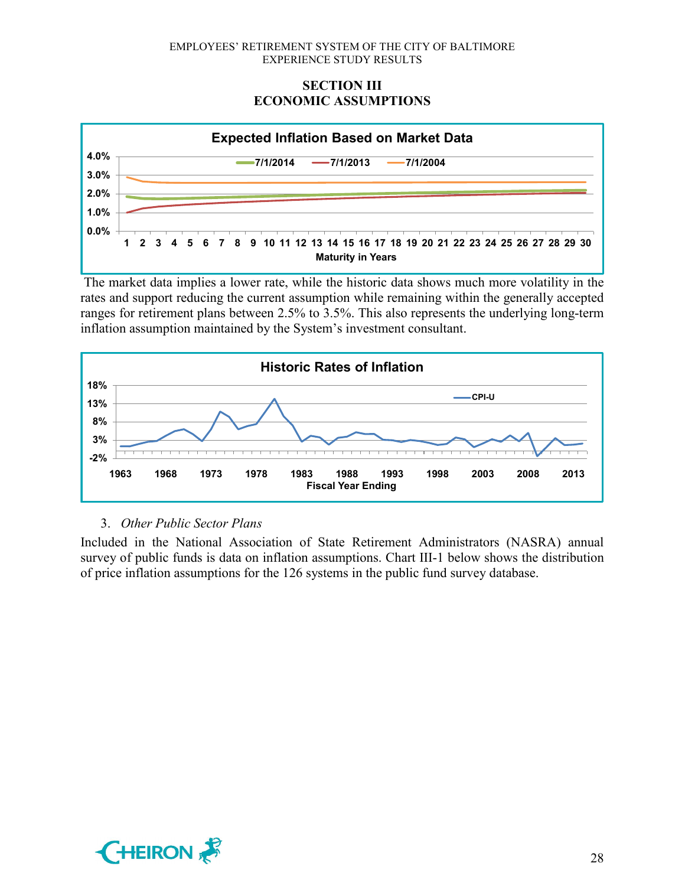# **SECTION III ECONOMIC ASSUMPTIONS**



The market data implies a lower rate, while the historic data shows much more volatility in the rates and support reducing the current assumption while remaining within the generally accepted ranges for retirement plans between 2.5% to 3.5%. This also represents the underlying long-term inflation assumption maintained by the System's investment consultant.



# 3. *Other Public Sector Plans*

Included in the National Association of State Retirement Administrators (NASRA) annual survey of public funds is data on inflation assumptions. Chart III-1 below shows the distribution of price inflation assumptions for the 126 systems in the public fund survey database.

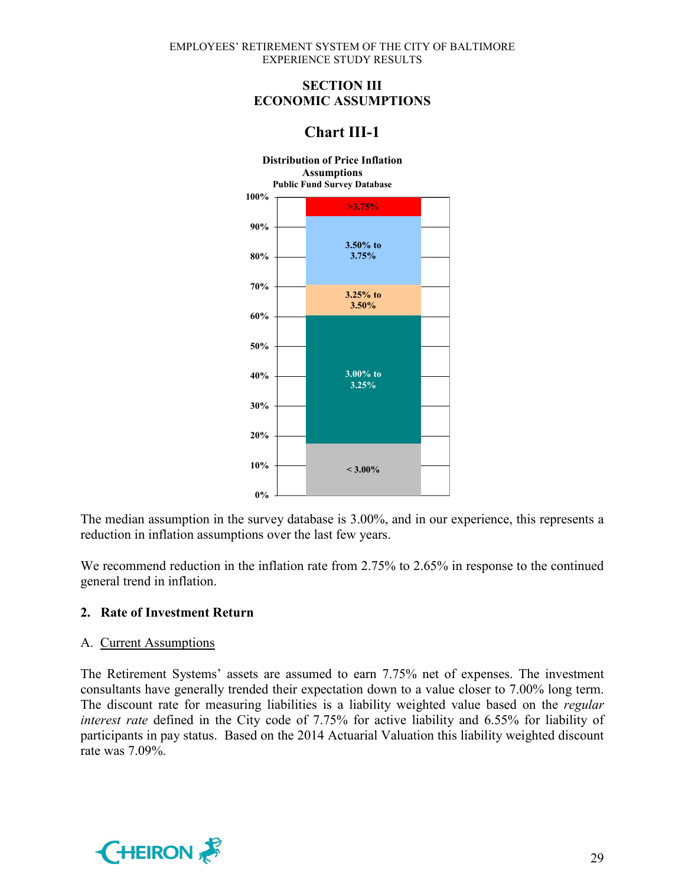# **SECTION III ECONOMIC ASSUMPTIONS**

# **Chart III-1**



The median assumption in the survey database is 3.00%, and in our experience, this represents a reduction in inflation assumptions over the last few years.

We recommend reduction in the inflation rate from 2.75% to 2.65% in response to the continued general trend in inflation.

# **2. Rate of Investment Return**

### A. Current Assumptions

The Retirement Systems' assets are assumed to earn 7.75% net of expenses. The investment consultants have generally trended their expectation down to a value closer to 7.00% long term. The discount rate for measuring liabilities is a liability weighted value based on the *regular interest rate* defined in the City code of 7.75% for active liability and 6.55% for liability of participants in pay status. Based on the 2014 Actuarial Valuation this liability weighted discount rate was 7.09%.

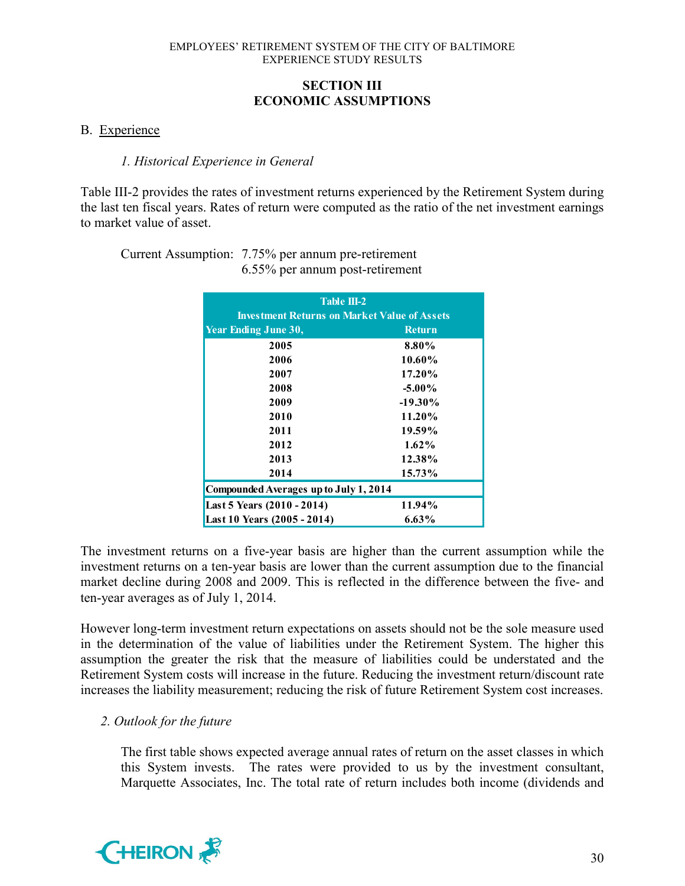# **SECTION III ECONOMIC ASSUMPTIONS**

### B. Experience

### *1. Historical Experience in General*

Table III-2 provides the rates of investment returns experienced by the Retirement System during the last ten fiscal years. Rates of return were computed as the ratio of the net investment earnings to market value of asset.

Current Assumption: 7.75% per annum pre-retirement 6.55% per annum post-retirement

| Table $III-2$                                       |               |  |  |  |  |  |  |
|-----------------------------------------------------|---------------|--|--|--|--|--|--|
| <b>Investment Returns on Market Value of Assets</b> |               |  |  |  |  |  |  |
| <b>Year Ending June 30,</b>                         | <b>Return</b> |  |  |  |  |  |  |
| 2005                                                | 8.80%         |  |  |  |  |  |  |
| 2006                                                | 10.60%        |  |  |  |  |  |  |
| 2007                                                | $17.20\%$     |  |  |  |  |  |  |
| 2008                                                | $-5.00\%$     |  |  |  |  |  |  |
| 2009                                                | $-19.30\%$    |  |  |  |  |  |  |
| 2010                                                | 11.20%        |  |  |  |  |  |  |
| 2011                                                | 19.59%        |  |  |  |  |  |  |
| 2012                                                | $1.62\%$      |  |  |  |  |  |  |
| 2013                                                | 12.38%        |  |  |  |  |  |  |
| 2014                                                | 15.73%        |  |  |  |  |  |  |
| Compounded Averages up to July 1, 2014              |               |  |  |  |  |  |  |
| Last 5 Years (2010 - 2014)                          | 11.94%        |  |  |  |  |  |  |
| Last 10 Years (2005 - 2014)                         | $6.63\%$      |  |  |  |  |  |  |

The investment returns on a five-year basis are higher than the current assumption while the investment returns on a ten-year basis are lower than the current assumption due to the financial market decline during 2008 and 2009. This is reflected in the difference between the five- and ten-year averages as of July 1, 2014.

However long-term investment return expectations on assets should not be the sole measure used in the determination of the value of liabilities under the Retirement System. The higher this assumption the greater the risk that the measure of liabilities could be understated and the Retirement System costs will increase in the future. Reducing the investment return/discount rate increases the liability measurement; reducing the risk of future Retirement System cost increases.

### *2. Outlook for the future*

The first table shows expected average annual rates of return on the asset classes in which this System invests. The rates were provided to us by the investment consultant, Marquette Associates, Inc. The total rate of return includes both income (dividends and

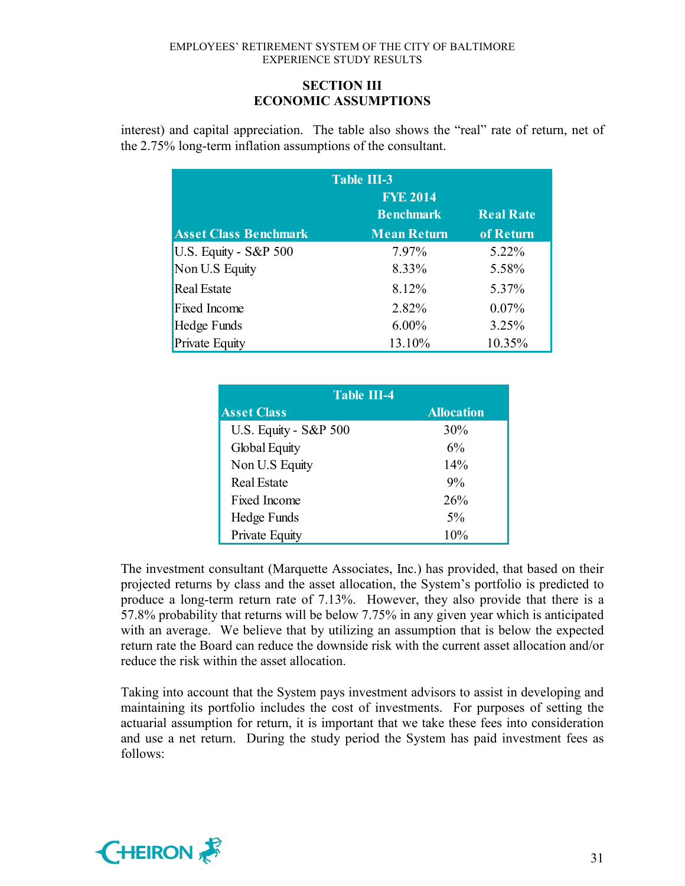# **SECTION III ECONOMIC ASSUMPTIONS**

interest) and capital appreciation. The table also shows the "real" rate of return, net of the 2.75% long-term inflation assumptions of the consultant.

| <b>Table III-3</b><br><b>FYE 2014</b><br><b>Real Rate</b><br><b>Benchmark</b> |                    |           |  |  |  |  |  |
|-------------------------------------------------------------------------------|--------------------|-----------|--|--|--|--|--|
| <b>Asset Class Benchmark</b>                                                  | <b>Mean Return</b> | of Return |  |  |  |  |  |
| U.S. Equity - S&P 500                                                         | 7.97%              | 5.22%     |  |  |  |  |  |
| Non U.S Equity                                                                | 8.33%              | 5.58%     |  |  |  |  |  |
| <b>Real Estate</b>                                                            | 8.12%              | 5.37%     |  |  |  |  |  |
| <b>Fixed Income</b>                                                           | 2.82%              | 0.07%     |  |  |  |  |  |
| Hedge Funds                                                                   | $6.00\%$           | 3.25%     |  |  |  |  |  |
| <b>Private Equity</b>                                                         | 13.10%             | 10.35%    |  |  |  |  |  |

| <b>Table III-4</b>    |                   |
|-----------------------|-------------------|
| <b>Asset Class</b>    | <b>Allocation</b> |
| U.S. Equity - S&P 500 | 30%               |
| <b>Global Equity</b>  | 6%                |
| Non U.S Equity        | 14%               |
| <b>Real Estate</b>    | 9%                |
| Fixed Income          | 26%               |
| Hedge Funds           | 5%                |
| Private Equity        | 10%               |

The investment consultant (Marquette Associates, Inc.) has provided, that based on their projected returns by class and the asset allocation, the System's portfolio is predicted to produce a long-term return rate of 7.13%. However, they also provide that there is a 57.8% probability that returns will be below 7.75% in any given year which is anticipated with an average. We believe that by utilizing an assumption that is below the expected return rate the Board can reduce the downside risk with the current asset allocation and/or reduce the risk within the asset allocation.

Taking into account that the System pays investment advisors to assist in developing and maintaining its portfolio includes the cost of investments. For purposes of setting the actuarial assumption for return, it is important that we take these fees into consideration and use a net return. During the study period the System has paid investment fees as follows:

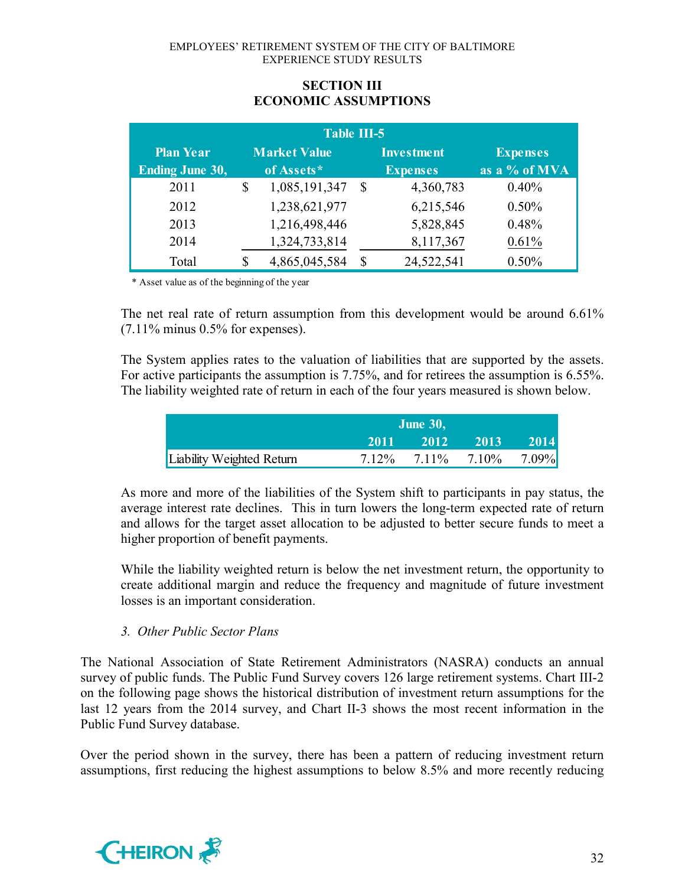| <b>Table III-5</b>                         |    |                                   |              |                                      |                                  |  |  |  |
|--------------------------------------------|----|-----------------------------------|--------------|--------------------------------------|----------------------------------|--|--|--|
| <b>Plan Year</b><br><b>Ending June 30,</b> |    | <b>Market Value</b><br>of Assets* |              | <b>Investment</b><br><b>Expenses</b> | <b>Expenses</b><br>as a % of MVA |  |  |  |
| 2011                                       | \$ | 1,085,191,347                     | <sup>S</sup> | 4,360,783                            | 0.40%                            |  |  |  |
| 2012                                       |    | 1,238,621,977                     |              | 6,215,546                            | 0.50%                            |  |  |  |
| 2013                                       |    | 1,216,498,446                     |              | 5,828,845                            | 0.48%                            |  |  |  |
| 2014                                       |    | 1,324,733,814                     |              | 8,117,367                            | 0.61%                            |  |  |  |
| Total                                      | \$ | 4,865,045,584                     | \$           | 24,522,541                           | 0.50%                            |  |  |  |

# **SECTION III ECONOMIC ASSUMPTIONS**

\* Asset value as of the beginning of the year

The net real rate of return assumption from this development would be around 6.61%  $(7.11\%$  minus 0.5% for expenses).

The System applies rates to the valuation of liabilities that are supported by the assets. For active participants the assumption is 7.75%, and for retirees the assumption is 6.55%. The liability weighted rate of return in each of the four years measured is shown below.

|                           | <b>June 30,</b> |                                     |  |      |  |  |  |
|---------------------------|-----------------|-------------------------------------|--|------|--|--|--|
|                           | 2011            | $2012$ 2013                         |  | 2014 |  |  |  |
| Liability Weighted Return |                 | $7.12\%$ $7.11\%$ $7.10\%$ $7.09\%$ |  |      |  |  |  |

As more and more of the liabilities of the System shift to participants in pay status, the average interest rate declines. This in turn lowers the long-term expected rate of return and allows for the target asset allocation to be adjusted to better secure funds to meet a higher proportion of benefit payments.

While the liability weighted return is below the net investment return, the opportunity to create additional margin and reduce the frequency and magnitude of future investment losses is an important consideration.

### *3. Other Public Sector Plans*

The National Association of State Retirement Administrators (NASRA) conducts an annual survey of public funds. The Public Fund Survey covers 126 large retirement systems. Chart III-2 on the following page shows the historical distribution of investment return assumptions for the last 12 years from the 2014 survey, and Chart II-3 shows the most recent information in the Public Fund Survey database.

Over the period shown in the survey, there has been a pattern of reducing investment return assumptions, first reducing the highest assumptions to below 8.5% and more recently reducing

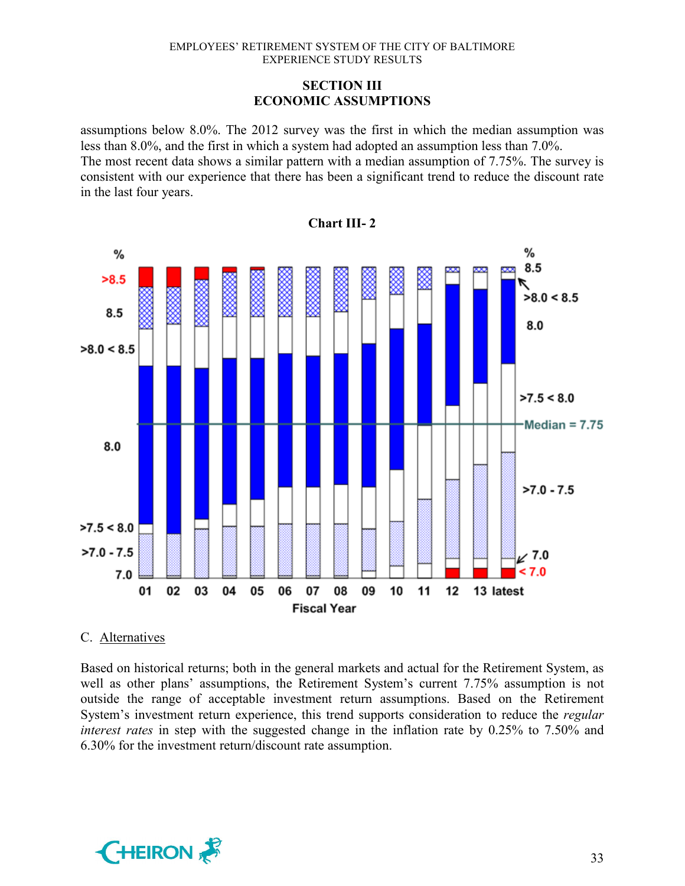# **SECTION III ECONOMIC ASSUMPTIONS**

assumptions below 8.0%. The 2012 survey was the first in which the median assumption was less than 8.0%, and the first in which a system had adopted an assumption less than 7.0%. The most recent data shows a similar pattern with a median assumption of 7.75%. The survey is consistent with our experience that there has been a significant trend to reduce the discount rate in the last four years.



# **Chart III- 2**

### C. Alternatives

Based on historical returns; both in the general markets and actual for the Retirement System, as well as other plans' assumptions, the Retirement System's current 7.75% assumption is not outside the range of acceptable investment return assumptions. Based on the Retirement System's investment return experience, this trend supports consideration to reduce the *regular interest rates* in step with the suggested change in the inflation rate by 0.25% to 7.50% and 6.30% for the investment return/discount rate assumption.

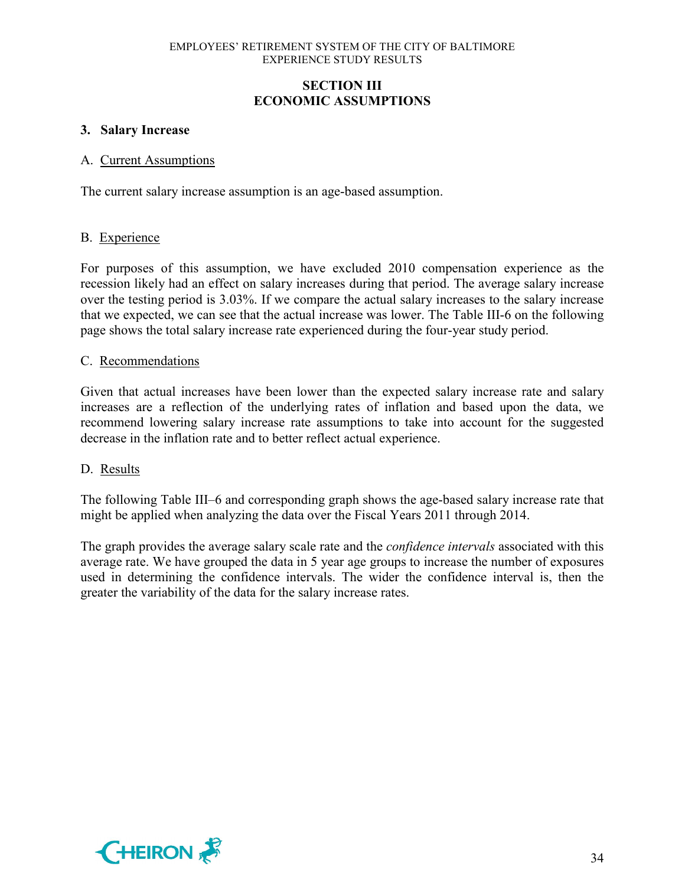# **SECTION III ECONOMIC ASSUMPTIONS**

# **3. Salary Increase**

#### A. Current Assumptions

The current salary increase assumption is an age-based assumption.

### B. Experience

For purposes of this assumption, we have excluded 2010 compensation experience as the recession likely had an effect on salary increases during that period. The average salary increase over the testing period is 3.03%. If we compare the actual salary increases to the salary increase that we expected, we can see that the actual increase was lower. The Table III-6 on the following page shows the total salary increase rate experienced during the four-year study period.

### C. Recommendations

Given that actual increases have been lower than the expected salary increase rate and salary increases are a reflection of the underlying rates of inflation and based upon the data, we recommend lowering salary increase rate assumptions to take into account for the suggested decrease in the inflation rate and to better reflect actual experience.

### D. Results

The following Table III–6 and corresponding graph shows the age-based salary increase rate that might be applied when analyzing the data over the Fiscal Years 2011 through 2014.

The graph provides the average salary scale rate and the *confidence intervals* associated with this average rate. We have grouped the data in 5 year age groups to increase the number of exposures used in determining the confidence intervals. The wider the confidence interval is, then the greater the variability of the data for the salary increase rates.

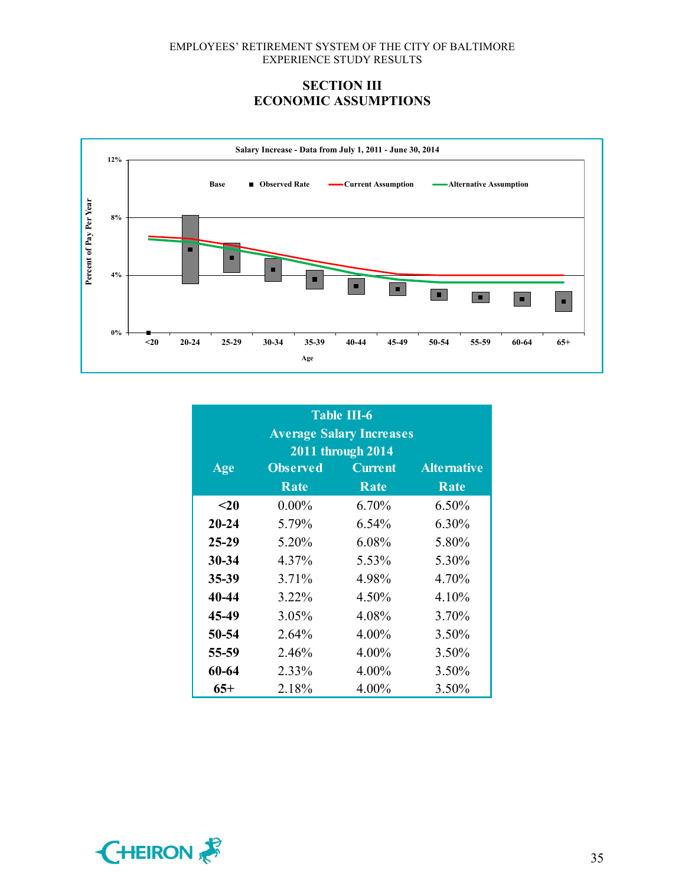# **SECTION III ECONOMIC ASSUMPTIONS**



| <b>Table III-6</b><br><b>Average Salary Increases</b><br>2011 through 2014 |                 |                |                    |  |  |  |  |  |  |
|----------------------------------------------------------------------------|-----------------|----------------|--------------------|--|--|--|--|--|--|
| Age                                                                        | <b>Observed</b> | <b>Current</b> | <b>Alternative</b> |  |  |  |  |  |  |
|                                                                            | Rate            | Rate           | Rate               |  |  |  |  |  |  |
| $20$                                                                       | $0.00\%$        | $6.70\%$       | 6.50%              |  |  |  |  |  |  |
| $20 - 24$                                                                  | 5.79%           | 6.54%          | 6.30%              |  |  |  |  |  |  |
| $25-29$                                                                    | 5.20%           | 6.08%          | 5.80%              |  |  |  |  |  |  |
| $30 - 34$                                                                  | 4.37%           | 5.53%          | 5.30%              |  |  |  |  |  |  |
| 35-39                                                                      | 3.71%           | 4.98%          | 4.70%              |  |  |  |  |  |  |
| 40-44                                                                      | 3.22%           | 4.50%          | 4.10%              |  |  |  |  |  |  |
| 45-49                                                                      | 3.05%           | 4.08%          | 3.70%              |  |  |  |  |  |  |
| 50-54                                                                      | 2.64%           | $4.00\%$       | 3.50%              |  |  |  |  |  |  |
| 55-59                                                                      | 2.46%           | 4.00%          | 3.50%              |  |  |  |  |  |  |
| 60-64                                                                      | 2.33%           | 4.00%          | 3.50%              |  |  |  |  |  |  |
| 65+                                                                        | 2.18%           | 4.00%          | 3.50%              |  |  |  |  |  |  |

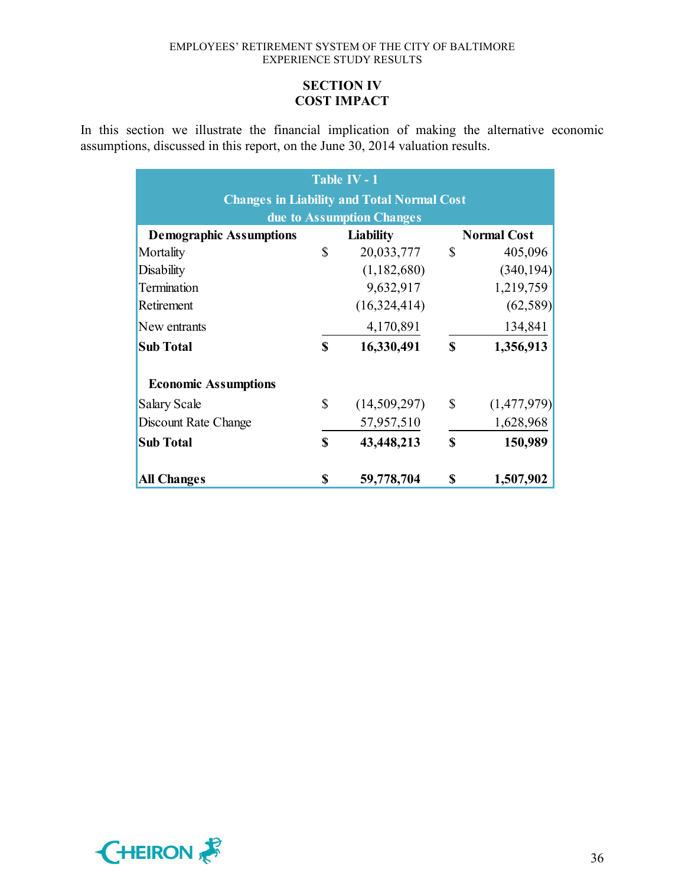# **SECTION IV COST IMPACT**

In this section we illustrate the financial implication of making the alternative economic assumptions, discussed in this report, on the June 30, 2014 valuation results.

| Table IV - 1                                      |    |                           |              |                    |  |  |  |  |
|---------------------------------------------------|----|---------------------------|--------------|--------------------|--|--|--|--|
| <b>Changes in Liability and Total Normal Cost</b> |    |                           |              |                    |  |  |  |  |
|                                                   |    | due to Assumption Changes |              |                    |  |  |  |  |
| <b>Demographic Assumptions</b>                    |    | <b>Liability</b>          |              | <b>Normal Cost</b> |  |  |  |  |
| Mortality                                         | \$ | 20,033,777                | \$           | 405,096            |  |  |  |  |
| <b>Disability</b>                                 |    | (1,182,680)               |              | (340, 194)         |  |  |  |  |
| Termination                                       |    | 9,632,917                 |              | 1,219,759          |  |  |  |  |
| Retirement                                        |    | (16, 324, 414)            |              | (62, 589)          |  |  |  |  |
| New entrants                                      |    | 4,170,891                 |              | 134,841            |  |  |  |  |
| <b>Sub Total</b>                                  | S  | 16,330,491                | S            | 1,356,913          |  |  |  |  |
| <b>Economic Assumptions</b>                       |    |                           |              |                    |  |  |  |  |
| Salary Scale                                      | \$ | (14,509,297)              | $\mathbb{S}$ | (1,477,979)        |  |  |  |  |
| Discount Rate Change                              |    | 57,957,510                |              | 1,628,968          |  |  |  |  |
| <b>Sub Total</b>                                  | \$ | 43,448,213                | S            | 150,989            |  |  |  |  |
| <b>All Changes</b>                                | \$ | 59,778,704                | S            | 1,507,902          |  |  |  |  |

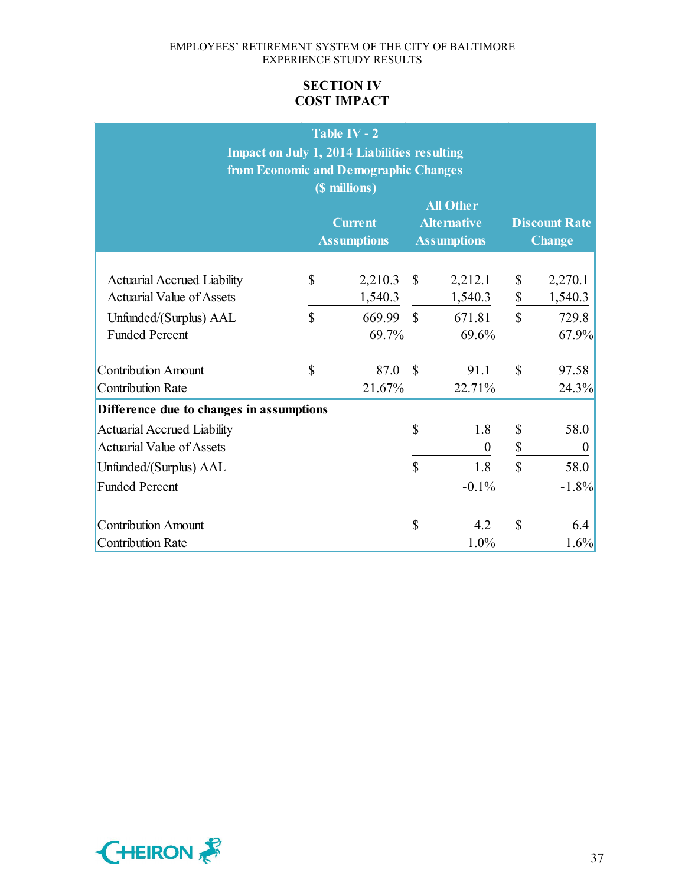# **SECTION IV COST IMPACT**

|                                                                                                                           |                               | Table IV - $2$<br><b>Impact on July 1, 2014 Liabilities resulting</b><br>from Economic and Demographic Changes<br>(\$ millions)<br><b>Current</b><br><b>Assumptions</b> |                                    | <b>All Other</b><br><b>Alternative</b><br><b>Assumptions</b> |                                | <b>Discount Rate</b><br><b>Change</b>       |
|---------------------------------------------------------------------------------------------------------------------------|-------------------------------|-------------------------------------------------------------------------------------------------------------------------------------------------------------------------|------------------------------------|--------------------------------------------------------------|--------------------------------|---------------------------------------------|
| <b>Actuarial Accrued Liability</b><br><b>Actuarial Value of Assets</b><br>Unfunded/(Surplus) AAL<br><b>Funded Percent</b> | \$<br>$\overline{\mathbb{S}}$ | 2,210.3<br>1,540.3<br>669.99<br>69.7%                                                                                                                                   | $\mathbb{S}$<br>$\mathbf{\hat{S}}$ | 2,212.1<br>1,540.3<br>671.81<br>69.6%                        | \$<br>\$<br>$\mathbf{\hat{S}}$ | 2,270.1<br>1,540.3<br>729.8<br>67.9%        |
| <b>Contribution Amount</b><br><b>Contribution Rate</b>                                                                    | $\mathsf{\$}$                 | 87.0<br>21.67%                                                                                                                                                          | $\mathcal{S}$                      | 91.1<br>22.71%                                               | $\mathbb{S}$                   | 97.58<br>24.3%                              |
| Difference due to changes in assumptions                                                                                  |                               |                                                                                                                                                                         |                                    |                                                              |                                |                                             |
| <b>Actuarial Accrued Liability</b><br><b>Actuarial Value of Assets</b><br>Unfunded/(Surplus) AAL<br><b>Funded Percent</b> |                               |                                                                                                                                                                         | \$<br>$\overline{\mathbb{S}}$      | 1.8<br>$\boldsymbol{0}$<br>1.8<br>$-0.1\%$                   | \$<br>\$<br>$\mathbf S$        | 58.0<br>$\boldsymbol{0}$<br>58.0<br>$-1.8%$ |
| <b>Contribution Amount</b><br><b>Contribution Rate</b>                                                                    |                               |                                                                                                                                                                         | \$                                 | 4.2<br>1.0%                                                  | $\mathbf S$                    | 6.4<br>1.6%                                 |

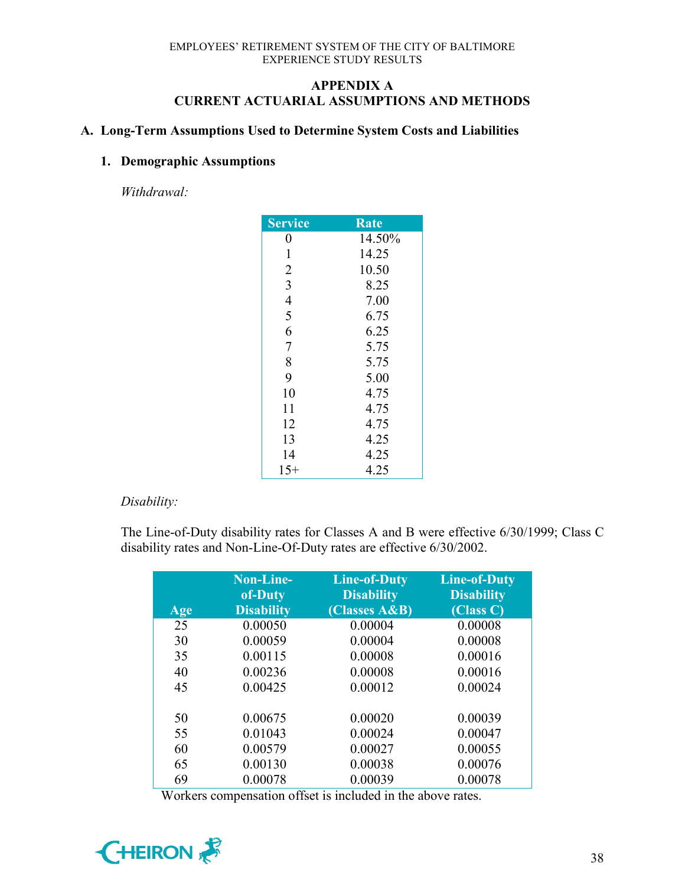# **APPENDIX A CURRENT ACTUARIAL ASSUMPTIONS AND METHODS**

# **A. Long-Term Assumptions Used to Determine System Costs and Liabilities**

# **1. Demographic Assumptions**

*Withdrawal:*

| <b>Service</b> | Rate   |
|----------------|--------|
| 0              | 14.50% |
| $\mathbf{1}$   | 14.25  |
| $\overline{2}$ | 10.50  |
| $\overline{3}$ | 8.25   |
| $\overline{4}$ | 7.00   |
| 5              | 6.75   |
| 6              | 6.25   |
| $\overline{7}$ | 5.75   |
| 8              | 5.75   |
| 9              | 5.00   |
| 10             | 4.75   |
| 11             | 4.75   |
| 12             | 4.75   |
| 13             | 4.25   |
| 14             | 4.25   |
| $15+$          | 4.25   |

# *Disability:*

The Line-of-Duty disability rates for Classes A and B were effective 6/30/1999; Class C disability rates and Non-Line-Of-Duty rates are effective 6/30/2002.

| Age | <b>Non-Line-</b><br>of-Duty<br><b>Disability</b> | <b>Line-of-Duty</b><br><b>Disability</b><br>(Classes A&B) | <b>Line-of-Duty</b><br><b>Disability</b><br>(Class C) |
|-----|--------------------------------------------------|-----------------------------------------------------------|-------------------------------------------------------|
| 25  | 0.00050                                          | 0.00004                                                   | 0.00008                                               |
| 30  | 0.00059                                          | 0.00004                                                   | 0.00008                                               |
| 35  | 0.00115                                          | 0.00008                                                   | 0.00016                                               |
| 40  | 0.00236                                          | 0.00008                                                   | 0.00016                                               |
| 45  | 0.00425                                          | 0.00012                                                   | 0.00024                                               |
| 50  | 0.00675                                          | 0.00020                                                   | 0.00039                                               |
| 55  | 0.01043                                          | 0.00024                                                   | 0.00047                                               |
| 60  | 0.00579                                          | 0.00027                                                   | 0.00055                                               |
| 65  | 0.00130                                          | 0.00038                                                   | 0.00076                                               |
| 69  | 0.00078                                          | 0.00039                                                   | 0.00078                                               |

Workers compensation offset is included in the above rates.

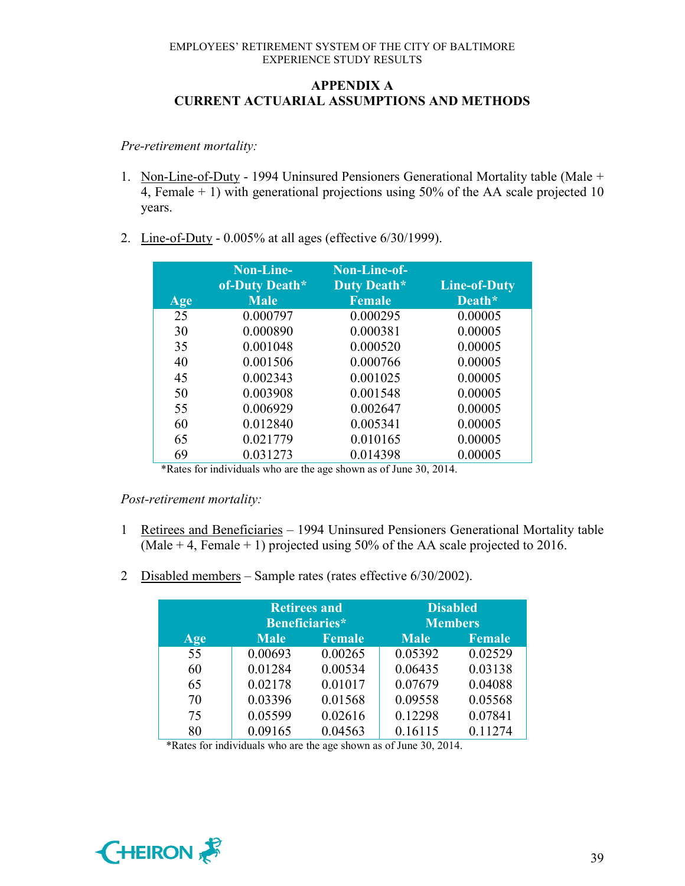# **APPENDIX A CURRENT ACTUARIAL ASSUMPTIONS AND METHODS**

*Pre-retirement mortality:*

- 1. Non-Line-of-Duty 1994 Uninsured Pensioners Generational Mortality table (Male + 4, Female + 1) with generational projections using 50% of the AA scale projected 10 years.
- 2. Line-of-Duty 0.005% at all ages (effective 6/30/1999).

|     | Non-Line-<br>of-Duty Death* | Non-Line-of-<br>Duty Death* | <b>Line-of-Duty</b> |
|-----|-----------------------------|-----------------------------|---------------------|
| Age | <b>Male</b>                 | <b>Female</b>               | Death*              |
| 25  | 0.000797                    | 0.000295                    | 0.00005             |
| 30  | 0.000890                    | 0.000381                    | 0.00005             |
| 35  | 0.001048                    | 0.000520                    | 0.00005             |
| 40  | 0.001506                    | 0.000766                    | 0.00005             |
| 45  | 0.002343                    | 0.001025                    | 0.00005             |
| 50  | 0.003908                    | 0.001548                    | 0.00005             |
| 55  | 0.006929                    | 0.002647                    | 0.00005             |
| 60  | 0.012840                    | 0.005341                    | 0.00005             |
| 65  | 0.021779                    | 0.010165                    | 0.00005             |
| 69  | 0.031273                    | 0.014398                    | 0.00005             |

\*Rates for individuals who are the age shown as of June 30, 2014.

### *Post-retirement mortality:*

- 1 Retirees and Beneficiaries 1994 Uninsured Pensioners Generational Mortality table (Male  $+$  4, Female  $+$  1) projected using 50% of the AA scale projected to 2016.
- 2 Disabled members Sample rates (rates effective 6/30/2002).

|     |             | <b>Retirees and</b> |                | <b>Disabled</b> |
|-----|-------------|---------------------|----------------|-----------------|
|     |             | Beneficiaries*      | <b>Members</b> |                 |
| Age | <b>Male</b> | <b>Female</b>       | <b>Male</b>    | <b>Female</b>   |
| 55  | 0.00693     | 0.00265             | 0.05392        | 0.02529         |
| 60  | 0.01284     | 0.00534             | 0.06435        | 0.03138         |
| 65  | 0.02178     | 0.01017             | 0.07679        | 0.04088         |
| 70  | 0.03396     | 0.01568             | 0.09558        | 0.05568         |
| 75  | 0.05599     | 0.02616             | 0.12298        | 0.07841         |
| 80  | 0.09165     | 0.04563             | 0.16115        | 0.11274         |

\*Rates for individuals who are the age shown as of June 30, 2014.

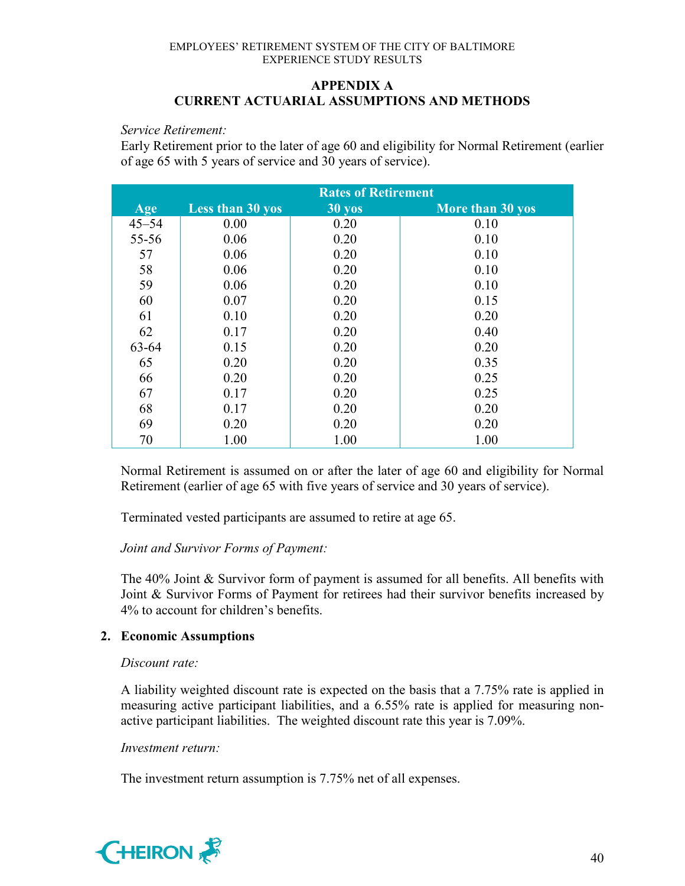## **APPENDIX A CURRENT ACTUARIAL ASSUMPTIONS AND METHODS**

#### *Service Retirement:*

Early Retirement prior to the later of age 60 and eligibility for Normal Retirement (earlier of age 65 with 5 years of service and 30 years of service).

|           | <b>Rates of Retirement</b> |               |                  |
|-----------|----------------------------|---------------|------------------|
| Age       | <b>Less than 30 yos</b>    | <b>30 yos</b> | More than 30 yos |
| $45 - 54$ | 0.00                       | 0.20          | 0.10             |
| 55-56     | 0.06                       | 0.20          | 0.10             |
| 57        | 0.06                       | 0.20          | 0.10             |
| 58        | 0.06                       | 0.20          | 0.10             |
| 59        | 0.06                       | 0.20          | 0.10             |
| 60        | 0.07                       | 0.20          | 0.15             |
| 61        | 0.10                       | 0.20          | 0.20             |
| 62        | 0.17                       | 0.20          | 0.40             |
| 63-64     | 0.15                       | 0.20          | 0.20             |
| 65        | 0.20                       | 0.20          | 0.35             |
| 66        | 0.20                       | 0.20          | 0.25             |
| 67        | 0.17                       | 0.20          | 0.25             |
| 68        | 0.17                       | 0.20          | 0.20             |
| 69        | 0.20                       | 0.20          | 0.20             |
| 70        | 1.00                       | 1.00          | 1.00             |

Normal Retirement is assumed on or after the later of age 60 and eligibility for Normal Retirement (earlier of age 65 with five years of service and 30 years of service).

Terminated vested participants are assumed to retire at age 65.

# *Joint and Survivor Forms of Payment:*

The 40% Joint & Survivor form of payment is assumed for all benefits. All benefits with Joint & Survivor Forms of Payment for retirees had their survivor benefits increased by 4% to account for children's benefits.

# **2. Economic Assumptions**

### *Discount rate:*

A liability weighted discount rate is expected on the basis that a 7.75% rate is applied in measuring active participant liabilities, and a 6.55% rate is applied for measuring nonactive participant liabilities. The weighted discount rate this year is 7.09%.

### *Investment return:*

The investment return assumption is 7.75% net of all expenses.

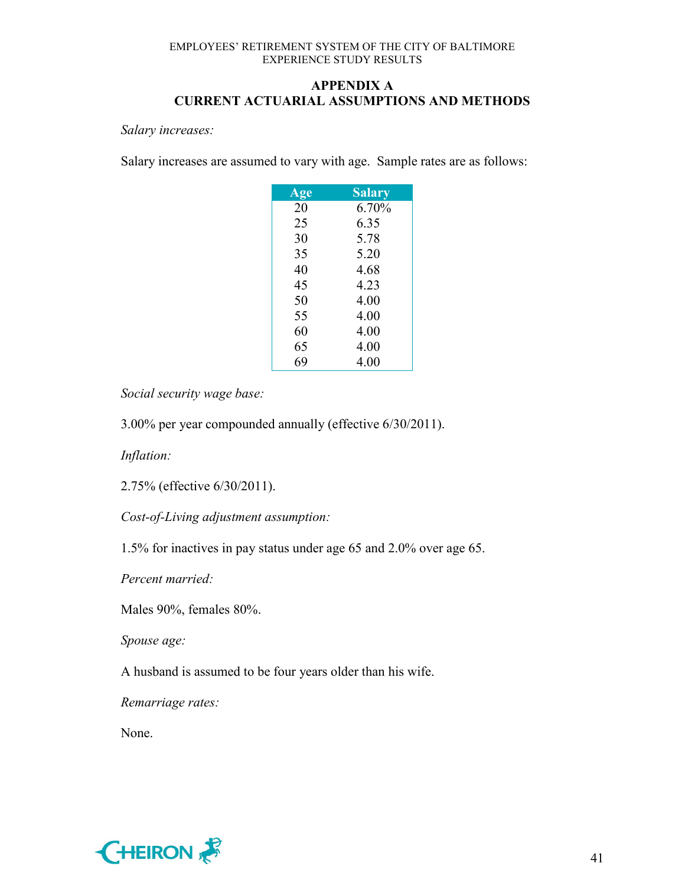# **APPENDIX A CURRENT ACTUARIAL ASSUMPTIONS AND METHODS**

*Salary increases:*

Salary increases are assumed to vary with age. Sample rates are as follows:

| <b>Age</b> | <b>Salary</b> |
|------------|---------------|
| 20         | 6.70%         |
| 25         | 6.35          |
| 30         | 5.78          |
| 35         | 5.20          |
| 40         | 4.68          |
| 45         | 4.23          |
| 50         | 4.00          |
| 55         | 4.00          |
| 60         | 4.00          |
| 65         | 4.00          |
| 69         | 4.00          |

*Social security wage base:*

3.00% per year compounded annually (effective 6/30/2011).

*Inflation:*

2.75% (effective 6/30/2011).

*Cost-of-Living adjustment assumption:*

1.5% for inactives in pay status under age 65 and 2.0% over age 65.

*Percent married:*

Males 90%, females 80%.

*Spouse age:*

A husband is assumed to be four years older than his wife.

*Remarriage rates:*

None.

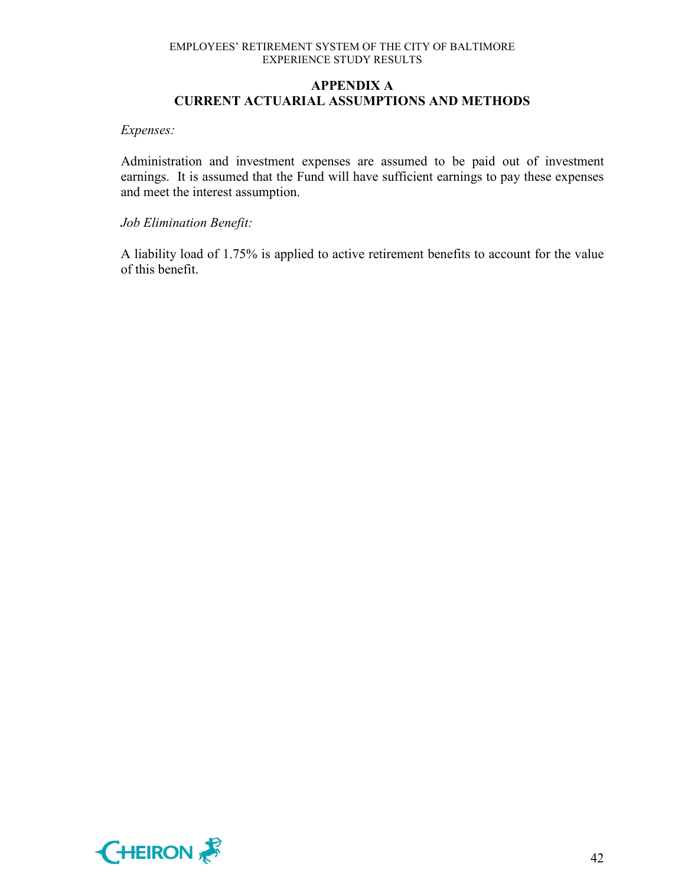# **APPENDIX A CURRENT ACTUARIAL ASSUMPTIONS AND METHODS**

#### *Expenses:*

Administration and investment expenses are assumed to be paid out of investment earnings. It is assumed that the Fund will have sufficient earnings to pay these expenses and meet the interest assumption.

### *Job Elimination Benefit:*

A liability load of 1.75% is applied to active retirement benefits to account for the value of this benefit.

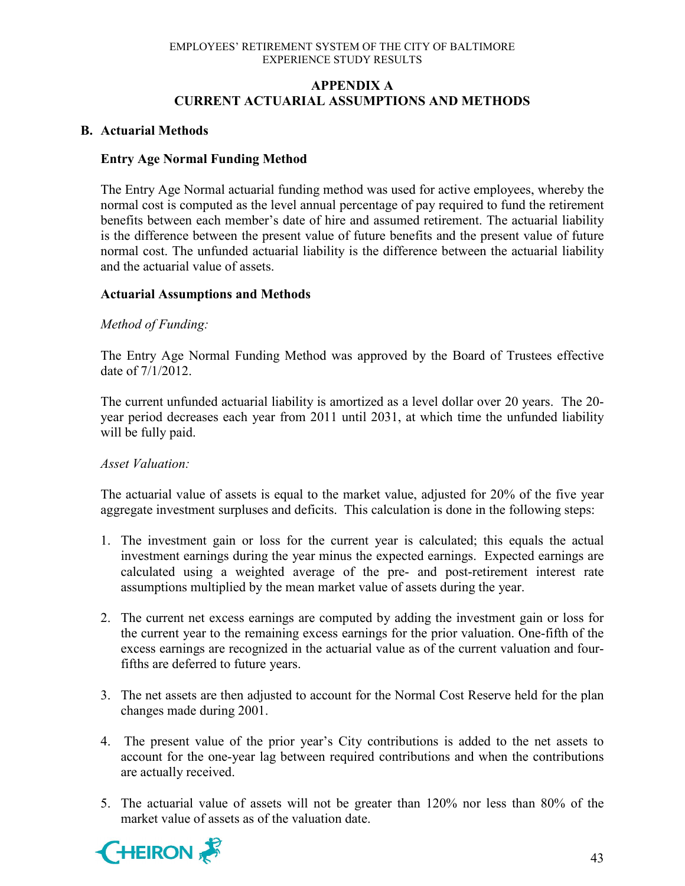# **APPENDIX A CURRENT ACTUARIAL ASSUMPTIONS AND METHODS**

# **B. Actuarial Methods**

# **Entry Age Normal Funding Method**

The Entry Age Normal actuarial funding method was used for active employees, whereby the normal cost is computed as the level annual percentage of pay required to fund the retirement benefits between each member's date of hire and assumed retirement. The actuarial liability is the difference between the present value of future benefits and the present value of future normal cost. The unfunded actuarial liability is the difference between the actuarial liability and the actuarial value of assets.

# **Actuarial Assumptions and Methods**

# *Method of Funding:*

The Entry Age Normal Funding Method was approved by the Board of Trustees effective date of 7/1/2012.

The current unfunded actuarial liability is amortized as a level dollar over 20 years. The 20 year period decreases each year from 2011 until 2031, at which time the unfunded liability will be fully paid.

### *Asset Valuation:*

The actuarial value of assets is equal to the market value, adjusted for 20% of the five year aggregate investment surpluses and deficits. This calculation is done in the following steps:

- 1. The investment gain or loss for the current year is calculated; this equals the actual investment earnings during the year minus the expected earnings. Expected earnings are calculated using a weighted average of the pre- and post-retirement interest rate assumptions multiplied by the mean market value of assets during the year.
- 2. The current net excess earnings are computed by adding the investment gain or loss for the current year to the remaining excess earnings for the prior valuation. One-fifth of the excess earnings are recognized in the actuarial value as of the current valuation and fourfifths are deferred to future years.
- 3. The net assets are then adjusted to account for the Normal Cost Reserve held for the plan changes made during 2001.
- 4. The present value of the prior year's City contributions is added to the net assets to account for the one-year lag between required contributions and when the contributions are actually received.
- 5. The actuarial value of assets will not be greater than 120% nor less than 80% of the market value of assets as of the valuation date.

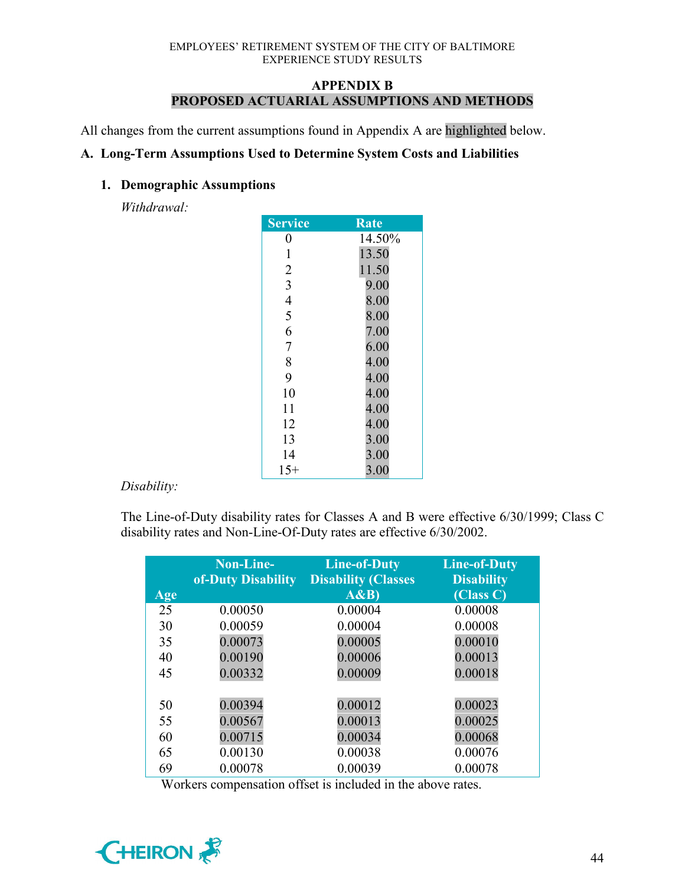# **APPENDIX B PROPOSED ACTUARIAL ASSUMPTIONS AND METHODS**

All changes from the current assumptions found in Appendix A are highlighted below.

# **A. Long-Term Assumptions Used to Determine System Costs and Liabilities**

# **1. Demographic Assumptions**

*Withdrawal:*

| <b>Service</b> | <b>Rate</b> |
|----------------|-------------|
| 0              | 14.50%      |
| 1              | 13.50       |
| $\overline{2}$ | 11.50       |
| 3              | 9.00        |
| $\overline{4}$ | 8.00        |
| 5              | 8.00        |
| 6              | 7.00        |
| $\overline{7}$ | 6.00        |
| 8              | 4.00        |
| 9              | 4.00        |
| 10             | 4.00        |
| 11             | 4.00        |
| 12             | $4.00\,$    |
| 13             | 3.00        |
| 14             | 3.00        |
| $15+$          | 3.00        |

# *Disability:*

The Line-of-Duty disability rates for Classes A and B were effective 6/30/1999; Class C disability rates and Non-Line-Of-Duty rates are effective 6/30/2002.

|     | Non-Line-<br>of-Duty Disability | <b>Line-of-Duty</b><br><b>Disability (Classes</b> | <b>Line-of-Duty</b><br><b>Disability</b> |
|-----|---------------------------------|---------------------------------------------------|------------------------------------------|
| Age |                                 | A&B                                               | (Class C)                                |
| 25  | 0.00050                         | 0.00004                                           | 0.00008                                  |
| 30  | 0.00059                         | 0.00004                                           | 0.00008                                  |
| 35  | 0.00073                         | 0.00005                                           | 0.00010                                  |
| 40  | 0.00190                         | 0.00006                                           | 0.00013                                  |
| 45  | 0.00332                         | 0.00009                                           | 0.00018                                  |
|     |                                 |                                                   |                                          |
| 50  | 0.00394                         | 0.00012                                           | 0.00023                                  |
| 55  | 0.00567                         | 0.00013                                           | 0.00025                                  |
| 60  | 0.00715                         | 0.00034                                           | 0.00068                                  |
| 65  | 0.00130                         | 0.00038                                           | 0.00076                                  |
| 69  | 0.00078                         | 0.00039                                           | 0.00078                                  |

Workers compensation offset is included in the above rates.

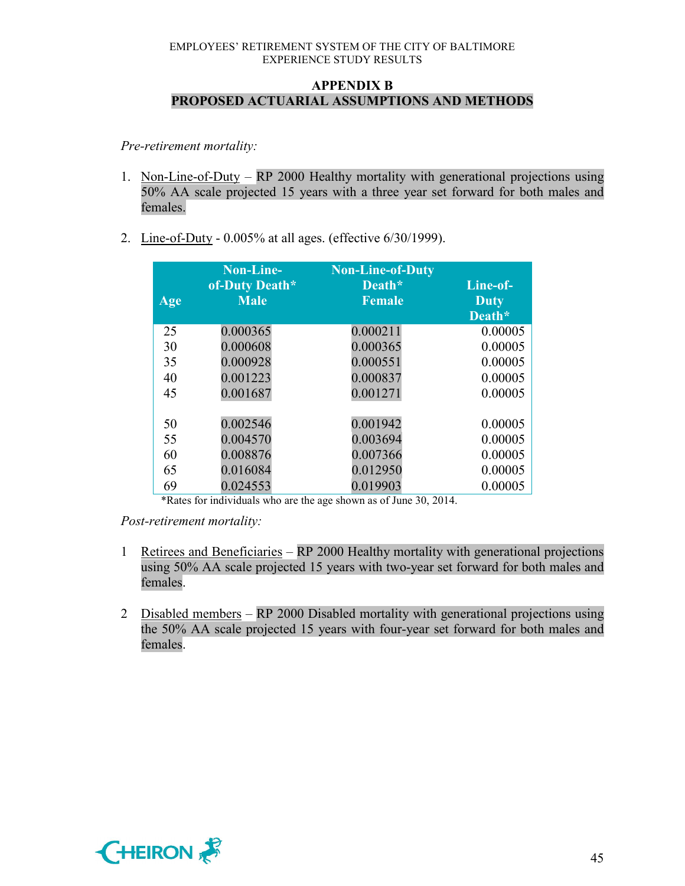# **APPENDIX B PROPOSED ACTUARIAL ASSUMPTIONS AND METHODS**

*Pre-retirement mortality:*

- 1. Non-Line-of-Duty RP 2000 Healthy mortality with generational projections using 50% AA scale projected 15 years with a three year set forward for both males and females.
- 2. Line-of-Duty 0.005% at all ages. (effective 6/30/1999).

|     | Non-Line-      | <b>Non-Line-of-Duty</b> |             |
|-----|----------------|-------------------------|-------------|
|     | of-Duty Death* | Death*                  | Line-of-    |
| Age | <b>Male</b>    | <b>Female</b>           | <b>Duty</b> |
|     |                |                         | Death*      |
| 25  | 0.000365       | 0.000211                | 0.00005     |
| 30  | 0.000608       | 0.000365                | 0.00005     |
| 35  | 0.000928       | 0.000551                | 0.00005     |
| 40  | 0.001223       | 0.000837                | 0.00005     |
| 45  | 0.001687       | 0.001271                | 0.00005     |
|     |                |                         |             |
| 50  | 0.002546       | 0.001942                | 0.00005     |
| 55  | 0.004570       | 0.003694                | 0.00005     |
| 60  | 0.008876       | 0.007366                | 0.00005     |
| 65  | 0.016084       | 0.012950                | 0.00005     |
| 69  | 0.024553       | 0.019903                | 0.00005     |

\*Rates for individuals who are the age shown as of June 30, 2014.

*Post-retirement mortality:*

- 1 Retirees and Beneficiaries RP 2000 Healthy mortality with generational projections using 50% AA scale projected 15 years with two-year set forward for both males and females.
- 2 Disabled members RP 2000 Disabled mortality with generational projections using the 50% AA scale projected 15 years with four-year set forward for both males and females.

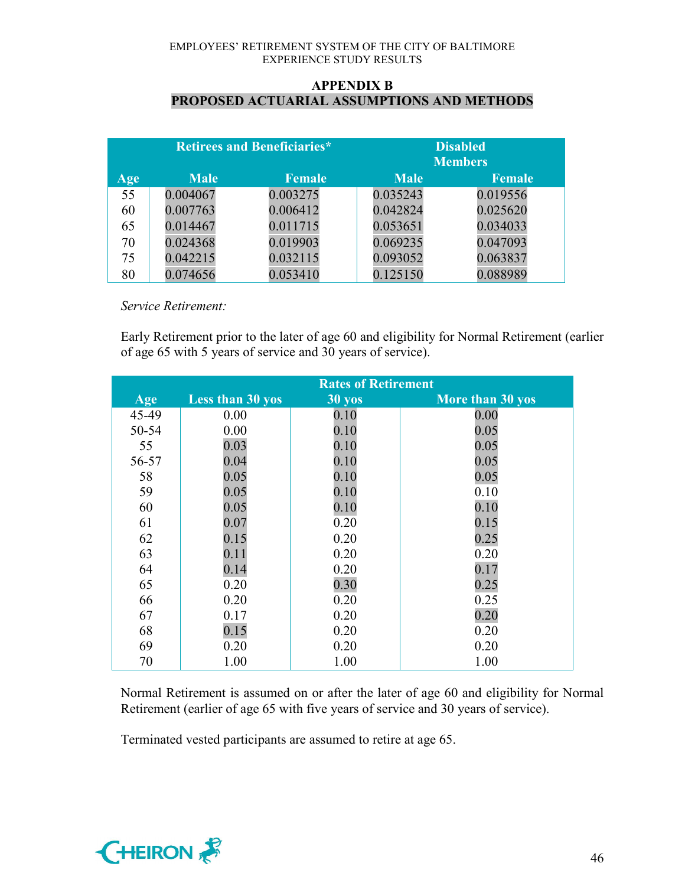### **APPENDIX B PROPOSED ACTUARIAL ASSUMPTIONS AND METHODS**

| <b>Retirees and Beneficiaries*</b> |             |               | <b>Disabled</b><br><b>Members</b> |               |
|------------------------------------|-------------|---------------|-----------------------------------|---------------|
| Age                                | <b>Male</b> | <b>Female</b> | <b>Male</b>                       | <b>Female</b> |
| 55                                 | 0.004067    | 0.003275      | 0.035243                          | 0.019556      |
| 60                                 | 0.007763    | 0.006412      | 0.042824                          | 0.025620      |
| 65                                 | 0.014467    | 0.011715      | 0.053651                          | 0.034033      |
| 70                                 | 0.024368    | 0.019903      | 0.069235                          | 0.047093      |
| 75                                 | 0.042215    | 0.032115      | 0.093052                          | 0.063837      |
| 80                                 | 0.074656    | 0.053410      | 0.125150                          | 0.088989      |

*Service Retirement:*

Early Retirement prior to the later of age 60 and eligibility for Normal Retirement (earlier of age 65 with 5 years of service and 30 years of service).

|       | <b>Rates of Retirement</b> |                  |                  |
|-------|----------------------------|------------------|------------------|
| Age   | <b>Less than 30 yos</b>    | $30 \text{ yos}$ | More than 30 yos |
| 45-49 | 0.00                       | 0.10             | 0.00             |
| 50-54 | 0.00                       | 0.10             | 0.05             |
| 55    | 0.03                       | 0.10             | 0.05             |
| 56-57 | 0.04                       | 0.10             | 0.05             |
| 58    | 0.05                       | 0.10             | 0.05             |
| 59    | 0.05                       | 0.10             | 0.10             |
| 60    | 0.05                       | 0.10             | 0.10             |
| 61    | 0.07                       | 0.20             | 0.15             |
| 62    | 0.15                       | 0.20             | 0.25             |
| 63    | 0.11                       | 0.20             | 0.20             |
| 64    | 0.14                       | 0.20             | 0.17             |
| 65    | 0.20                       | 0.30             | 0.25             |
| 66    | 0.20                       | 0.20             | 0.25             |
| 67    | 0.17                       | 0.20             | 0.20             |
| 68    | 0.15                       | 0.20             | 0.20             |
| 69    | 0.20                       | 0.20             | 0.20             |
| 70    | 1.00                       | 1.00             | 1.00             |

Normal Retirement is assumed on or after the later of age 60 and eligibility for Normal Retirement (earlier of age 65 with five years of service and 30 years of service).

Terminated vested participants are assumed to retire at age 65.

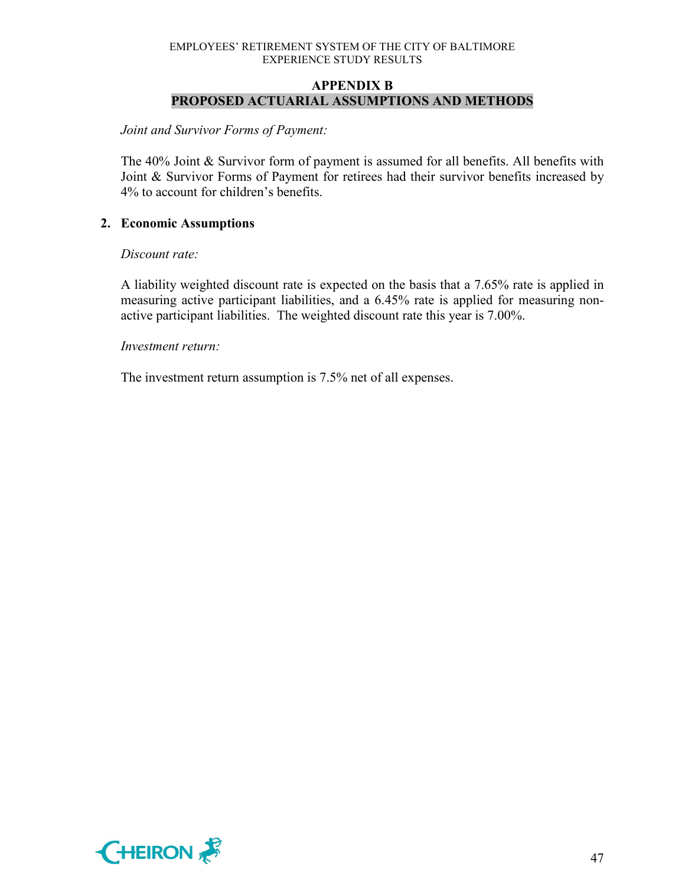### **APPENDIX B PROPOSED ACTUARIAL ASSUMPTIONS AND METHODS**

*Joint and Survivor Forms of Payment:*

The 40% Joint & Survivor form of payment is assumed for all benefits. All benefits with Joint & Survivor Forms of Payment for retirees had their survivor benefits increased by 4% to account for children's benefits.

# **2. Economic Assumptions**

### *Discount rate:*

A liability weighted discount rate is expected on the basis that a 7.65% rate is applied in measuring active participant liabilities, and a 6.45% rate is applied for measuring nonactive participant liabilities. The weighted discount rate this year is 7.00%.

### *Investment return:*

The investment return assumption is 7.5% net of all expenses.

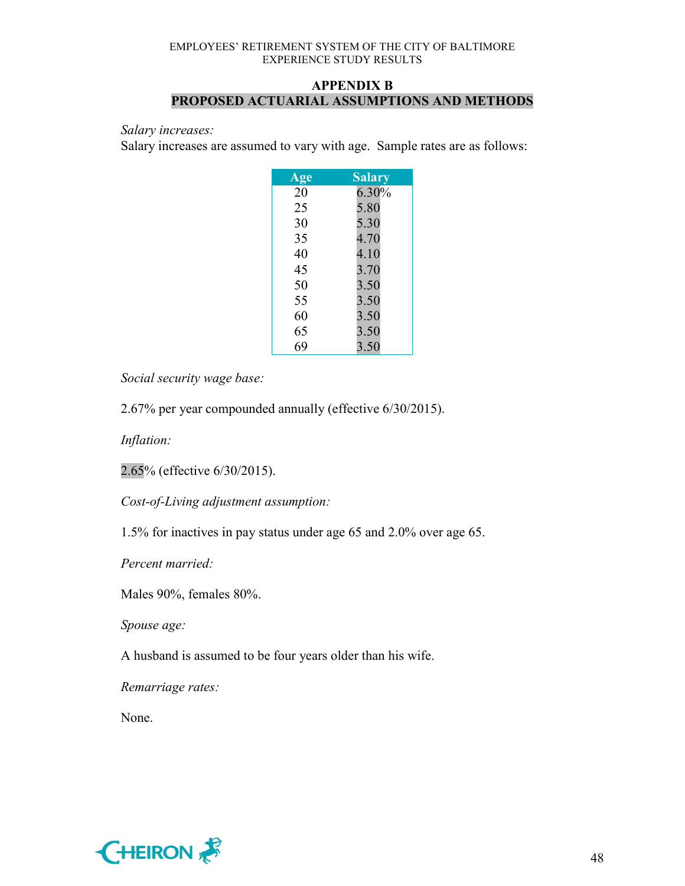# **APPENDIX B PROPOSED ACTUARIAL ASSUMPTIONS AND METHODS**

#### *Salary increases:*

Salary increases are assumed to vary with age. Sample rates are as follows:

| Age | <b>Salary</b> |
|-----|---------------|
| 20  | 6.30%         |
| 25  | 5.80          |
| 30  | 5.30          |
| 35  | 4.70          |
| 40  | 4.10          |
| 45  | 3.70          |
| 50  | 3.50          |
| 55  | 3.50          |
| 60  | 3.50          |
| 65  | 3.50          |
| 69  | 3.50          |

*Social security wage base:*

2.67% per year compounded annually (effective 6/30/2015).

*Inflation:*

2.65% (effective 6/30/2015).

*Cost-of-Living adjustment assumption:*

1.5% for inactives in pay status under age 65 and 2.0% over age 65.

*Percent married:*

Males 90%, females 80%.

*Spouse age:*

A husband is assumed to be four years older than his wife.

*Remarriage rates:*

None.

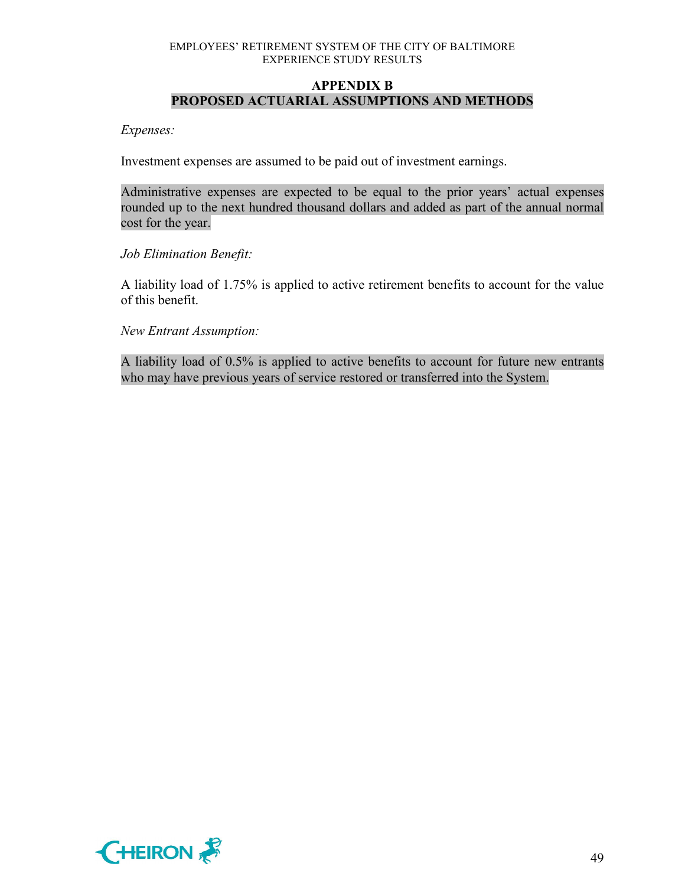# **APPENDIX B PROPOSED ACTUARIAL ASSUMPTIONS AND METHODS**

*Expenses:*

Investment expenses are assumed to be paid out of investment earnings.

Administrative expenses are expected to be equal to the prior years' actual expenses rounded up to the next hundred thousand dollars and added as part of the annual normal cost for the year.

#### *Job Elimination Benefit:*

A liability load of 1.75% is applied to active retirement benefits to account for the value of this benefit.

*New Entrant Assumption:*

A liability load of 0.5% is applied to active benefits to account for future new entrants who may have previous years of service restored or transferred into the System.

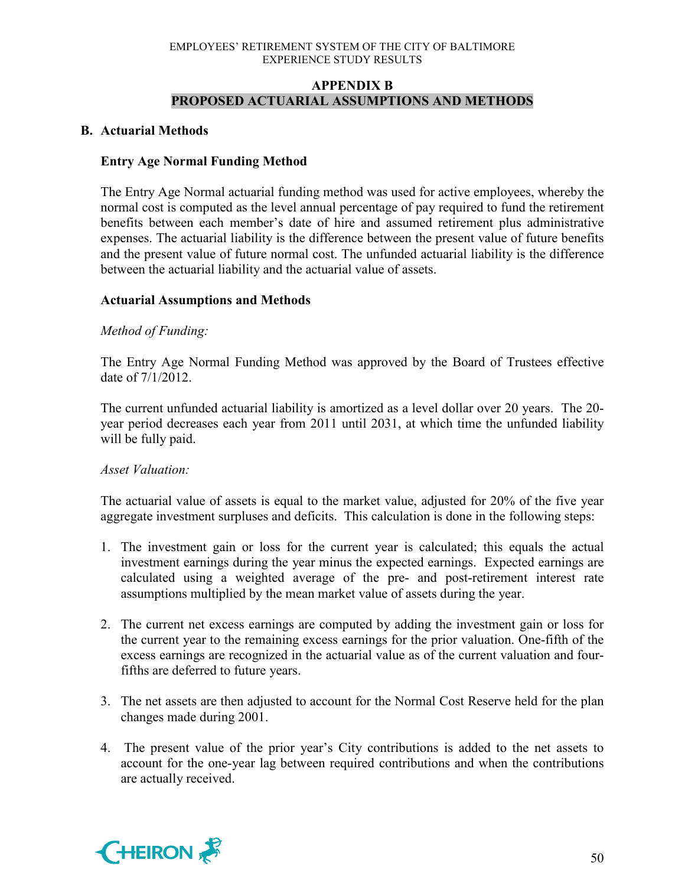# **APPENDIX B PROPOSED ACTUARIAL ASSUMPTIONS AND METHODS**

### **B. Actuarial Methods**

# **Entry Age Normal Funding Method**

The Entry Age Normal actuarial funding method was used for active employees, whereby the normal cost is computed as the level annual percentage of pay required to fund the retirement benefits between each member's date of hire and assumed retirement plus administrative expenses. The actuarial liability is the difference between the present value of future benefits and the present value of future normal cost. The unfunded actuarial liability is the difference between the actuarial liability and the actuarial value of assets.

# **Actuarial Assumptions and Methods**

# *Method of Funding:*

The Entry Age Normal Funding Method was approved by the Board of Trustees effective date of 7/1/2012.

The current unfunded actuarial liability is amortized as a level dollar over 20 years. The 20 year period decreases each year from 2011 until 2031, at which time the unfunded liability will be fully paid.

### *Asset Valuation:*

The actuarial value of assets is equal to the market value, adjusted for 20% of the five year aggregate investment surpluses and deficits. This calculation is done in the following steps:

- 1. The investment gain or loss for the current year is calculated; this equals the actual investment earnings during the year minus the expected earnings. Expected earnings are calculated using a weighted average of the pre- and post-retirement interest rate assumptions multiplied by the mean market value of assets during the year.
- 2. The current net excess earnings are computed by adding the investment gain or loss for the current year to the remaining excess earnings for the prior valuation. One-fifth of the excess earnings are recognized in the actuarial value as of the current valuation and fourfifths are deferred to future years.
- 3. The net assets are then adjusted to account for the Normal Cost Reserve held for the plan changes made during 2001.
- 4. The present value of the prior year's City contributions is added to the net assets to account for the one-year lag between required contributions and when the contributions are actually received.

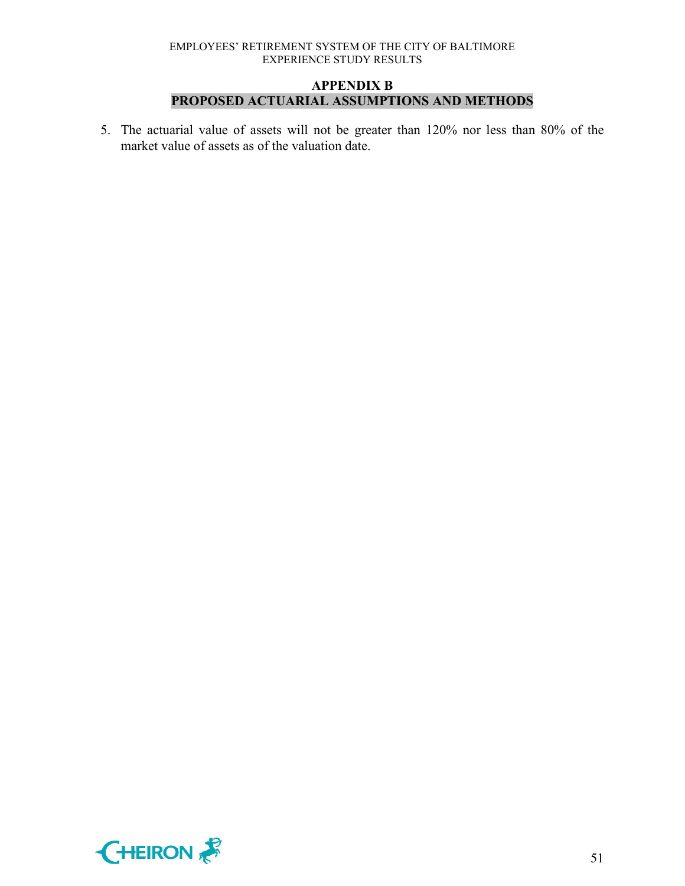### **APPENDIX B PROPOSED ACTUARIAL ASSUMPTIONS AND METHODS**

5. The actuarial value of assets will not be greater than 120% nor less than 80% of the market value of assets as of the valuation date.

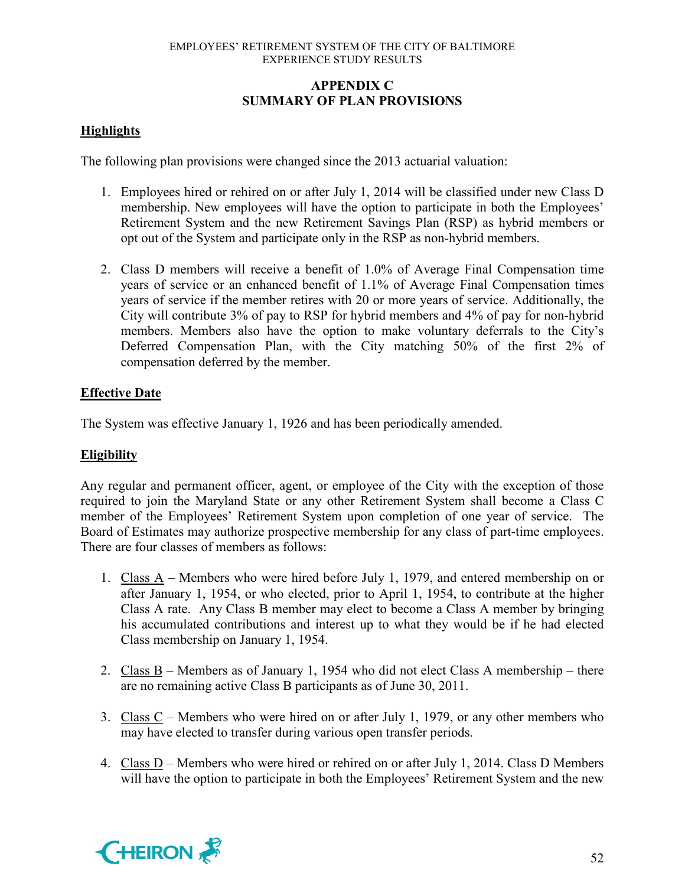# **APPENDIX C SUMMARY OF PLAN PROVISIONS**

# **Highlights**

The following plan provisions were changed since the 2013 actuarial valuation:

- 1. Employees hired or rehired on or after July 1, 2014 will be classified under new Class D membership. New employees will have the option to participate in both the Employees' Retirement System and the new Retirement Savings Plan (RSP) as hybrid members or opt out of the System and participate only in the RSP as non-hybrid members.
- 2. Class D members will receive a benefit of 1.0% of Average Final Compensation time years of service or an enhanced benefit of 1.1% of Average Final Compensation times years of service if the member retires with 20 or more years of service. Additionally, the City will contribute 3% of pay to RSP for hybrid members and 4% of pay for non-hybrid members. Members also have the option to make voluntary deferrals to the City's Deferred Compensation Plan, with the City matching 50% of the first 2% of compensation deferred by the member.

# **Effective Date**

The System was effective January 1, 1926 and has been periodically amended.

### **Eligibility**

Any regular and permanent officer, agent, or employee of the City with the exception of those required to join the Maryland State or any other Retirement System shall become a Class C member of the Employees' Retirement System upon completion of one year of service. The Board of Estimates may authorize prospective membership for any class of part-time employees. There are four classes of members as follows:

- 1. Class A Members who were hired before July 1, 1979, and entered membership on or after January 1, 1954, or who elected, prior to April 1, 1954, to contribute at the higher Class A rate. Any Class B member may elect to become a Class A member by bringing his accumulated contributions and interest up to what they would be if he had elected Class membership on January 1, 1954.
- 2. Class B Members as of January 1, 1954 who did not elect Class A membership there are no remaining active Class B participants as of June 30, 2011.
- 3. Class C Members who were hired on or after July 1, 1979, or any other members who may have elected to transfer during various open transfer periods.
- 4. Class D Members who were hired or rehired on or after July 1, 2014. Class D Members will have the option to participate in both the Employees' Retirement System and the new

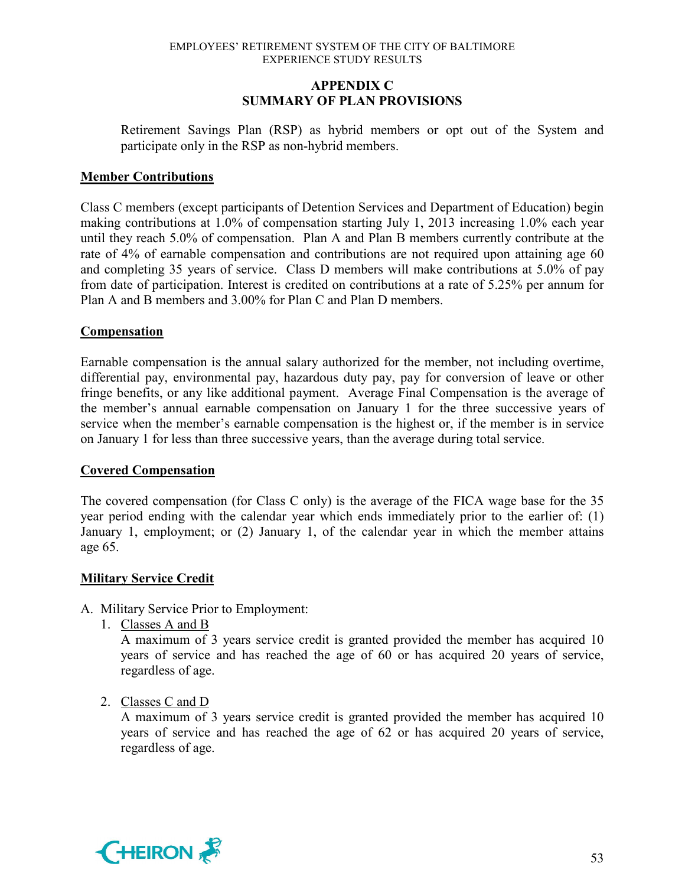# **APPENDIX C SUMMARY OF PLAN PROVISIONS**

Retirement Savings Plan (RSP) as hybrid members or opt out of the System and participate only in the RSP as non-hybrid members.

# **Member Contributions**

Class C members (except participants of Detention Services and Department of Education) begin making contributions at 1.0% of compensation starting July 1, 2013 increasing 1.0% each year until they reach 5.0% of compensation. Plan A and Plan B members currently contribute at the rate of 4% of earnable compensation and contributions are not required upon attaining age 60 and completing 35 years of service. Class D members will make contributions at 5.0% of pay from date of participation. Interest is credited on contributions at a rate of 5.25% per annum for Plan A and B members and 3.00% for Plan C and Plan D members.

# **Compensation**

Earnable compensation is the annual salary authorized for the member, not including overtime, differential pay, environmental pay, hazardous duty pay, pay for conversion of leave or other fringe benefits, or any like additional payment. Average Final Compensation is the average of the member's annual earnable compensation on January 1 for the three successive years of service when the member's earnable compensation is the highest or, if the member is in service on January 1 for less than three successive years, than the average during total service.

### **Covered Compensation**

The covered compensation (for Class C only) is the average of the FICA wage base for the 35 year period ending with the calendar year which ends immediately prior to the earlier of: (1) January 1, employment; or (2) January 1, of the calendar year in which the member attains age 65.

### **Military Service Credit**

- A. Military Service Prior to Employment:
	- 1. Classes A and B

A maximum of 3 years service credit is granted provided the member has acquired 10 years of service and has reached the age of 60 or has acquired 20 years of service, regardless of age.

2. Classes C and D

A maximum of 3 years service credit is granted provided the member has acquired 10 years of service and has reached the age of 62 or has acquired 20 years of service, regardless of age.

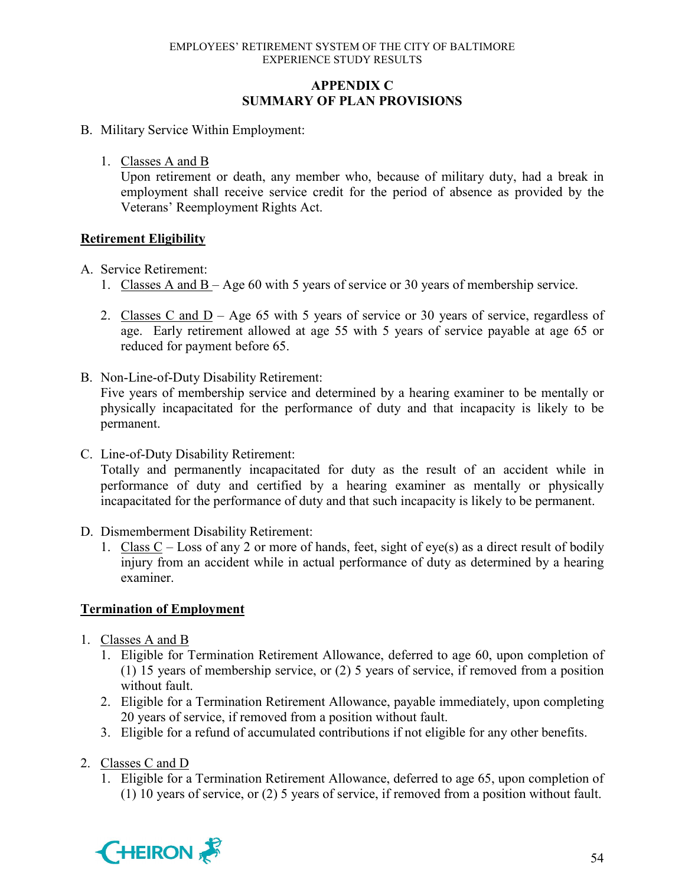# **APPENDIX C SUMMARY OF PLAN PROVISIONS**

- B. Military Service Within Employment:
	- 1. Classes A and B

Upon retirement or death, any member who, because of military duty, had a break in employment shall receive service credit for the period of absence as provided by the Veterans' Reemployment Rights Act.

# **Retirement Eligibility**

- A. Service Retirement:
	- 1. Classes A and B Age 60 with 5 years of service or 30 years of membership service.
	- 2. Classes C and  $D Age$  65 with 5 years of service or 30 years of service, regardless of age. Early retirement allowed at age 55 with 5 years of service payable at age 65 or reduced for payment before 65.
- B. Non-Line-of-Duty Disability Retirement: Five years of membership service and determined by a hearing examiner to be mentally or physically incapacitated for the performance of duty and that incapacity is likely to be permanent.
- C. Line-of-Duty Disability Retirement: Totally and permanently incapacitated for duty as the result of an accident while in performance of duty and certified by a hearing examiner as mentally or physically incapacitated for the performance of duty and that such incapacity is likely to be permanent.
- D. Dismemberment Disability Retirement:
	- 1. Class C Loss of any 2 or more of hands, feet, sight of eye(s) as a direct result of bodily injury from an accident while in actual performance of duty as determined by a hearing examiner.

# **Termination of Employment**

- 1. Classes A and B
	- 1. Eligible for Termination Retirement Allowance, deferred to age 60, upon completion of (1) 15 years of membership service, or (2) 5 years of service, if removed from a position without fault.
	- 2. Eligible for a Termination Retirement Allowance, payable immediately, upon completing 20 years of service, if removed from a position without fault.
	- 3. Eligible for a refund of accumulated contributions if not eligible for any other benefits.
- 2. Classes C and D
	- 1. Eligible for a Termination Retirement Allowance, deferred to age 65, upon completion of (1) 10 years of service, or (2) 5 years of service, if removed from a position without fault.

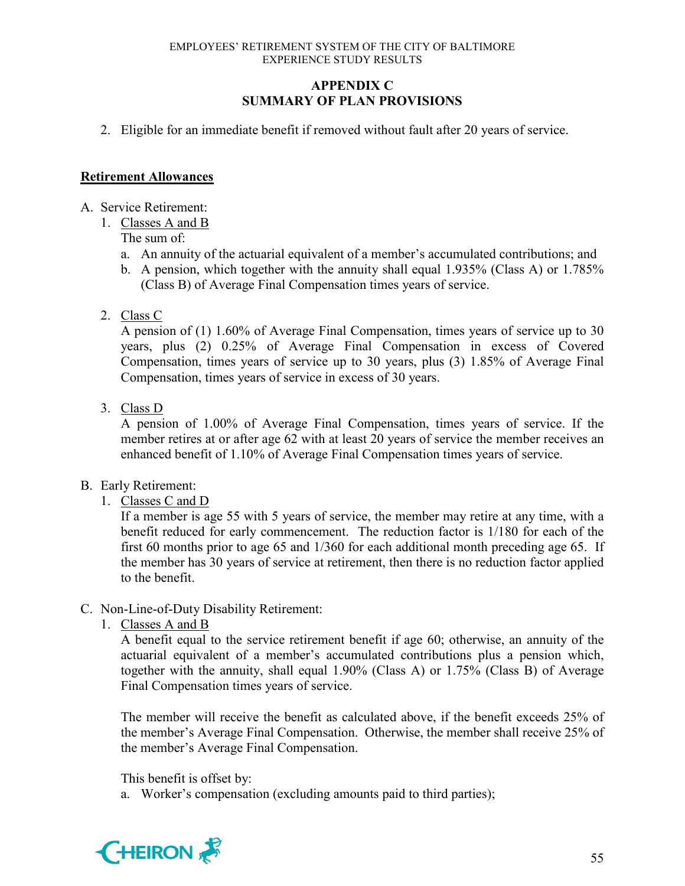# **APPENDIX C SUMMARY OF PLAN PROVISIONS**

2. Eligible for an immediate benefit if removed without fault after 20 years of service.

### **Retirement Allowances**

- A. Service Retirement:
	- 1. Classes A and B

The sum of:

- a. An annuity of the actuarial equivalent of a member's accumulated contributions; and
- b. A pension, which together with the annuity shall equal 1.935% (Class A) or 1.785% (Class B) of Average Final Compensation times years of service.
- 2. Class C

A pension of (1) 1.60% of Average Final Compensation, times years of service up to 30 years, plus (2) 0.25% of Average Final Compensation in excess of Covered Compensation, times years of service up to 30 years, plus (3) 1.85% of Average Final Compensation, times years of service in excess of 30 years.

3. Class D

A pension of 1.00% of Average Final Compensation, times years of service. If the member retires at or after age 62 with at least 20 years of service the member receives an enhanced benefit of 1.10% of Average Final Compensation times years of service.

- B. Early Retirement:
	- 1. Classes C and D

If a member is age 55 with 5 years of service, the member may retire at any time, with a benefit reduced for early commencement. The reduction factor is 1/180 for each of the first 60 months prior to age 65 and 1/360 for each additional month preceding age 65. If the member has 30 years of service at retirement, then there is no reduction factor applied to the benefit.

- C. Non-Line-of-Duty Disability Retirement:
	- 1. Classes A and B

A benefit equal to the service retirement benefit if age 60; otherwise, an annuity of the actuarial equivalent of a member's accumulated contributions plus a pension which, together with the annuity, shall equal 1.90% (Class A) or 1.75% (Class B) of Average Final Compensation times years of service.

The member will receive the benefit as calculated above, if the benefit exceeds 25% of the member's Average Final Compensation. Otherwise, the member shall receive 25% of the member's Average Final Compensation.

This benefit is offset by:

a. Worker's compensation (excluding amounts paid to third parties);

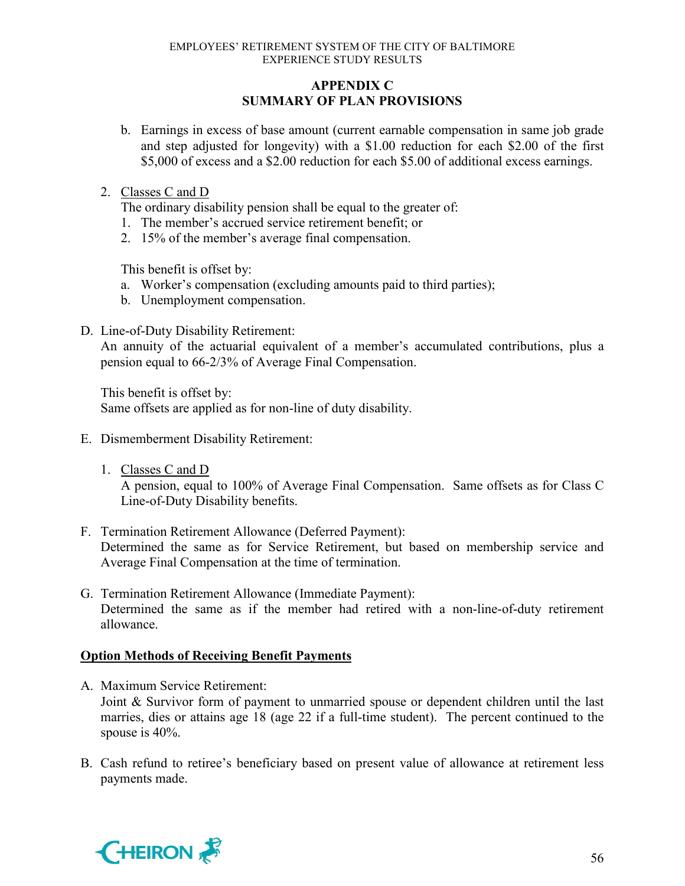# **APPENDIX C SUMMARY OF PLAN PROVISIONS**

b. Earnings in excess of base amount (current earnable compensation in same job grade and step adjusted for longevity) with a \$1.00 reduction for each \$2.00 of the first \$5,000 of excess and a \$2.00 reduction for each \$5.00 of additional excess earnings.

# 2. Classes C and D

The ordinary disability pension shall be equal to the greater of:

- 1. The member's accrued service retirement benefit; or
- 2. 15% of the member's average final compensation.

This benefit is offset by:

- a. Worker's compensation (excluding amounts paid to third parties);
- b. Unemployment compensation.
- D. Line-of-Duty Disability Retirement:

An annuity of the actuarial equivalent of a member's accumulated contributions, plus a pension equal to 66-2/3% of Average Final Compensation.

This benefit is offset by: Same offsets are applied as for non-line of duty disability.

- E. Dismemberment Disability Retirement:
	- 1. Classes C and D

A pension, equal to 100% of Average Final Compensation. Same offsets as for Class C Line-of-Duty Disability benefits.

- F. Termination Retirement Allowance (Deferred Payment): Determined the same as for Service Retirement, but based on membership service and Average Final Compensation at the time of termination.
- G. Termination Retirement Allowance (Immediate Payment): Determined the same as if the member had retired with a non-line-of-duty retirement allowance.

# **Option Methods of Receiving Benefit Payments**

- A. Maximum Service Retirement: Joint & Survivor form of payment to unmarried spouse or dependent children until the last marries, dies or attains age 18 (age 22 if a full-time student). The percent continued to the spouse is 40%.
- B. Cash refund to retiree's beneficiary based on present value of allowance at retirement less payments made.

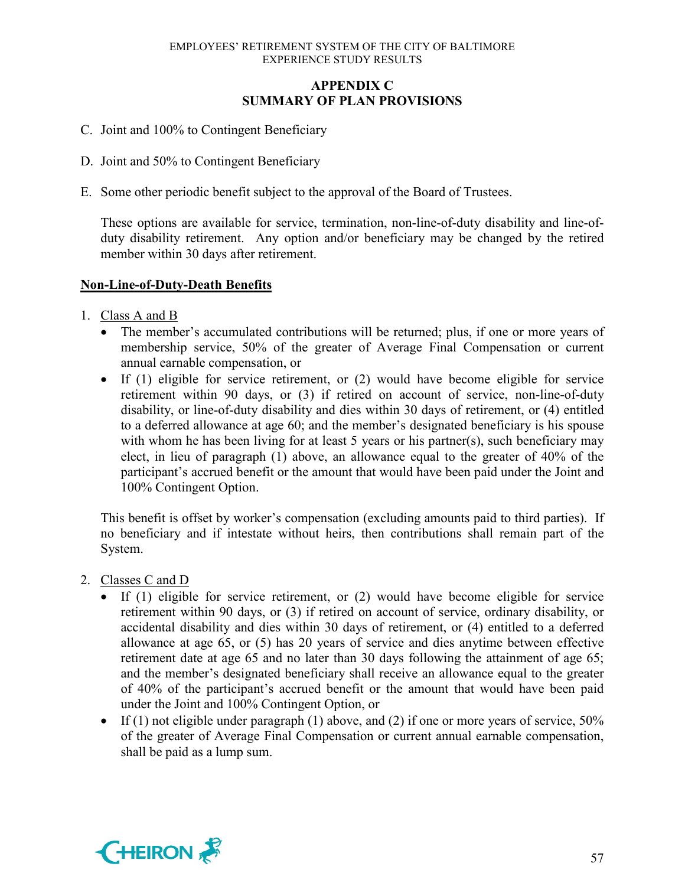# **APPENDIX C SUMMARY OF PLAN PROVISIONS**

- C. Joint and 100% to Contingent Beneficiary
- D. Joint and 50% to Contingent Beneficiary
- E. Some other periodic benefit subject to the approval of the Board of Trustees.

These options are available for service, termination, non-line-of-duty disability and line-ofduty disability retirement. Any option and/or beneficiary may be changed by the retired member within 30 days after retirement.

# **Non-Line-of-Duty-Death Benefits**

- 1. Class A and B
	- The member's accumulated contributions will be returned; plus, if one or more years of membership service, 50% of the greater of Average Final Compensation or current annual earnable compensation, or
	- If (1) eligible for service retirement, or (2) would have become eligible for service retirement within 90 days, or (3) if retired on account of service, non-line-of-duty disability, or line-of-duty disability and dies within 30 days of retirement, or (4) entitled to a deferred allowance at age 60; and the member's designated beneficiary is his spouse with whom he has been living for at least 5 years or his partner(s), such beneficiary may elect, in lieu of paragraph (1) above, an allowance equal to the greater of 40% of the participant's accrued benefit or the amount that would have been paid under the Joint and 100% Contingent Option.

This benefit is offset by worker's compensation (excluding amounts paid to third parties). If no beneficiary and if intestate without heirs, then contributions shall remain part of the System.

- 2. Classes C and D
	- If (1) eligible for service retirement, or (2) would have become eligible for service retirement within 90 days, or (3) if retired on account of service, ordinary disability, or accidental disability and dies within 30 days of retirement, or (4) entitled to a deferred allowance at age 65, or (5) has 20 years of service and dies anytime between effective retirement date at age 65 and no later than 30 days following the attainment of age 65; and the member's designated beneficiary shall receive an allowance equal to the greater of 40% of the participant's accrued benefit or the amount that would have been paid under the Joint and 100% Contingent Option, or
	- If (1) not eligible under paragraph (1) above, and (2) if one or more years of service,  $50\%$ of the greater of Average Final Compensation or current annual earnable compensation, shall be paid as a lump sum.